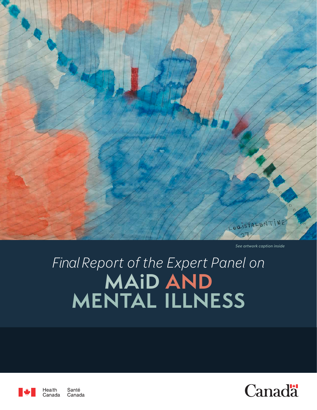

*See artwork caption inside*

# *Final Report of the Expert Panel on* **MAiD AND MENTAL ILLNESS**





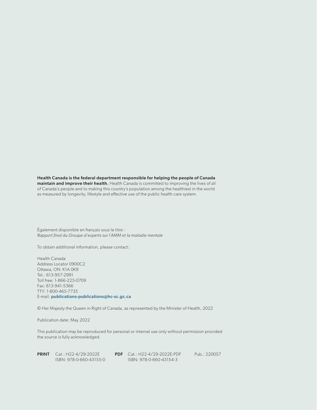Health Canada is the federal department responsible for helping the people of Canada maintain and improve their health. Health Canada is committed to improving the lives of all of Canada's people and to making this country's population among the healthiest in the world as measured by longevity, lifestyle and effective use of the public health care system.

Également disponible en français sous le titre : *Rapport final du Groupe d'experts sur l'AMM et la maladie mentale*

To obtain additional information, please contact:

Health Canada Address Locator 0900C2 Ottawa, ON K1A 0K9 Tel.: 613-957-2991 Toll free: 1-866-225-0709 Fax: 613-941-5366 TTY: 1-800-465-7735 E-mail: publications-publications@hc-sc.gc.ca

© Her Majesty the Queen in Right of Canada, as represented by the Minister of Health, 2022

Publication date: May 2022

This publication may be reproduced for personal or internal use only without permission provided the source is fully acknowledged.

**PRINT** Cat.: H22-4/29-2022E **PDF** Cat.: H22-4/29-2022E-PDF Pub.: 220057 ISBN: 978-0-660-43155-0 ISBN: 978-0-660-43154-3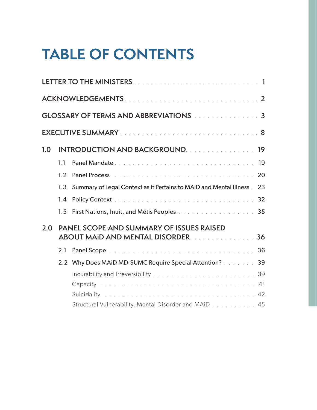# **TABLE OF CONTENTS**

|     |     | <b>GLOSSARY OF TERMS AND ABBREVIATIONS</b> 3                                                                                                                                                                                   |     |
|-----|-----|--------------------------------------------------------------------------------------------------------------------------------------------------------------------------------------------------------------------------------|-----|
|     |     |                                                                                                                                                                                                                                |     |
| 1.0 |     | INTRODUCTION AND BACKGROUND. 19                                                                                                                                                                                                |     |
|     | 1.1 |                                                                                                                                                                                                                                | -19 |
|     | 1.2 |                                                                                                                                                                                                                                | 20  |
|     | 1.3 | Summary of Legal Context as it Pertains to MAiD and Mental Illness.                                                                                                                                                            | 23  |
|     | 1.4 |                                                                                                                                                                                                                                | 32  |
|     | 1.5 | First Nations, Inuit, and Métis Peoples 35                                                                                                                                                                                     |     |
| 2.0 |     | PANEL SCOPE AND SUMMARY OF ISSUES RAISED<br>ABOUT MAID AND MENTAL DISORDER. 36                                                                                                                                                 |     |
|     | 2.1 | Panel Scope (Both and Contract of Contract of Contract of Contract of Contract of Contract of Contract of Contract of Contract of Contract of Contract of Contract of Contract of Contract of Contract of Contract of Contract |     |
|     |     | 2.2 Why Does MAID MD-SUMC Require Special Attention? 39                                                                                                                                                                        |     |
|     |     | Incurability and Irreversibility Tanger Alexander Alexander Alexander Alexander Alexander Alexander Alexander                                                                                                                  |     |
|     |     |                                                                                                                                                                                                                                |     |
|     |     |                                                                                                                                                                                                                                |     |
|     |     | Structural Vulnerability, Mental Disorder and MAID [11] [11] [11] 45                                                                                                                                                           |     |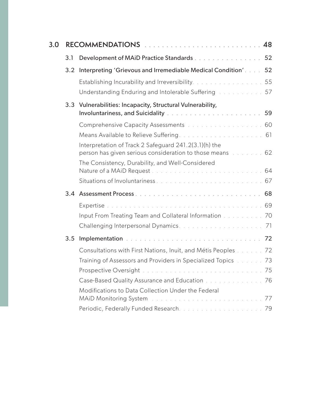| 3.0 |     |                                                                                                                                                                       |    |
|-----|-----|-----------------------------------------------------------------------------------------------------------------------------------------------------------------------|----|
|     | 3.1 | Development of MAID Practice Standards 52                                                                                                                             |    |
|     |     | 3.2 Interpreting 'Grievous and Irremediable Medical Condition'                                                                                                        | 52 |
|     |     | Establishing Incurability and Irreversibility. The manuscript and success 55                                                                                          |    |
|     |     | Understanding Enduring and Intolerable Suffering [1, 1, 1, 1, 1, 1, 1, 57]                                                                                            |    |
|     |     | 3.3 Vulnerabilities: Incapacity, Structural Vulnerability,<br>Involuntariness, and Suicidality  59                                                                    |    |
|     |     | Comprehensive Capacity Assessments 60                                                                                                                                 |    |
|     |     |                                                                                                                                                                       |    |
|     |     | Interpretation of Track 2 Safeguard 241.2(3.1)(h) the<br>person has given serious consideration to those means with the S2                                            |    |
|     |     | The Consistency, Durability, and Well-Considered                                                                                                                      |    |
|     |     |                                                                                                                                                                       |    |
|     |     |                                                                                                                                                                       |    |
|     |     |                                                                                                                                                                       |    |
|     |     | Input From Treating Team and Collateral Information [11] [11] 70                                                                                                      |    |
|     |     |                                                                                                                                                                       |    |
|     | 3.5 |                                                                                                                                                                       |    |
|     |     | Consultations with First Nations, Inuit, and Métis Peoples [1, 1, 1, 1, 72]                                                                                           |    |
|     |     | Training of Assessors and Providers in Specialized Topics [11, 11, 11, 73]                                                                                            |    |
|     |     | Prospective Oversight<br>$\alpha$ , which is a constant of the set of the set of the set of the set of the set of the $\alpha$                                        | 75 |
|     |     | Case-Based Quality Assurance and Education Alberts Alberts 2014 76                                                                                                    |    |
|     |     | Modifications to Data Collection Under the Federal<br>MAID Monitoring System Theory Process Program Processor Program Program Program Program Program Program Program |    |
|     |     |                                                                                                                                                                       |    |
|     |     |                                                                                                                                                                       | 79 |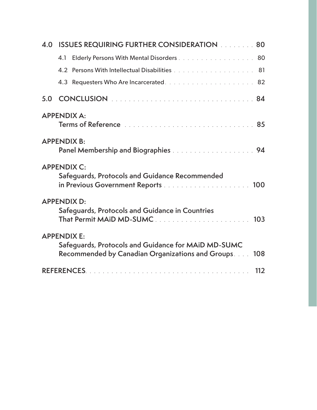| 4.0                | <b>ISSUES REQUIRING FURTHER CONSIDERATION ALL LOCAL 80</b>                                                                            |  |  |  |
|--------------------|---------------------------------------------------------------------------------------------------------------------------------------|--|--|--|
|                    | Elderly Persons With Mental Disorders 80<br>4.1                                                                                       |  |  |  |
|                    | 4.2 Persons With Intellectual Disabilities 81                                                                                         |  |  |  |
|                    |                                                                                                                                       |  |  |  |
| 5.0                |                                                                                                                                       |  |  |  |
| <b>APPENDIX A:</b> |                                                                                                                                       |  |  |  |
|                    | <b>APPENDIX B:</b>                                                                                                                    |  |  |  |
|                    | <b>APPENDIX C:</b><br>Safeguards, Protocols and Guidance Recommended                                                                  |  |  |  |
|                    | <b>APPENDIX D:</b><br>Safeguards, Protocols and Guidance in Countries                                                                 |  |  |  |
|                    | <b>APPENDIX E:</b><br>Safeguards, Protocols and Guidance for MAID MD-SUMC<br>Recommended by Canadian Organizations and Groups.<br>108 |  |  |  |
|                    |                                                                                                                                       |  |  |  |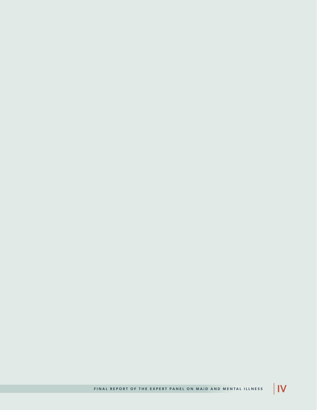FINAL REPORT OF THE EXPERT PANEL ON MAID AND MENTAL ILLNESS  $\blacksquare$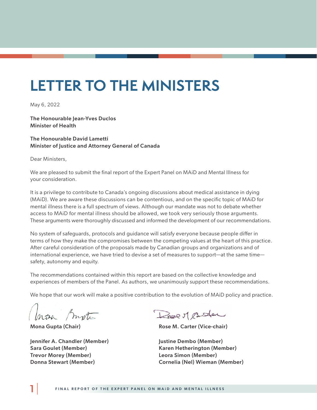# <span id="page-6-0"></span>**LETTER TO THE MINISTERS**

May 6, 2022

The Honourable Jean-Yves Duclos Minister of Health

The Honourable David Lametti Minister of Justice and Attorney General of Canada

Dear Ministers,

We are pleased to submit the final report of the Expert Panel on MAiD and Mental Illness for your consideration.

It is a privilege to contribute to Canada's ongoing discussions about medical assistance in dying (MAiD). We are aware these discussions can be contentious, and on the specific topic of MAiD for mental illness there is a full spectrum of views. Although our mandate was not to debate whether access to MAiD for mental illness should be allowed, we took very seriously those arguments. These arguments were thoroughly discussed and informed the development of our recommendations.

No system of safeguards, protocols and guidance will satisfy everyone because people differ in terms of how they make the compromises between the competing values at the heart of this practice. After careful consideration of the proposals made by Canadian groups and organizations and of international experience, we have tried to devise a set of measures to support—at the same time safety, autonomy and equity.

The recommendations contained within this report are based on the collective knowledge and experiences of members of the Panel. As authors, we unanimously support these recommendations.

We hope that our work will make a positive contribution to the evolution of MAiD policy and practice.

non Busto

Jennifer A. Chandler (Member) Sara Goulet (Member) Trevor Morey (Member) Donna Stewart (Member)

Dove Mender

Mona Gupta (Chair) **Rose M. Carter (Vice-chair)** Rose M. Carter (Vice-chair)

Justine Dembo (Member) Karen Hetherington (Member) Leora Simon (Member) Cornelia (Nel) Wieman (Member)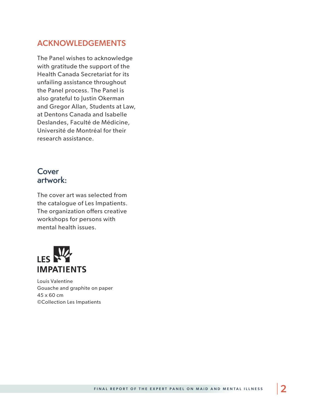## <span id="page-7-0"></span>ACKNOWLEDGEMENTS

The Panel wishes to acknowledge with gratitude the support of the Health Canada Secretariat for its unfailing assistance throughout the Panel process. The Panel is also grateful to Justin Okerman and Gregor Allan, Students at Law, at Dentons Canada and Isabelle Deslandes, Faculté de Médicine, Université de Montréal for their research assistance.

### **Cover artwork:**

The cover art was selected from the catalogue of Les Impatients. The organization offers creative workshops for persons with mental health issues.



Louis Valentine Gouache and graphite on paper 45 x 60 cm ©Collection Les Impatients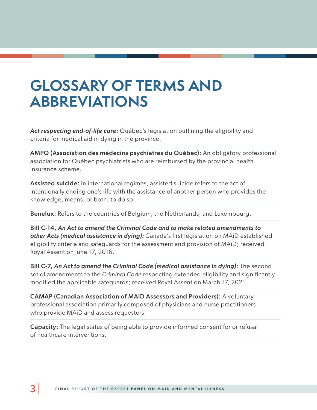# <span id="page-8-0"></span>**GLOSSARY OF TERMS AND ABBREVIATIONS**

*Act respecting end-of-life care*: Québec's legislation outlining the eligibility and criteria for medical aid in dying in the province.

AMPQ (Association des médecins psychiatres du Québec): An obligatory professional association for Québec psychiatrists who are reimbursed by the provincial health insurance scheme.

Assisted suicide: In international regimes, assisted suicide refers to the act of intentionally ending one's life with the assistance of another person who provides the knowledge, means, or both, to do so.

Benelux: Refers to the countries of Belgium, the Netherlands, and Luxembourg.

Bill C-14, *An Act to amend the Criminal Code and to make related amendments to other Acts (medical assistance in dying):* Canada's first legislation on MAiD established eligibility criteria and safeguards for the assessment and provision of MAiD; received Royal Assent on June 17, 2016.

Bill C-7, *An Act to amend the Criminal Code (medical assistance in dying)*: The second set of amendments to the *Criminal Code* respecting extended eligibility and significantly modified the applicable safeguards; received Royal Assent on March 17, 2021.

CAMAP (Canadian Association of MAiD Assessors and Providers): A voluntary professional association primarily composed of physicians and nurse practitioners who provide MAiD and assess requesters.

**Capacity:** The legal status of being able to provide informed consent for or refusal of healthcare interventions.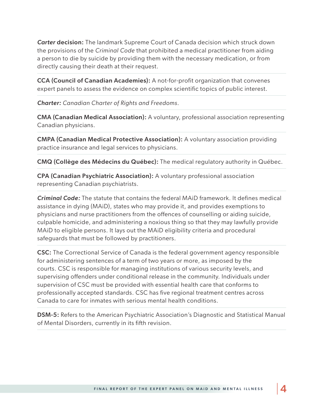*Carter* decision: The landmark Supreme Court of Canada decision which struck down the provisions of the *Criminal Code* that prohibited a medical practitioner from aiding a person to die by suicide by providing them with the necessary medication, or from directly causing their death at their request.

CCA (Council of Canadian Academies): A not-for-profit organization that convenes expert panels to assess the evidence on complex scientific topics of public interest.

*Charter: Canadian Charter of Rights and Freedoms*.

CMA (Canadian Medical Association): A voluntary, professional association representing Canadian physicians.

CMPA (Canadian Medical Protective Association): A voluntary association providing practice insurance and legal services to physicians.

CMQ (Collège des Médecins du Québec): The medical regulatory authority in Québec.

CPA (Canadian Psychiatric Association): A voluntary professional association representing Canadian psychiatrists.

*Criminal Code:* The statute that contains the federal MAiD framework. It defines medical assistance in dying (MAiD), states who may provide it, and provides exemptions to physicians and nurse practitioners from the offences of counselling or aiding suicide, culpable homicide, and administering a noxious thing so that they may lawfully provide MAiD to eligible persons. It lays out the MAiD eligibility criteria and procedural safeguards that must be followed by practitioners.

CSC: The Correctional Service of Canada is the federal government agency responsible for administering sentences of a term of two years or more, as imposed by the courts. CSC is responsible for managing institutions of various security levels, and supervising offenders under conditional release in the community. Individuals under supervision of CSC must be provided with essential health care that conforms to professionally accepted standards. CSC has five regional treatment centres across Canada to care for inmates with serious mental health conditions.

DSM-5: Refers to the American Psychiatric Association's Diagnostic and Statistical Manual of Mental Disorders, currently in its fifth revision.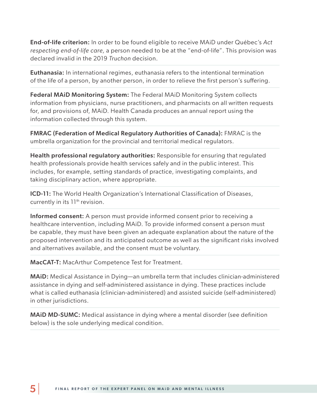End-of-life criterion: In order to be found eligible to receive MAiD under Québec's *Act respecting end-of-life care,* a person needed to be at the "end-of-life". This provision was declared invalid in the 2019 *Truchon* decision.

**Euthanasia:** In international regimes, euthanasia refers to the intentional termination of the life of a person, by another person, in order to relieve the first person's suffering.

Federal MAiD Monitoring System: The Federal MAiD Monitoring System collects information from physicians, nurse practitioners, and pharmacists on all written requests for, and provisions of, MAiD. Health Canada produces an annual report using the information collected through this system.

FMRAC (Federation of Medical Regulatory Authorities of Canada): FMRAC is the umbrella organization for the provincial and territorial medical regulators.

Health professional regulatory authorities: Responsible for ensuring that regulated health professionals provide health services safely and in the public interest. This includes, for example, setting standards of practice, investigating complaints, and taking disciplinary action, where appropriate.

ICD-11: The World Health Organization's International Classification of Diseases, currently in its 11<sup>th</sup> revision.

Informed consent: A person must provide informed consent prior to receiving a healthcare intervention, including MAiD. To provide informed consent a person must be capable, they must have been given an adequate explanation about the nature of the proposed intervention and its anticipated outcome as well as the significant risks involved and alternatives available, and the consent must be voluntary.

MacCAT-T: MacArthur Competence Test for Treatment.

MAiD: Medical Assistance in Dying—an umbrella term that includes clinician-administered assistance in dying and self-administered assistance in dying. These practices include what is called euthanasia (clinician-administered) and assisted suicide (self-administered) in other jurisdictions.

MAiD MD-SUMC: Medical assistance in dying where a mental disorder (see definition below) is the sole underlying medical condition.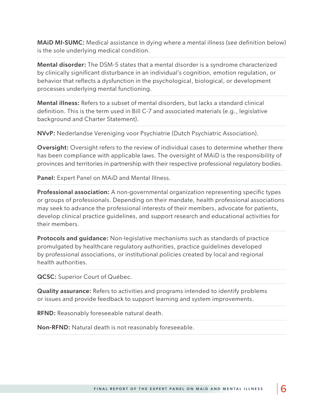MAiD MI-SUMC: Medical assistance in dying where a mental illness (see definition below) is the sole underlying medical condition.

Mental disorder: The DSM-5 states that a mental disorder is a syndrome characterized by clinically significant disturbance in an individual's cognition, emotion regulation, or behavior that reflects a dysfunction in the psychological, biological, or development processes underlying mental functioning.

Mental illness: Refers to a subset of mental disorders, but lacks a standard clinical definition. This is the term used in Bill C-7 and associated materials (e.g., legislative background and Charter Statement).

NVvP: Nederlandse Vereniging voor Psychiatrie (Dutch Psychiatric Association).

**Oversight:** Oversight refers to the review of individual cases to determine whether there has been compliance with applicable laws. The oversight of MAiD is the responsibility of provinces and territories in partnership with their respective professional regulatory bodies.

Panel: Expert Panel on MAID and Mental Illness.

**Professional association:** A non-governmental organization representing specific types or groups of professionals. Depending on their mandate, health professional associations may seek to advance the professional interests of their members, advocate for patients, develop clinical practice guidelines, and support research and educational activities for their members.

Protocols and guidance: Non-legislative mechanisms such as standards of practice promulgated by healthcare regulatory authorities, practice guidelines developed by professional associations, or institutional policies created by local and regional health authorities.

QCSC: Superior Court of Québec.

Quality assurance: Refers to activities and programs intended to identify problems or issues and provide feedback to support learning and system improvements.

RFND: Reasonably foreseeable natural death.

Non-RFND: Natural death is not reasonably foreseeable.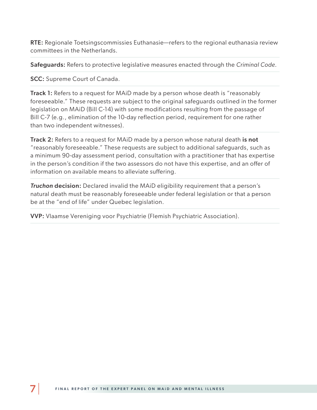RTE: Regionale Toetsingscommissies Euthanasie—refers to the regional euthanasia review committees in the Netherlands.

Safeguards: Refers to protective legislative measures enacted through the *Criminal Code.*

**SCC:** Supreme Court of Canada.

**Track 1:** Refers to a request for MAiD made by a person whose death is "reasonably foreseeable." These requests are subject to the original safeguards outlined in the former legislation on MAiD (Bill C-14) with some modifications resulting from the passage of Bill C-7 (e.g., elimination of the 10-day reflection period, requirement for one rather than two independent witnesses).

**Track 2:** Refers to a request for MAID made by a person whose natural death is not "reasonably foreseeable." These requests are subject to additional safeguards, such as a minimum 90-day assessment period, consultation with a practitioner that has expertise in the person's condition if the two assessors do not have this expertise, and an offer of information on available means to alleviate suffering.

*Truchon* decision: Declared invalid the MAiD eligibility requirement that a person's natural death must be reasonably foreseeable under federal legislation or that a person be at the "end of life" under Quebec legislation.

VVP: Vlaamse Vereniging voor Psychiatrie (Flemish Psychiatric Association).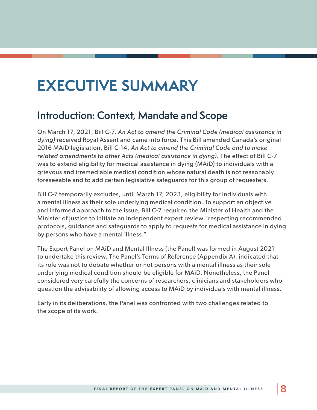# <span id="page-13-0"></span>**EXECUTIVE SUMMARY**

# **Introduction: Context, Mandate and Scope**

On March 17, 2021, Bill C-7, *An Act to amend the Criminal Code (medical assistance in dying)* received Royal Assent and came into force. This Bill amended Canada's original 2016 MAiD legislation, Bill C-14, *An Act to amend the Criminal Code and to make related amendments to other Acts (medical assistance in dying)*. The effect of Bill C-7 was to extend eligibility for medical assistance in dying (MAiD) to individuals with a grievous and irremediable medical condition whose natural death is not reasonably foreseeable and to add certain legislative safeguards for this group of requesters.

Bill C-7 temporarily excludes, until March 17, 2023, eligibility for individuals with a mental illness as their sole underlying medical condition. To support an objective and informed approach to the issue, Bill C-7 required the Minister of Health and the Minister of Justice to initiate an independent expert review "respecting recommended protocols, guidance and safeguards to apply to requests for medical assistance in dying by persons who have a mental illness."

The Expert Panel on MAiD and Mental Illness (the Panel) was formed in August 2021 to undertake this review. The Panel's Terms of Reference (Appendix A), indicated that its role was not to debate whether or not persons with a mental illness as their sole underlying medical condition should be eligible for MAiD. Nonetheless, the Panel considered very carefully the concerns of researchers, clinicians and stakeholders who question the advisability of allowing access to MAiD by individuals with mental illness.

Early in its deliberations, the Panel was confronted with two challenges related to the scope of its work.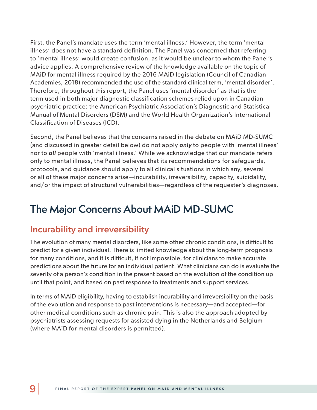First, the Panel's mandate uses the term 'mental illness.' However, the term 'mental illness' does not have a standard definition. The Panel was concerned that referring to 'mental illness' would create confusion, as it would be unclear to whom the Panel's advice applies. A comprehensive review of the knowledge available on the topic of MAiD for mental illness required by the 2016 MAiD legislation (Council of Canadian Academies, 2018) recommended the use of the standard clinical term, 'mental disorder'. Therefore, throughout this report, the Panel uses 'mental disorder' as that is the term used in both major diagnostic classification schemes relied upon in Canadian psychiatric practice: the American Psychiatric Association's Diagnostic and Statistical Manual of Mental Disorders (DSM) and the World Health Organization's International Classification of Diseases (ICD).

Second, the Panel believes that the concerns raised in the debate on MAiD MD-SUMC (and discussed in greater detail below) do not apply *only* to people with 'mental illness' nor to *all* people with 'mental illness.' While we acknowledge that our mandate refers only to mental illness, the Panel believes that its recommendations for safeguards, protocols, and guidance should apply to all clinical situations in which any, several or all of these major concerns arise—incurability, irreversibility, capacity, suicidality, and/or the impact of structural vulnerabilities—regardless of the requester's diagnoses.

# **The Major Concerns About MAiD MD-SUMC**

## Incurability and irreversibility

The evolution of many mental disorders, like some other chronic conditions, is difficult to predict for a given individual. There is limited knowledge about the long-term prognosis for many conditions, and it is difficult, if not impossible, for clinicians to make accurate predictions about the future for an individual patient. What clinicians can do is evaluate the severity of a person's condition in the present based on the evolution of the condition up until that point, and based on past response to treatments and support services.

In terms of MAiD eligibility, having to establish incurability and irreversibility on the basis of the evolution and response to past interventions is necessary—and accepted—for other medical conditions such as chronic pain. This is also the approach adopted by psychiatrists assessing requests for assisted dying in the Netherlands and Belgium (where MAiD for mental disorders is permitted).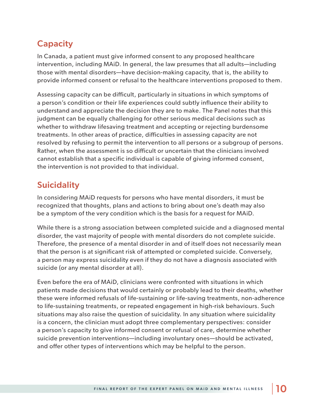## **Capacity**

In Canada, a patient must give informed consent to any proposed healthcare intervention, including MAiD. In general, the law presumes that all adults—including those with mental disorders—have decision-making capacity, that is, the ability to provide informed consent or refusal to the healthcare interventions proposed to them.

Assessing capacity can be difficult, particularly in situations in which symptoms of a person's condition or their life experiences could subtly influence their ability to understand and appreciate the decision they are to make. The Panel notes that this judgment can be equally challenging for other serious medical decisions such as whether to withdraw lifesaving treatment and accepting or rejecting burdensome treatments. In other areas of practice, difficulties in assessing capacity are not resolved by refusing to permit the intervention to all persons or a subgroup of persons. Rather, when the assessment is so difficult or uncertain that the clinicians involved cannot establish that a specific individual is capable of giving informed consent, the intervention is not provided to that individual.

## **Suicidality**

In considering MAiD requests for persons who have mental disorders, it must be recognized that thoughts, plans and actions to bring about one's death may also be a symptom of the very condition which is the basis for a request for MAiD.

While there is a strong association between completed suicide and a diagnosed mental disorder, the vast majority of people with mental disorders do not complete suicide. Therefore, the presence of a mental disorder in and of itself does not necessarily mean that the person is at significant risk of attempted or completed suicide. Conversely, a person may express suicidality even if they do not have a diagnosis associated with suicide (or any mental disorder at all).

Even before the era of MAiD, clinicians were confronted with situations in which patients made decisions that would certainly or probably lead to their deaths, whether these were informed refusals of life-sustaining or life-saving treatments, non-adherence to life-sustaining treatments, or repeated engagement in high-risk behaviours. Such situations may also raise the question of suicidality. In any situation where suicidality is a concern, the clinician must adopt three complementary perspectives: consider a person's capacity to give informed consent or refusal of care, determine whether suicide prevention interventions—including involuntary ones—should be activated, and offer other types of interventions which may be helpful to the person.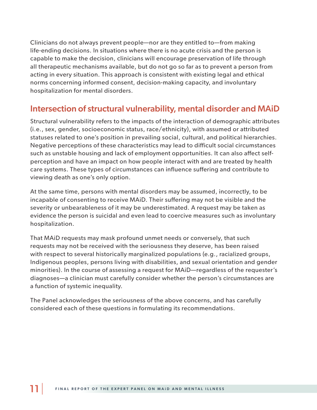Clinicians do not always prevent people—nor are they entitled to—from making life-ending decisions. In situations where there is no acute crisis and the person is capable to make the decision, clinicians will encourage preservation of life through all therapeutic mechanisms available, but do not go so far as to prevent a person from acting in every situation. This approach is consistent with existing legal and ethical norms concerning informed consent, decision-making capacity, and involuntary hospitalization for mental disorders.

## Intersection of structural vulnerability, mental disorder and MAiD

Structural vulnerability refers to the impacts of the interaction of demographic attributes (i.e., sex, gender, socioeconomic status, race/ethnicity), with assumed or attributed statuses related to one's position in prevailing social, cultural, and political hierarchies. Negative perceptions of these characteristics may lead to difficult social circumstances such as unstable housing and lack of employment opportunities. It can also affect selfperception and have an impact on how people interact with and are treated by health care systems. These types of circumstances can influence suffering and contribute to viewing death as one's only option.

At the same time, persons with mental disorders may be assumed, incorrectly, to be incapable of consenting to receive MAiD. Their suffering may not be visible and the severity or unbearableness of it may be underestimated. A request may be taken as evidence the person is suicidal and even lead to coercive measures such as involuntary hospitalization.

That MAiD requests may mask profound unmet needs or conversely, that such requests may not be received with the seriousness they deserve, has been raised with respect to several historically marginalized populations (e.g., racialized groups, Indigenous peoples, persons living with disabilities, and sexual orientation and gender minorities). In the course of assessing a request for MAiD—regardless of the requester's diagnoses—a clinician must carefully consider whether the person's circumstances are a function of systemic inequality.

The Panel acknowledges the seriousness of the above concerns, and has carefully considered each of these questions in formulating its recommendations.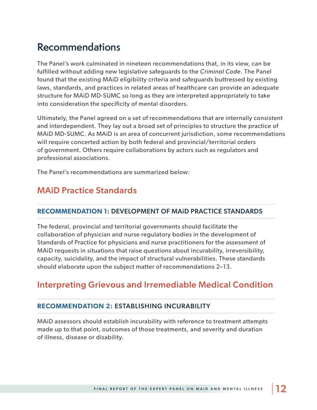# **Recommendations**

The Panel's work culminated in nineteen recommendations that, in its view, can be fulfilled without adding new legislative safeguards to the *Criminal Code*. The Panel found that the existing MAiD eligibility criteria and safeguards buttressed by existing laws, standards, and practices in related areas of healthcare can provide an adequate structure for MAiD MD-SUMC so long as they are interpreted appropriately to take into consideration the specificity of mental disorders.

Ultimately, the Panel agreed on a set of recommendations that are internally consistent and interdependent. They lay out a broad set of principles to structure the practice of MAiD MD-SUMC. As MAiD is an area of concurrent jurisdiction, some recommendations will require concerted action by both federal and provincial/territorial orders of government. Others require collaborations by actors such as regulators and professional associations.

The Panel's recommendations are summarized below:

## MAiD Practice Standards

#### **RECOMMENDATION 1:** DEVELOPMENT OF MAiD PRACTICE STANDARDS

The federal, provincial and territorial governments should facilitate the collaboration of physician and nurse regulatory bodies in the development of Standards of Practice for physicians and nurse practitioners for the assessment of MAiD requests in situations that raise questions about incurability, irreversibility, capacity, suicidality, and the impact of structural vulnerabilities. These standards should elaborate upon the subject matter of recommendations 2–13.

## Interpreting Grievous and Irremediable Medical Condition

#### **RECOMMENDATION 2:** ESTABLISHING INCURABILITY

MAiD assessors should establish incurability with reference to treatment attempts made up to that point, outcomes of those treatments, and severity and duration of illness, disease or disability.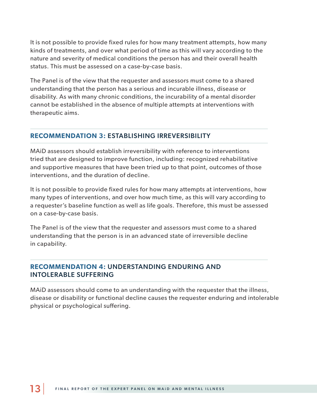It is not possible to provide fixed rules for how many treatment attempts, how many kinds of treatments, and over what period of time as this will vary according to the nature and severity of medical conditions the person has and their overall health status. This must be assessed on a case-by-case basis.

The Panel is of the view that the requester and assessors must come to a shared understanding that the person has a serious and incurable illness, disease or disability. As with many chronic conditions, the incurability of a mental disorder cannot be established in the absence of multiple attempts at interventions with therapeutic aims.

#### **RECOMMENDATION 3:** ESTABLISHING IRREVERSIBILITY

MAiD assessors should establish irreversibility with reference to interventions tried that are designed to improve function, including: recognized rehabilitative and supportive measures that have been tried up to that point, outcomes of those interventions, and the duration of decline.

It is not possible to provide fixed rules for how many attempts at interventions, how many types of interventions, and over how much time, as this will vary according to a requester's baseline function as well as life goals. Therefore, this must be assessed on a case-by-case basis.

The Panel is of the view that the requester and assessors must come to a shared understanding that the person is in an advanced state of irreversible decline in capability.

#### **RECOMMENDATION 4:** UNDERSTANDING ENDURING AND INTOLERABLE SUFFERING

MAiD assessors should come to an understanding with the requester that the illness, disease or disability or functional decline causes the requester enduring and intolerable physical or psychological suffering.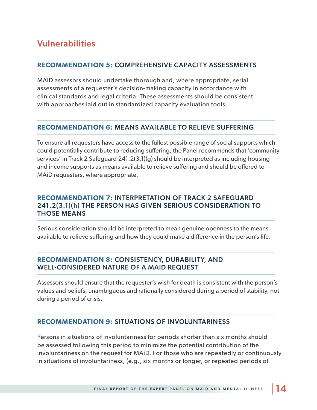## Vulnerabilities

#### **RECOMMENDATION 5:** COMPREHENSIVE CAPACITY ASSESSMENTS

MAiD assessors should undertake thorough and, where appropriate, serial assessments of a requester's decision-making capacity in accordance with clinical standards and legal criteria. These assessments should be consistent with approaches laid out in standardized capacity evaluation tools.

#### **RECOMMENDATION 6:** MEANS AVAILABLE TO RELIEVE SUFFERING

To ensure all requesters have access to the fullest possible range of social supports which could potentially contribute to reducing suffering, the Panel recommends that 'community services' in Track 2 Safeguard 241.2(3.1)(g) should be interpreted as including housing and income supports as means available to relieve suffering and should be offered to MAiD requesters, where appropriate.

#### **RECOMMENDATION 7:** INTERPRETATION OF TRACK 2 SAFEGUARD 241.2(3.1)(h) THE PERSON HAS GIVEN SERIOUS CONSIDERATION TO THOSE MEANS

Serious consideration should be interpreted to mean genuine openness to the means available to relieve suffering and how they could make a difference in the person's life.

#### **RECOMMENDATION 8:** CONSISTENCY, DURABILITY, AND WELL-CONSIDERED NATURE OF A MAiD REQUEST

Assessors should ensure that the requester's wish for death is consistent with the person's values and beliefs, unambiguous and rationally considered during a period of stability, not during a period of crisis.

#### **RECOMMENDATION 9:** SITUATIONS OF INVOLUNTARINESS

Persons in situations of involuntariness for periods shorter than six months should be assessed following this period to minimize the potential contribution of the involuntariness on the request for MAiD. For those who are repeatedly or continuously in situations of involuntariness, (e.g., six months or longer, or repeated periods of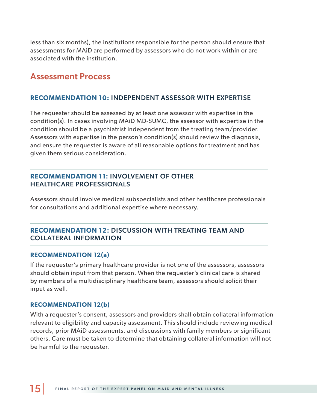less than six months), the institutions responsible for the person should ensure that assessments for MAiD are performed by assessors who do not work within or are associated with the institution.

### Assessment Process

#### **RECOMMENDATION 10:** INDEPENDENT ASSESSOR WITH EXPERTISE

The requester should be assessed by at least one assessor with expertise in the condition(s). In cases involving MAiD MD-SUMC, the assessor with expertise in the condition should be a psychiatrist independent from the treating team/provider. Assessors with expertise in the person's condition(s) should review the diagnosis, and ensure the requester is aware of all reasonable options for treatment and has given them serious consideration.

#### **RECOMMENDATION 11:** INVOLVEMENT OF OTHER HEALTHCARE PROFESSIONALS

Assessors should involve medical subspecialists and other healthcare professionals for consultations and additional expertise where necessary.

#### **RECOMMENDATION 12:** DISCUSSION WITH TREATING TEAM AND COLLATERAL INFORMATION

#### **RECOMMENDATION 12(a)**

If the requester's primary healthcare provider is not one of the assessors, assessors should obtain input from that person. When the requester's clinical care is shared by members of a multidisciplinary healthcare team, assessors should solicit their input as well.

#### **RECOMMENDATION 12(b)**

With a requester's consent, assessors and providers shall obtain collateral information relevant to eligibility and capacity assessment. This should include reviewing medical records, prior MAiD assessments, and discussions with family members or significant others. Care must be taken to determine that obtaining collateral information will not be harmful to the requester.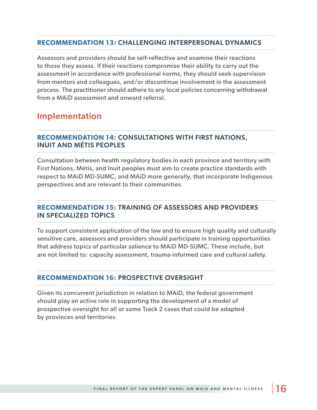#### **RECOMMENDATION 13:** CHALLENGING INTERPERSONAL DYNAMICS

Assessors and providers should be self-reflective and examine their reactions to those they assess. If their reactions compromise their ability to carry out the assessment in accordance with professional norms, they should seek supervision from mentors and colleagues, and/or discontinue involvement in the assessment process. The practitioner should adhere to any local policies concerning withdrawal from a MAiD assessment and onward referral.

### Implementation

#### **RECOMMENDATION 14:** CONSULTATIONS WITH FIRST NATIONS, INUIT AND MÉTIS PEOPLES

Consultation between health regulatory bodies in each province and territory with First Nations, Métis, and Inuit peoples must aim to create practice standards with respect to MAiD MD-SUMC, and MAiD more generally, that incorporate Indigenous perspectives and are relevant to their communities.

#### **RECOMMENDATION 15:** TRAINING OF ASSESSORS AND PROVIDERS IN SPECIALIZED TOPICS

To support consistent application of the law and to ensure high quality and culturally sensitive care, assessors and providers should participate in training opportunities that address topics of particular salience to MAiD MD-SUMC. These include, but are not limited to: capacity assessment, trauma-informed care and cultural safety.

#### **RECOMMENDATION 16:** PROSPECTIVE OVERSIGHT

Given its concurrent jurisdiction in relation to MAiD, the federal government should play an active role in supporting the development of a model of prospective oversight for all or some Track 2 cases that could be adapted by provinces and territories.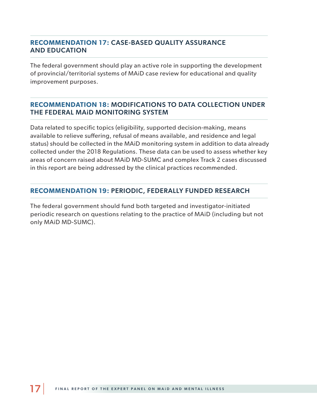### **RECOMMENDATION 17:** CASE-BASED QUALITY ASSURANCE AND EDUCATION

The federal government should play an active role in supporting the development of provincial/territorial systems of MAiD case review for educational and quality improvement purposes.

#### **RECOMMENDATION 18:** MODIFICATIONS TO DATA COLLECTION UNDER THE FEDERAL MAiD MONITORING SYSTEM

Data related to specific topics (eligibility, supported decision-making, means available to relieve suffering, refusal of means available, and residence and legal status) should be collected in the MAiD monitoring system in addition to data already collected under the 2018 Regulations. These data can be used to assess whether key areas of concern raised about MAiD MD-SUMC and complex Track 2 cases discussed in this report are being addressed by the clinical practices recommended.

#### **RECOMMENDATION 19:** PERIODIC, FEDERALLY FUNDED RESEARCH

The federal government should fund both targeted and investigator-initiated periodic research on questions relating to the practice of MAiD (including but not only MAiD MD-SUMC).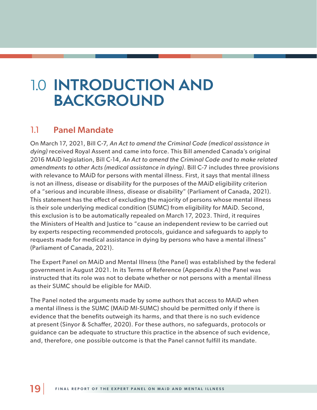# <span id="page-24-0"></span>1.0 **INTRODUCTION AND BACKGROUND**

## 1.1 Panel Mandate

On March 17, 2021, Bill C-7, *An Act to amend the Criminal Code (medical assistance in dying)* received Royal Assent and came into force. This Bill amended Canada's original 2016 MAiD legislation, Bill C-14, *An Act to amend the Criminal Code and to make related amendments to other Acts (medical assistance in dying)*. Bill C-7 includes three provisions with relevance to MAiD for persons with mental illness. First, it says that mental illness is not an illness, disease or disability for the purposes of the MAiD eligibility criterion of a "serious and incurable illness, disease or disability" (Parliament of Canada, 2021). This statement has the effect of excluding the majority of persons whose mental illness is their sole underlying medical condition (SUMC) from eligibility for MAiD. Second, this exclusion is to be automatically repealed on March 17, 2023. Third, it requires the Ministers of Health and Justice to "cause an independent review to be carried out by experts respecting recommended protocols, guidance and safeguards to apply to requests made for medical assistance in dying by persons who have a mental illness" (Parliament of Canada, 2021).

The Expert Panel on MAiD and Mental Illness (the Panel) was established by the federal government in August 2021. In its Terms of Reference (Appendix A) the Panel was instructed that its role was not to debate whether or not persons with a mental illness as their SUMC should be eligible for MAiD.

The Panel noted the arguments made by some authors that access to MAiD when a mental illness is the SUMC (MAiD MI-SUMC) should be permitted only if there is evidence that the benefits outweigh its harms, and that there is no such evidence at present (Sinyor & Schaffer, 2020). For these authors, no safeguards, protocols or guidance can be adequate to structure this practice in the absence of such evidence, and, therefore, one possible outcome is that the Panel cannot fulfill its mandate.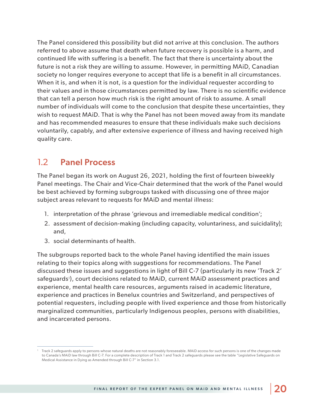<span id="page-25-0"></span>The Panel considered this possibility but did not arrive at this conclusion. The authors referred to above assume that death when future recovery is possible is a harm, and continued life with suffering is a benefit. The fact that there is uncertainty about the future is not a risk they are willing to assume. However, in permitting MAiD, Canadian society no longer requires everyone to accept that life is a benefit in all circumstances. When it is, and when it is not, is a question for the individual requester according to their values and in those circumstances permitted by law. There is no scientific evidence that can tell a person how much risk is the right amount of risk to assume. A small number of individuals will come to the conclusion that despite these uncertainties, they wish to request MAiD. That is why the Panel has not been moved away from its mandate and has recommended measures to ensure that these individuals make such decisions voluntarily, capably, and after extensive experience of illness and having received high quality care.

## 1.2 Panel Process

The Panel began its work on August 26, 2021, holding the first of fourteen biweekly Panel meetings. The Chair and Vice-Chair determined that the work of the Panel would be best achieved by forming subgroups tasked with discussing one of three major subject areas relevant to requests for MAiD and mental illness:

- 1. interpretation of the phrase 'grievous and irremediable medical condition';
- 2. assessment of decision-making (including capacity, voluntariness, and suicidality); and,
- 3. social determinants of health.

The subgroups reported back to the whole Panel having identified the main issues relating to their topics along with suggestions for recommendations. The Panel discussed these issues and suggestions in light of Bill C-7 (particularly its new 'Track 2' safeguards<sup>1</sup>), court decisions related to MAiD, current MAiD assessment practices and experience, mental health care resources, arguments raised in academic literature, experience and practices in Benelux countries and Switzerland, and perspectives of potential requesters, including people with lived experience and those from historically marginalized communities, particularly Indigenous peoples, persons with disabilities, and incarcerated persons.

<sup>&</sup>lt;sup>1</sup> Track 2 safeguards apply to persons whose natural deaths are not reasonably foreseeable. MAiD access for such persons is one of the changes made to Canada's MAiD law through Bill C-7. For a complete description of Track 1 and Track 2 safeguards please see the table "Legislative Safeguards on Medical Assistance in Dying as Amended through Bill C-7" in Section 3.1.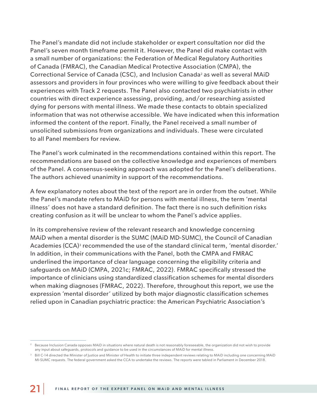The Panel's mandate did not include stakeholder or expert consultation nor did the Panel's seven month timeframe permit it. However, the Panel did make contact with a small number of organizations: the Federation of Medical Regulatory Authorities of Canada (FMRAC), the Canadian Medical Protective Association (CMPA), the Correctional Service of Canada (CSC), and Inclusion Canada<sup>2</sup> as well as several MAiD assessors and providers in four provinces who were willing to give feedback about their experiences with Track 2 requests. The Panel also contacted two psychiatrists in other countries with direct experience assessing, providing, and/or researching assisted dying for persons with mental illness. We made these contacts to obtain specialized information that was not otherwise accessible. We have indicated when this information informed the content of the report. Finally, the Panel received a small number of unsolicited submissions from organizations and individuals. These were circulated to all Panel members for review.

The Panel's work culminated in the recommendations contained within this report. The recommendations are based on the collective knowledge and experiences of members of the Panel. A consensus-seeking approach was adopted for the Panel's deliberations. The authors achieved unanimity in support of the recommendations.

A few explanatory notes about the text of the report are in order from the outset. While the Panel's mandate refers to MAiD for persons with mental illness, the term 'mental illness' does not have a standard definition. The fact there is no such definition risks creating confusion as it will be unclear to whom the Panel's advice applies.

In its comprehensive review of the relevant research and knowledge concerning MAiD when a mental disorder is the SUMC (MAiD MD-SUMC), the Council of Canadian Academies (CCA)<sup>3</sup> recommended the use of the standard clinical term, 'mental disorder.' In addition, in their communications with the Panel, both the CMPA and FMRAC underlined the importance of clear language concerning the eligibility criteria and safeguards on MAiD (CMPA, 2021c; FMRAC, 2022). FMRAC specifically stressed the importance of clinicians using standardized classification schemes for mental disorders when making diagnoses (FMRAC, 2022). Therefore, throughout this report, we use the expression 'mental disorder' utilized by both major diagnostic classification schemes relied upon in Canadian psychiatric practice: the American Psychiatric Association's

<sup>&</sup>lt;sup>2</sup> Because Inclusion Canada opposes MAiD in situations where natural death is not reasonably foreseeable, the organization did not wish to provide any input about safeguards, protocols and guidance to be used in the circumstances of MAiD for mental illness.

<sup>&</sup>lt;sup>3</sup> Bill C-14 directed the Minister of Justice and Minister of Health to initiate three independent reviews relating to MAiD including one concerning MAiD MI-SUMC requests. The federal government asked the CCA to undertake the reviews. The reports were tabled in Parliament in December 2018.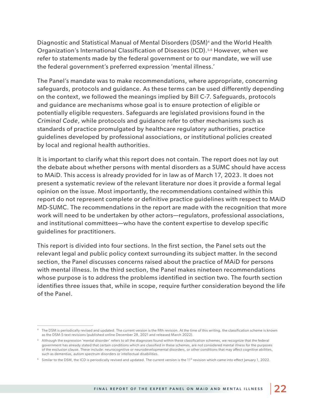Diagnostic and Statistical Manual of Mental Disorders (DSM)4 and the World Health Organization's International Classification of Diseases (ICD).<sup>5,6</sup> However, when we refer to statements made by the federal government or to our mandate, we will use the federal government's preferred expression 'mental illness.'

The Panel's mandate was to make recommendations, where appropriate, concerning safeguards, protocols and guidance. As these terms can be used differently depending on the context, we followed the meanings implied by Bill C-7. Safeguards, protocols and guidance are mechanisms whose goal is to ensure protection of eligible or potentially eligible requesters. Safeguards are legislated provisions found in the *Criminal Code*, while protocols and guidance refer to other mechanisms such as standards of practice promulgated by healthcare regulatory authorities, practice guidelines developed by professional associations, or institutional policies created by local and regional health authorities.

It is important to clarify what this report does not contain. The report does not lay out the debate about whether persons with mental disorders as a SUMC should have access to MAiD. This access is already provided for in law as of March 17, 2023. It does not present a systematic review of the relevant literature nor does it provide a formal legal opinion on the issue. Most importantly, the recommendations contained within this report do not represent complete or definitive practice guidelines with respect to MAiD MD-SUMC. The recommendations in the report are made with the recognition that more work will need to be undertaken by other actors—regulators, professional associations, and institutional committees—who have the content expertise to develop specific guidelines for practitioners.

This report is divided into four sections. In the first section, the Panel sets out the relevant legal and public policy context surrounding its subject matter. In the second section, the Panel discusses concerns raised about the practice of MAiD for persons with mental illness. In the third section, the Panel makes nineteen recommendations whose purpose is to address the problems identified in section two. The fourth section identifies three issues that, while in scope, require further consideration beyond the life of the Panel.

<sup>4</sup> The DSM is periodically revised and updated. The current version is the fifth revision. At the time of this writing, the classification scheme is known as the DSM-5-text revisions (published online December 28, 2021 and released March 2022).

<sup>5</sup> Although the expression 'mental disorder' refers to all the diagnoses found within these classification schemes, we recognize that the federal government has already stated that certain conditions which are classified in these schemes, are not considered mental illness for the purposes of the exclusion clause. These include: neurocognitive or neurodevelopmental disorders, or other conditions that may affect cognitive abilities, such as dementias, autism spectrum disorders or intellectual disabilities.

 $6$  Similar to the DSM, the ICD is periodically revised and updated. The current version is the  $11<sup>th</sup>$  revision which came into effect January 1, 2022.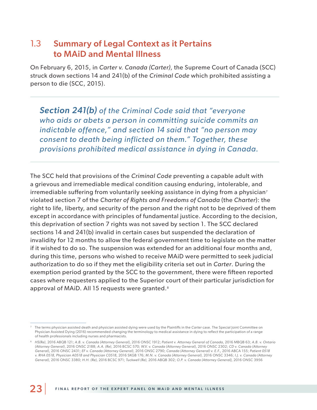## <span id="page-28-0"></span>1.3 Summary of Legal Context as it Pertains to MAiD and Mental Illness

On February 6, 2015, in *Carter v. Canada (Carter),* the Supreme Court of Canada (SCC) struck down sections 14 and 241(b) of the *Criminal Code* which prohibited assisting a person to die (SCC, 2015).

*Section 241(b) of the Criminal Code said that "everyone who aids or abets a person in committing suicide commits an indictable offence," and section 14 said that "no person may consent to death being inflicted on them." Together, these provisions prohibited medical assistance in dying in Canada.*

The SCC held that provisions of the *Criminal Code* preventing a capable adult with a grievous and irremediable medical condition causing enduring, intolerable, and irremediable suffering from voluntarily seeking assistance in dying from a physician<sup>7</sup> violated section 7 of the *Charter of Rights and Freedoms of Canada* (the *Charter*): the right to life, liberty, and security of the person and the right not to be deprived of them except in accordance with principles of fundamental justice. According to the decision, this deprivation of section 7 rights was not saved by section 1. The SCC declared sections 14 and 241(b) invalid in certain cases but suspended the declaration of invalidity for 12 months to allow the federal government time to legislate on the matter if it wished to do so. The suspension was extended for an additional four months and, during this time, persons who wished to receive MAiD were permitted to seek judicial authorization to do so if they met the eligibility criteria set out in *Carter*. During the exemption period granted by the SCC to the government, there were fifteen reported cases where requesters applied to the Superior court of their particular jurisdiction for approval of MAiD. All 15 requests were granted.<sup>8</sup>

<sup>7</sup> The terms physician assisted death and physician assisted dying were used by the Plaintiffs in the *Carter* case. The Special Joint Committee on Physician Assisted Dying (2016) recommended changing the terminology to medical assistance in dying to reflect the participation of a range of health professionals including nurses and pharmacists.

<sup>8</sup> *HS(Re)*, 2016 ABQB 121; *A.B. v. Canada (Attorney General),* 2016 ONSC 1912; *Patient v. Attorney General of Canada,* 2016 MBQB 63; *A.B. v. Ontario (Attorney General)*, 2016 ONSC 2188; *A.A. (Re)*, 2016 BCSC 570; *W.V. v. Canada (Attorney General),* 2016 ONSC 2302; *CD v. Canada (Attorney General),* 2016 ONSC 2431; *EF v. Canada (Attorney General)*, 2016 ONSC 2790; *Canada (Attorney General) v. E.F.,* 2016 ABCA 155; *Patient 0518 v. RHA 0518, Physician A0518 and Physician C0518,* 2016 SKGB 176; *M.N. v. Canada (Attorney General),* 2016 ONSC 3346; *I.J. v. Canada (Attorney General),* 2016 ONSC 3380; *H.H. (Re),* 2016 BCSC 971; *Tuckwell (Re),* 2016 ABQB 302; *O.P. v. Canada (Attorney General),* 2016 ONSC 3956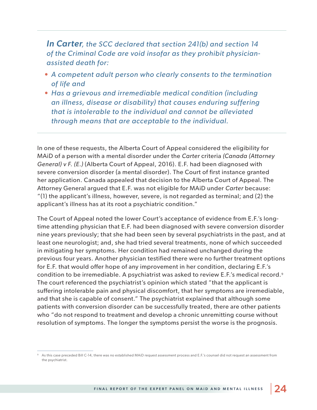*In Carter, the SCC declared that section 241(b) and section 14 of the Criminal Code are void insofar as they prohibit physicianassisted death for:*

- *• A competent adult person who clearly consents to the termination of life and*
- *• Has a grievous and irremediable medical condition (including an illness, disease or disability) that causes enduring suffering that is intolerable to the individual and cannot be alleviated through means that are acceptable to the individual.*

In one of these requests, the Alberta Court of Appeal considered the eligibility for MAiD of a person with a mental disorder under the *Carter* criteria *(Canada (Attorney General) v F. (E.)* (Alberta Court of Appeal, 2016). E.F. had been diagnosed with severe conversion disorder (a mental disorder). The Court of first instance granted her application. Canada appealed that decision to the Alberta Court of Appeal. The Attorney General argued that E.F. was not eligible for MAiD under *Carter* because: "(1) the applicant's illness, however, severe, is not regarded as terminal; and (2) the applicant's illness has at its root a psychiatric condition."

The Court of Appeal noted the lower Court's acceptance of evidence from E.F.'s longtime attending physician that E.F. had been diagnosed with severe conversion disorder nine years previously; that she had been seen by several psychiatrists in the past, and at least one neurologist; and, she had tried several treatments, none of which succeeded in mitigating her symptoms. Her condition had remained unchanged during the previous four years. Another physician testified there were no further treatment options for E.F. that would offer hope of any improvement in her condition, declaring E.F.'s condition to be irremediable. A psychiatrist was asked to review E.F.'s medical record*.*<sup>9</sup> The court referenced the psychiatrist's opinion which stated "that the applicant is suffering intolerable pain and physical discomfort, that her symptoms are irremediable, and that she is capable of consent." The psychiatrist explained that although some patients with conversion disorder can be successfully treated, there are other patients who "do not respond to treatment and develop a chronic unremitting course without resolution of symptoms. The longer the symptoms persist the worse is the prognosis.

As this case preceded Bill C-14, there was no established MAiD request assessment process and E.F.'s counsel did not request an assessment from the psychiatrist.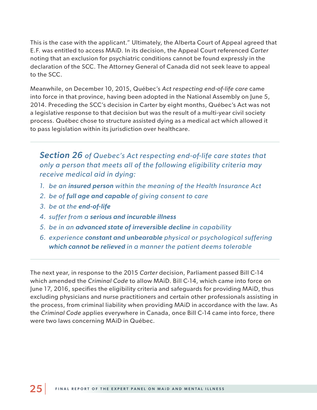This is the case with the applicant." Ultimately, the Alberta Court of Appeal agreed that E.F. was entitled to access MAiD. In its decision, the Appeal Court referenced *Carter* noting that an exclusion for psychiatric conditions cannot be found expressly in the declaration of the SCC. The Attorney General of Canada did not seek leave to appeal to the SCC.

Meanwhile, on December 10, 2015, Québec's *Act respecting end-of-life care* came into force in that province, having been adopted in the National Assembly on June 5, 2014. Preceding the SCC's decision in Carter by eight months, Québec's Act was not a legislative response to that decision but was the result of a multi-year civil society process. Québec chose to structure assisted dying as a medical act which allowed it to pass legislation within its jurisdiction over healthcare.

*Section 26 of Quebec's Act respecting end-of-life care states that only a person that meets all of the following eligibility criteria may receive medical aid in dying:*

- *1. be an insured person within the meaning of the Health Insurance Act*
- *2. be of full age and capable of giving consent to care*
- *3. be at the end-of-life*
- *4. suffer from a serious and incurable illness*
- *5. be in an advanced state of irreversible decline in capability*
- *6. experience constant and unbearable physical or psychological suffering which cannot be relieved in a manner the patient deems tolerable*

The next year, in response to the 2015 *Carter* decision, Parliament passed Bill C-14 which amended the *Criminal Code* to allow MAiD. Bill C-14, which came into force on June 17, 2016, specifies the eligibility criteria and safeguards for providing MAiD, thus excluding physicians and nurse practitioners and certain other professionals assisting in the process, from criminal liability when providing MAiD in accordance with the law. As the *Criminal Code* applies everywhere in Canada, once Bill C-14 came into force, there were two laws concerning MAiD in Québec.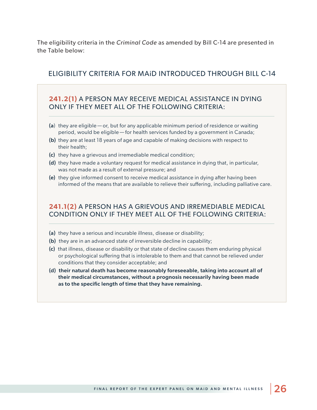The eligibility criteria in the *Criminal Code* as amended by Bill C-14 are presented in the Table below:

#### ELIGIBILITY CRITERIA FOR MAiD INTRODUCED THROUGH BILL C-14

#### **241.2(1)** A PERSON MAY RECEIVE MEDICAL ASSISTANCE IN DYING ONLY IF THEY MEET ALL OF THE FOLLOWING CRITERIA:

- (a) they are eligible or, but for any applicable minimum period of residence or waiting period, would be eligible — for health services funded by a government in Canada;
- (b) they are at least 18 years of age and capable of making decisions with respect to their health;
- (c) they have a grievous and irremediable medical condition;
- (d) they have made a voluntary request for medical assistance in dying that, in particular, was not made as a result of external pressure; and
- (e) they give informed consent to receive medical assistance in dying after having been informed of the means that are available to relieve their suffering, including palliative care.

#### **241.1(2)** A PERSON HAS A GRIEVOUS AND IRREMEDIABLE MEDICAL CONDITION ONLY IF THEY MEET ALL OF THE FOLLOWING CRITERIA:

- (a) they have a serious and incurable illness, disease or disability;
- (b) they are in an advanced state of irreversible decline in capability;
- (c) that illness, disease or disability or that state of decline causes them enduring physical or psychological suffering that is intolerable to them and that cannot be relieved under conditions that they consider acceptable; and
- (d) their natural death has become reasonably foreseeable, taking into account all of their medical circumstances, without a prognosis necessarily having been made as to the specific length of time that they have remaining.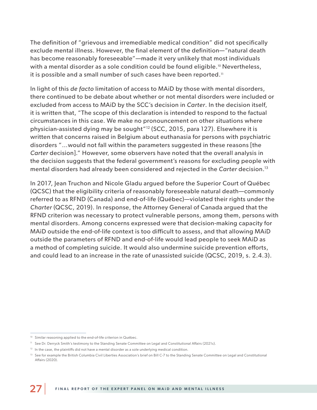The definition of "grievous and irremediable medical condition" did not specifically exclude mental illness. However, the final element of the definition—"natural death has become reasonably foreseeable"—made it very unlikely that most individuals with a mental disorder as a sole condition could be found eligible.<sup>10</sup> Nevertheless, it is possible and a small number of such cases have been reported.<sup>11</sup>

In light of this *de facto* limitation of access to MAiD by those with mental disorders, there continued to be debate about whether or not mental disorders were included or excluded from access to MAiD by the SCC's decision in *Carter*. In the decision itself, it is written that, "The scope of this declaration is intended to respond to the factual circumstances in this case. We make no pronouncement on other situations where physician-assisted dying may be sought"12 (SCC, 2015, para 127). Elsewhere it is written that concerns raised in Belgium about euthanasia for persons with psychiatric disorders "…would not fall within the parameters suggested in these reasons [the *Carter* decision]." However, some observers have noted that the overall analysis in the decision suggests that the federal government's reasons for excluding people with mental disorders had already been considered and rejected in the *Carter* decision.13

In 2017, Jean Truchon and Nicole Gladu argued before the Superior Court of Québec (QCSC) that the eligibility criteria of reasonably foreseeable natural death—commonly referred to as RFND (Canada) and end-of-life (Québec)—violated their rights under the *Charter* (QCSC, 2019). In response, the Attorney General of Canada argued that the RFND criterion was necessary to protect vulnerable persons, among them, persons with mental disorders. Among concerns expressed were that decision-making capacity for MAiD outside the end-of-life context is too difficult to assess, and that allowing MAiD outside the parameters of RFND and end-of-life would lead people to seek MAiD as a method of completing suicide. It would also undermine suicide prevention efforts, and could lead to an increase in the rate of unassisted suicide (QCSC, 2019, s. 2.4.3).

<sup>&</sup>lt;sup>10</sup> Similar reasoning applied to the end-of-life criterion in Québec.

<sup>&</sup>lt;sup>11</sup> See Dr. Derryck Smith's testimony to the Standing Senate Committee on Legal and Constitutional Affairs (2021c).

 $12$  In the case, the plaintiffs did not have a mental disorder as a sole underlying medical condition.

<sup>&</sup>lt;sup>13</sup> See for example the British Columbia Civil Liberties Association's brief on Bill C-7 to the Standing Senate Committee on Legal and Constitutional Affairs (2020).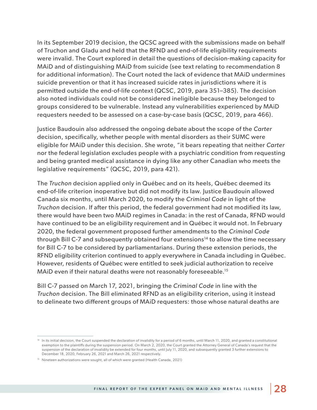In its September 2019 decision, the QCSC agreed with the submissions made on behalf of Truchon and Gladu and held that the RFND and end-of-life eligibility requirements were invalid. The Court explored in detail the questions of decision-making capacity for MAiD and of distinguishing MAiD from suicide (see text relating to recommendation 8 for additional information). The Court noted the lack of evidence that MAiD undermines suicide prevention or that it has increased suicide rates in jurisdictions where it is permitted outside the end-of-life context (QCSC, 2019, para 351–385). The decision also noted individuals could not be considered ineligible because they belonged to groups considered to be vulnerable. Instead any vulnerabilities experienced by MAiD requesters needed to be assessed on a case-by-case basis (QCSC, 2019, para 466).

Justice Baudouin also addressed the ongoing debate about the scope of the *Carter* decision, specifically, whether people with mental disorders as their SUMC were eligible for MAiD under this decision. She wrote, "it bears repeating that neither *Carter* nor the federal legislation excludes people with a psychiatric condition from requesting and being granted medical assistance in dying like any other Canadian who meets the legislative requirements" (QCSC, 2019, para 421).

The *Truchon* decision applied only in Québec and on its heels, Québec deemed its end-of-life criterion inoperative but did not modify its law. Justice Baudouin allowed Canada six months, until March 2020, to modify the *Criminal Code* in light of the *Truchon* decision. If after this period, the federal government had not modified its law, there would have been two MAiD regimes in Canada: in the rest of Canada, RFND would have continued to be an eligibility requirement and in Québec it would not. In February 2020, the federal government proposed further amendments to the *Criminal Code* through Bill C-7 and subsequently obtained four extensions<sup>14</sup> to allow the time necessary for Bill C-7 to be considered by parliamentarians. During these extension periods, the RFND eligibility criterion continued to apply everywhere in Canada including in Québec. However, residents of Québec were entitled to seek judicial authorization to receive MAID even if their natural deaths were not reasonably foreseeable.<sup>15</sup>

Bill C-7 passed on March 17, 2021, bringing the *Criminal Code* in line with the *Truchon* decision. The Bill eliminated RFND as an eligibility criterion, using it instead to delineate two different groups of MAiD requesters: those whose natural deaths are

 $14$  In its initial decision, the Court suspended the declaration of invalidity for a period of 6 months, until March 11, 2020, and granted a constitutional exemption to the plaintiffs during the suspension period. On March 2, 2020, the Court granted the Attorney General of Canada's request that the suspension of the declaration of invalidity be extended for four months, until July 11, 2020, and subsequently granted 3 further extensions to December 18, 2020, February 26, 2021 and March 26, 2021 respectively.

<sup>&</sup>lt;sup>15</sup> Nineteen authorizations were sought, all of which were granted (Health Canada, 2021)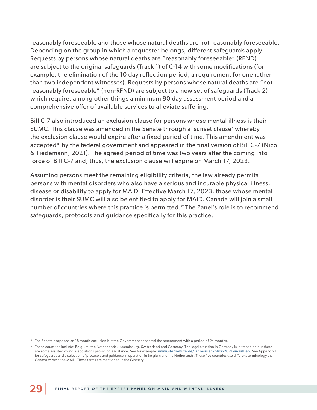reasonably foreseeable and those whose natural deaths are not reasonably foreseeable. Depending on the group in which a requester belongs, different safeguards apply. Requests by persons whose natural deaths are "reasonably foreseeable" (RFND) are subject to the original safeguards (Track 1) of C-14 with some modifications (for example, the elimination of the 10 day reflection period, a requirement for one rather than two independent witnesses). Requests by persons whose natural deaths are "not reasonably foreseeable" (non-RFND) are subject to a new set of safeguards (Track 2) which require, among other things a minimum 90 day assessment period and a comprehensive offer of available services to alleviate suffering.

Bill C-7 also introduced an exclusion clause for persons whose mental illness is their SUMC. This clause was amended in the Senate through a 'sunset clause' whereby the exclusion clause would expire after a fixed period of time. This amendment was accepted<sup>16</sup> by the federal government and appeared in the final version of Bill C-7 (Nicol & Tiedemann, 2021). The agreed period of time was two years after the coming into force of Bill C-7 and, thus, the exclusion clause will expire on March 17, 2023.

Assuming persons meet the remaining eligibility criteria, the law already permits persons with mental disorders who also have a serious and incurable physical illness, disease or disability to apply for MAiD. Effective March 17, 2023, those whose mental disorder is their SUMC will also be entitled to apply for MAiD. Canada will join a small number of countries where this practice is permitted.<sup>17</sup> The Panel's role is to recommend safeguards, protocols and guidance specifically for this practice.

<sup>&</sup>lt;sup>16</sup> The Senate proposed an 18 month exclusion but the Government accepted the amendment with a period of 24 months.

<sup>&</sup>lt;sup>17</sup> These countries include: Belgium, the Netherlands, Luxembourg, Switzerland and Germany. The legal situation in Germany is in transition but there are some assisted dying associations providing assistance. See for example: [www.sterbehilfe.de/jahresrueckblick-2021-in-zahlen.](https://can01.safelinks.protection.outlook.com/?url=https%3A%2F%2Fwww.sterbehilfe.de%2Fjahresrueckblick-2021-in-zahlen%2F&data=04%7C01%7Cmona.gupta%40umontreal.ca%7C8561b6d8db6247d1801808d9f6565083%7Cd27eefec2a474be7981e0f8977fa31d8%7C1%7C0%7C637811673982259307%7CUnknown%7CTWFpbGZsb3d8eyJWIjoiMC4wLjAwMDAiLCJQIjoiV2luMzIiLCJBTiI6Ik1haWwiLCJXVCI6Mn0%3D%7C3000&sdata=f2nfoPp%2F90obF9zQxZs0zTKT2OoP1lb8OGhb6NoG7j0%3D&reserved=0) See Appendix D for safeguards and a selection of protocols and guidance in operation in Belgium and the Netherlands. These five countries use different terminology than Canada to describe MAiD. These terms are mentioned in the Glossary.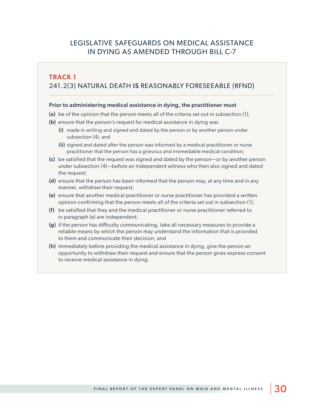### LEGISLATIVE SAFEGUARDS ON MEDICAL ASSISTANCE IN DYING AS AMENDED THROUGH BILL C-7

### **TRACK 1** 241.2(3) NATURAL DEATH IS REASONABLY FORESEEABLE (RFND)

#### Prior to administering medical assistance in dying, the practitioner must

- (a) be of the opinion that the person meets all of the criteria set out in subsection (1);
- (b) ensure that the person's request for medical assistance in dying was
	- (i) made in writing and signed and dated by the person or by another person under subsection (4), and
	- (ii) signed and dated after the person was informed by a medical practitioner or nurse practitioner that the person has a grievous and irremedable medical condition;
- (c) be satisfied that the request was signed and dated by the person—or by another person under subsection (4)—before an independent witness who then also signed and dated the request;
- (d) ensure that the person has been informed that the person may, at any time and in any manner, withdraw their request;
- (e) ensure that another medical practitioner or nurse practitioner has provided a written opinion confirming that the person meets all of the criteria set out in subsection (1);
- (f) be satisfied that they and the medical practitioner or nurse practitioner referred to in paragraph (e) are independent;
- (g) if the person has difficulty communicating, take all necessary measures to provide a reliable means by which the person may understand the information that is provided to them and communicate their decision; and
- (h) immediately before providing the medical assistance in dying, give the person an opportunity to withdraw their request and ensure that the person gives express consent to receive medical assistance in dying.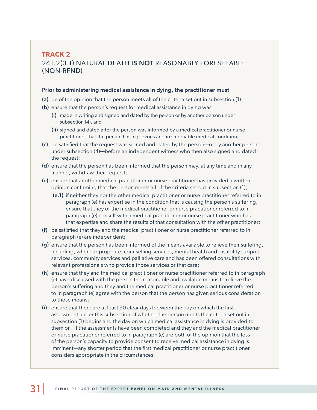### **TRACK 2** 241.2(3.1) NATURAL DEATH IS NOT REASONABLY FORESEEABLE (NON-RFND)

#### Prior to administering medical assistance in dying, the practitioner must

- (a) be of the opinion that the person meets all of the criteria set out in subsection (1);
- (b) ensure that the person's request for medical assistance in dying was
	- (i) made in writing and signed and dated by the person or by another person under subsection (4), and
	- (ii) signed and dated after the person was informed by a medical practitioner or nurse practitioner that the person has a grievous and irremediable medical condition;
- (c) be satisfied that the request was signed and dated by the person—or by another person under subsection (4)—before an independent witness who then also signed and dated the request;
- (d) ensure that the person has been informed that the person may, at any time and in any manner, withdraw their request;
- (e) ensure that another medical practitioner or nurse practitioner has provided a written opinion confirming that the person meets all of the criteria set out in subsection (1);
	- (e.1) if neither they nor the other medical practitioner or nurse practitioner referred to in paragraph (e) has expertise in the condition that is causing the person's suffering, ensure that they or the medical practitioner or nurse practitioner referred to in paragraph (e) consult with a medical practitioner or nurse practitioner who has that expertise and share the results of that consultation with the other practitioner;
- (f) be satisfied that they and the medical practitioner or nurse practitioner referred to in paragraph (e) are independent;
- (g) ensure that the person has been informed of the means available to relieve their suffering, including, where appropriate, counselling services, mental health and disability support services, community services and palliative care and has been offered consultations with relevant professionals who provide those services or that care;
- (h) ensure that they and the medical practitioner or nurse practitioner referred to in paragraph (e) have discussed with the person the reasonable and available means to relieve the person's suffering and they and the medical practitioner or nurse practitioner referred to in paragraph (e) agree with the person that the person has given serious consideration to those means;
- (i) ensure that there are at least 90 clear days between the day on which the first assessment under this subsection of whether the person meets the criteria set out in subsection (1) begins and the day on which medical assistance in dying is provided to them or—if the assessments have been completed and they and the medical practitioner or nurse practitioner referred to in paragraph (e) are both of the opinion that the loss of the person's capacity to provide consent to receive medical assistance in dying is imminent—any shorter period that the first medical practitioner or nurse practitioner considers appropriate in the circumstances;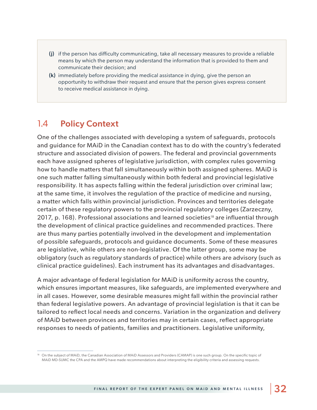- (j) if the person has difficulty communicating, take all necessary measures to provide a reliable means by which the person may understand the information that is provided to them and communicate their decision; and
- (k) immediately before providing the medical assistance in dying, give the person an opportunity to withdraw their request and ensure that the person gives express consent to receive medical assistance in dying.

### 1.4 Policy Context

One of the challenges associated with developing a system of safeguards, protocols and guidance for MAiD in the Canadian context has to do with the country's federated structure and associated division of powers. The federal and provincial governments each have assigned spheres of legislative jurisdiction, with complex rules governing how to handle matters that fall simultaneously within both assigned spheres. MAiD is one such matter falling simultaneously within both federal and provincial legislative responsibility. It has aspects falling within the federal jurisdiction over criminal law; at the same time, it involves the regulation of the practice of medicine and nursing, a matter which falls within provincial jurisdiction. Provinces and territories delegate certain of these regulatory powers to the provincial regulatory colleges (Zarzeczny, 2017, p. 168). Professional associations and learned societies<sup>18</sup> are influential through the development of clinical practice guidelines and recommended practices. There are thus many parties potentially involved in the development and implementation of possible safeguards, protocols and guidance documents. Some of these measures are legislative, while others are non-legislative. Of the latter group, some may be obligatory (such as regulatory standards of practice) while others are advisory (such as clinical practice guidelines). Each instrument has its advantages and disadvantages.

A major advantage of federal legislation for MAiD is uniformity across the country, which ensures important measures, like safeguards, are implemented everywhere and in all cases. However, some desirable measures might fall within the provincial rather than federal legislative powers. An advantage of provincial legislation is that it can be tailored to reflect local needs and concerns. Variation in the organization and delivery of MAiD between provinces and territories may in certain cases, reflect appropriate responses to needs of patients, families and practitioners. Legislative uniformity,

<sup>18</sup> On the subject of MAiD, the Canadian Association of MAiD Assessors and Providers (CAMAP) is one such group. On the specific topic of MAiD MD-SUMC the CPA and the AMPQ have made recommendations about interpreting the eligibility criteria and assessing requests.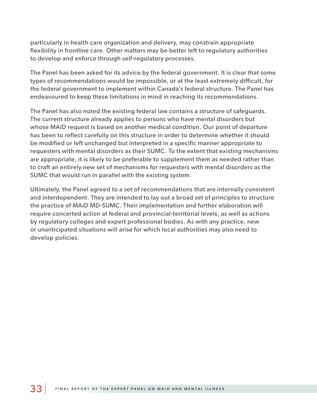particularly in health care organization and delivery, may constrain appropriate flexibility in frontline care. Other matters may be better left to regulatory authorities to develop and enforce through self-regulatory processes.

The Panel has been asked for its advice by the federal government. It is clear that some types of recommendations would be impossible, or at the least extremely difficult, for the federal government to implement within Canada's federal structure. The Panel has endeavoured to keep these limitations in mind in reaching its recommendations.

The Panel has also noted the existing federal law contains a structure of safeguards. The current structure already applies to persons who have mental disorders but whose MAiD request is based on another medical condition. Our point of departure has been to reflect carefully on this structure in order to determine whether it should be modified or left unchanged but interpreted in a specific manner appropriate to requesters with mental disorders as their SUMC. To the extent that existing mechanisms are appropriate, it is likely to be preferable to supplement them as needed rather than to craft an entirely new set of mechanisms for requesters with mental disorders as the SUMC that would run in parallel with the existing system.

Ultimately, the Panel agreed to a set of recommendations that are internally consistent and interdependent. They are intended to lay out a broad set of principles to structure the practice of MAiD MD-SUMC. Their implementation and further elaboration will require concerted action at federal and provincial-territorial levels, as well as actions by regulatory colleges and expert professional bodies. As with any practice, new or unanticipated situations will arise for which local authorities may also need to develop policies.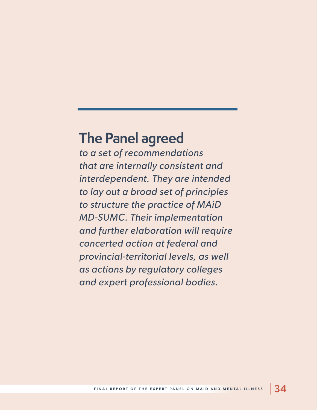## **The Panel agreed**

*to a set of recommendations that are internally consistent and interdependent. They are intended to lay out a broad set of principles to structure the practice of MAiD MD-SUMC. Their implementation and further elaboration will require concerted action at federal and provincial-territorial levels, as well as actions by regulatory colleges and expert professional bodies.*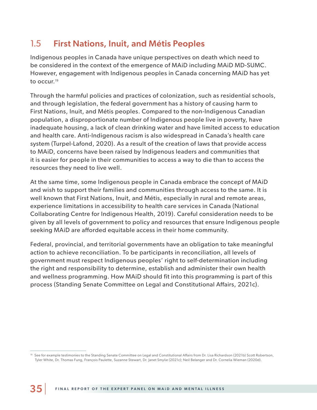## 1.5 First Nations, Inuit, and Métis Peoples

Indigenous peoples in Canada have unique perspectives on death which need to be considered in the context of the emergence of MAiD including MAiD MD-SUMC. However, engagement with Indigenous peoples in Canada concerning MAiD has yet to occur.19

Through the harmful policies and practices of colonization, such as residential schools, and through legislation, the federal government has a history of causing harm to First Nations, Inuit, and Métis peoples. Compared to the non-Indigenous Canadian population, a disproportionate number of Indigenous people live in poverty, have inadequate housing, a lack of clean drinking water and have limited access to education and health care. Anti-Indigenous racism is also widespread in Canada's health care system (Turpel-Lafond, 2020). As a result of the creation of laws that provide access to MAiD, concerns have been raised by Indigenous leaders and communities that it is easier for people in their communities to access a way to die than to access the resources they need to live well.

At the same time, some Indigenous people in Canada embrace the concept of MAiD and wish to support their families and communities through access to the same. It is well known that First Nations, Inuit, and Métis, especially in rural and remote areas, experience limitations in accessibility to health care services in Canada (National Collaborating Centre for Indigenous Health, 2019). Careful consideration needs to be given by all levels of government to policy and resources that ensure Indigenous people seeking MAiD are afforded equitable access in their home community.

Federal, provincial, and territorial governments have an obligation to take meaningful action to achieve reconciliation. To be participants in reconciliation, all levels of government must respect Indigenous peoples' right to self-determination including the right and responsibility to determine, establish and administer their own health and wellness programming. How MAiD should fit into this programming is part of this process (Standing Senate Committee on Legal and Constitutional Affairs, 2021c).

<sup>19</sup> See for example testimonies to the Standing Senate Committee on Legal and Constitutional Affairs from Dr. Lisa Richardson (2021b) Scott Robertson, Tyler White, Dr. Thomas Fung, François Paulette, Suzanne Stewart, Dr. Janet Smylie (2021c); Neil Belanger and Dr. Cornelia Wieman (2020d).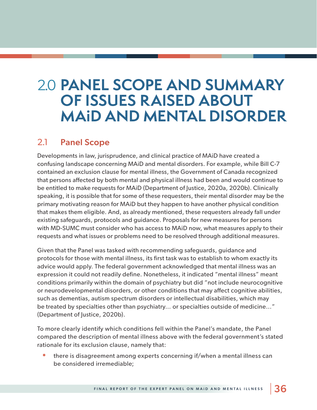# 2.0 **PANEL SCOPE AND SUMMARY OF ISSUES RAISED ABOUT MAiD AND MENTAL DISORDER**

### 2.1 Panel Scope

Developments in law, jurisprudence, and clinical practice of MAiD have created a confusing landscape concerning MAiD and mental disorders. For example, while Bill C-7 contained an exclusion clause for mental illness, the Government of Canada recognized that persons affected by both mental and physical illness had been and would continue to be entitled to make requests for MAiD (Department of Justice, 2020a, 2020b). Clinically speaking, it is possible that for some of these requesters, their mental disorder may be the primary motivating reason for MAiD but they happen to have another physical condition that makes them eligible. And, as already mentioned, these requesters already fall under existing safeguards, protocols and guidance. Proposals for new measures for persons with MD-SUMC must consider who has access to MAiD now, what measures apply to their requests and what issues or problems need to be resolved through additional measures.

Given that the Panel was tasked with recommending safeguards, guidance and protocols for those with mental illness, its first task was to establish to whom exactly its advice would apply. The federal government acknowledged that mental illness was an expression it could not readily define. Nonetheless, it indicated "mental illness" meant conditions primarily within the domain of psychiatry but did "not include neurocognitive or neurodevelopmental disorders, or other conditions that may affect cognitive abilities, such as dementias, autism spectrum disorders or intellectual disabilities, which may be treated by specialties other than psychiatry… or specialties outside of medicine…" (Department of Justice, 2020b).

To more clearly identify which conditions fell within the Panel's mandate, the Panel compared the description of mental illness above with the federal government's stated rationale for its exclusion clause, namely that:

• there is disagreement among experts concerning if/when a mental illness can be considered irremediable;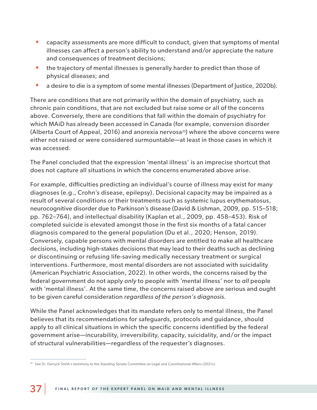- capacity assessments are more difficult to conduct, given that symptoms of mental illnesses can affect a person's ability to understand and/or appreciate the nature and consequences of treatment decisions;
- the trajectory of mental illnesses is generally harder to predict than those of physical diseases; and
- a desire to die is a symptom of some mental illnesses (Department of Justice, 2020b).

There are conditions that are not primarily within the domain of psychiatry, such as chronic pain conditions, that are not excluded but raise some or all of the concerns above. Conversely, there are conditions that fall within the domain of psychiatry for which MAiD has already been accessed in Canada (for example, conversion disorder (Alberta Court of Appeal, 2016) and anorexia nervosa<sup>20</sup>) where the above concerns were either not raised or were considered surmountable—at least in those cases in which it was accessed.

The Panel concluded that the expression 'mental illness' is an imprecise shortcut that does not capture all situations in which the concerns enumerated above arise.

For example, difficulties predicting an individual's course of illness may exist for many diagnoses (e.g., Crohn's disease, epilepsy). Decisional capacity may be impaired as a result of several conditions or their treatments such as systemic lupus erythematosus, neurocognitive disorder due to Parkinson's disease (David & Lishman, 2009, pp. 515–518; pp. 762–764), and intellectual disability (Kaplan et al., 2009, pp. 458–453). Risk of completed suicide is elevated amongst those in the first six months of a fatal cancer diagnosis compared to the general population (Du et al., 2020; Henson, 2019). Conversely, capable persons with mental disorders are entitled to make all healthcare decisions, including high-stakes decisions that may lead to their deaths such as declining or discontinuing or refusing life-saving medically necessary treatment or surgical interventions. Furthermore, most mental disorders are not associated with suicidality (American Psychiatric Association, 2022). In other words, the concerns raised by the federal government do not apply *only* to people with 'mental illness' nor to *all* people with 'mental illness'. At the same time, the concerns raised above are serious and ought to be given careful consideration *regardless of the person's diagnosis.*

While the Panel acknowledges that its mandate refers only to mental illness, the Panel believes that its recommendations for safeguards, protocols and guidance, should apply to all clinical situations in which the specific concerns identified by the federal government arise—incurability, irreversibility, capacity, suicidality, and/or the impact of structural vulnerabilities—regardless of the requester's diagnoses.

 $20$  See Dr. Derryck Smith's testimony to the Standing Senate Committee on Legal and Constitutional Affairs (2021c).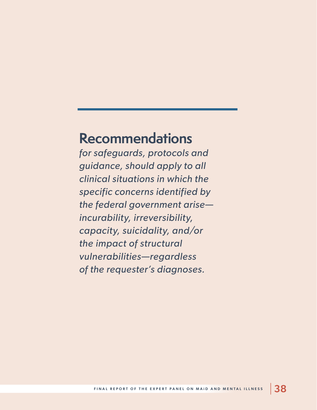## **Recommendations**

*for safeguards, protocols and guidance, should apply to all clinical situations in which the specific concerns identified by the federal government arise incurability, irreversibility, capacity, suicidality, and/or the impact of structural vulnerabilities—regardless of the requester's diagnoses.*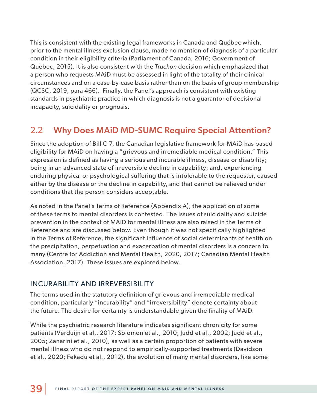This is consistent with the existing legal frameworks in Canada and Québec which, prior to the mental illness exclusion clause, made no mention of diagnosis of a particular condition in their eligibility criteria (Parliament of Canada, 2016; Government of Québec, 2015). It is also consistent with the *Truchon* decision which emphasized that a person who requests MAiD must be assessed in light of the totality of their clinical circumstances and on a case-by-case basis rather than on the basis of group membership (QCSC, 2019, para 466). Finally, the Panel's approach is consistent with existing standards in psychiatric practice in which diagnosis is not a guarantor of decisional incapacity, suicidality or prognosis.

## 2.2 Why Does MAiD MD-SUMC Require Special Attention?

Since the adoption of Bill C-7, the Canadian legislative framework for MAiD has based eligibility for MAiD on having a "grievous and irremediable medical condition." This expression is defined as having a serious and incurable illness, disease or disability; being in an advanced state of irreversible decline in capability; and, experiencing enduring physical or psychological suffering that is intolerable to the requester, caused either by the disease or the decline in capability, and that cannot be relieved under conditions that the person considers acceptable.

As noted in the Panel's Terms of Reference (Appendix A), the application of some of these terms to mental disorders is contested. The issues of suicidality and suicide prevention in the context of MAiD for mental illness are also raised in the Terms of Reference and are discussed below. Even though it was not specifically highlighted in the Terms of Reference, the significant influence of social determinants of health on the precipitation, perpetuation and exacerbation of mental disorders is a concern to many (Centre for Addiction and Mental Health, 2020, 2017; Canadian Mental Health Association, 2017). These issues are explored below.

### INCURABILITY AND IRREVERSIBILITY

The terms used in the statutory definition of grievous and irremediable medical condition, particularly "incurability" and "irreversibility" denote certainty about the future. The desire for certainty is understandable given the finality of MAiD.

While the psychiatric research literature indicates significant chronicity for some patients (Verduijn et al., 2017; Solomon et al., 2010; Judd et al., 2002; Judd et al., 2005; Zanarini et al., 2010), as well as a certain proportion of patients with severe mental illness who do not respond to empirically-supported treatments (Davidson et al., 2020; Fekadu et al., 2012), the evolution of many mental disorders, like some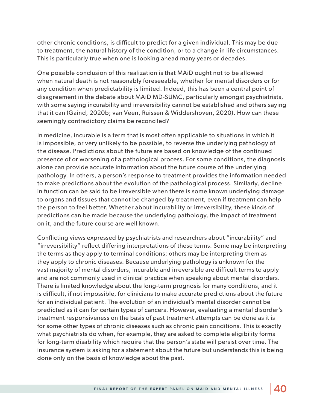other chronic conditions, is difficult to predict for a given individual. This may be due to treatment, the natural history of the condition, or to a change in life circumstances. This is particularly true when one is looking ahead many years or decades.

One possible conclusion of this realization is that MAiD ought not to be allowed when natural death is not reasonably foreseeable, whether for mental disorders or for any condition when predictability is limited. Indeed, this has been a central point of disagreement in the debate about MAiD MD-SUMC, particularly amongst psychiatrists, with some saying incurability and irreversibility cannot be established and others saying that it can (Gaind, 2020b; van Veen, Ruissen & Widdershoven, 2020). How can these seemingly contradictory claims be reconciled?

In medicine, incurable is a term that is most often applicable to situations in which it is impossible, or very unlikely to be possible, to reverse the underlying pathology of the disease. Predictions about the future are based on knowledge of the continued presence of or worsening of a pathological process. For some conditions, the diagnosis alone can provide accurate information about the future course of the underlying pathology. In others, a person's response to treatment provides the information needed to make predictions about the evolution of the pathological process. Similarly, decline in function can be said to be irreversible when there is some known underlying damage to organs and tissues that cannot be changed by treatment, even if treatment can help the person to feel better. Whether about incurability or irreversibility, these kinds of predictions can be made because the underlying pathology, the impact of treatment on it, and the future course are well known.

Conflicting views expressed by psychiatrists and researchers about "incurability" and "irreversibility" reflect differing interpretations of these terms. Some may be interpreting the terms as they apply to terminal conditions; others may be interpreting them as they apply to chronic diseases. Because underlying pathology is unknown for the vast majority of mental disorders, incurable and irreversible are difficult terms to apply and are not commonly used in clinical practice when speaking about mental disorders. There is limited knowledge about the long-term prognosis for many conditions, and it is difficult, if not impossible, for clinicians to make accurate predictions about the future for an individual patient. The evolution of an individual's mental disorder cannot be predicted as it can for certain types of cancers. However, evaluating a mental disorder's treatment responsiveness on the basis of past treatment attempts can be done as it is for some other types of chronic diseases such as chronic pain conditions. This is exactly what psychiatrists do when, for example, they are asked to complete eligibility forms for long-term disability which require that the person's state will persist over time. The insurance system is asking for a statement about the future but understands this is being done only on the basis of knowledge about the past.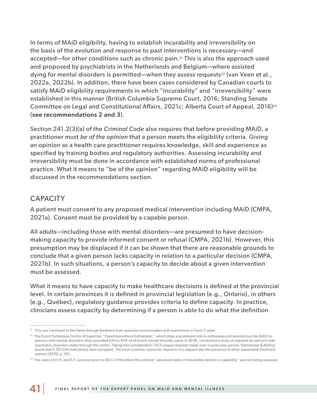In terms of MAiD eligibility, having to establish incurability and irreversibility on the basis of the evolution and response to past interventions is necessary—and accepted—for other conditions such as chronic pain.<sup>21</sup> This is also the approach used and proposed by psychiatrists in the Netherlands and Belgium—where assisted dying for mental disorders is permitted—when they assess requests<sup>22</sup> (van Veen et al., 2022a, 2022b). In addition, there have been cases considered by Canadian courts to satisfy MAiD eligibility requirements in which "incurability" and "irreversibility" were established in this manner (British Columbia Supreme Court, 2016; Standing Senate Committee on Legal and Constitutional Affairs, 2021c; Alberta Court of Appeal, 2016)<sup>23</sup> (see recommendations 2 and 3).

Section 241.2(3)(a) of the *Criminal Code* also requires that before providing MAiD, a practitioner must *be of the opinion* that a person meets the eligibility criteria. Giving an opinion as a health care practitioner requires knowledge, skill and experience as specified by training bodies and regulatory authorities. Assessing incurability and irreversibility must be done in accordance with established norms of professional practice. What it means to "be of the opinion" regarding MAiD eligibility will be discussed in the recommendations section.

### **CAPACITY**

A patient must consent to any proposed medical intervention including MAiD (CMPA, 2021a). Consent must be provided by a capable person.

All adults—including those with mental disorders—are presumed to have decisionmaking capacity to provide informed consent or refusal (CMPA, 2021b). However, this presumption may be displaced if it can be shown that there are reasonable grounds to conclude that a given person lacks capacity in relation to a particular decision (CMPA, 2021b). In such situations, a person's capacity to decide about a given intervention must be assessed.

What it means to have capacity to make healthcare decisions is defined at the provincial level. In certain provinces it is defined in provincial legislation (e.g., Ontario), in others (e.g., Québec), regulatory guidance provides criteria to define capacity. In practice, clinicians assess capacity by determining if a person is able to do what the definition

<sup>&</sup>lt;sup>21</sup> This was conveyed to the Panel through feedback from assessors and providers with experience in Track 2 cases.

<sup>&</sup>lt;sup>22</sup> The Dutch Euthanasia Centre of Expertise, "Expertisecentrum Euthanasie," which plays a prominent role in euthanasia and assisted suicide (EAS) for persons with mental disorders (they provided EAS to 84% of all Dutch mental disorder cases in 2018), conducted a study of requests for persons with psychiatric disorders made through the centre. Taking into consideration 1553 unique requests made over a seven year period, Kammeraat & Kölling found that 9.5% (149 individuals) were accepted. The most common reason for rejection of a request was the presence of other reasonable treatment options (2020, p. 95).

<sup>&</sup>lt;sup>23</sup> The cases of H.H. and E.F. occurred prior to Bill C-14 therefore the criterion "advanced state of irreversible decline in capability" was not being assessed.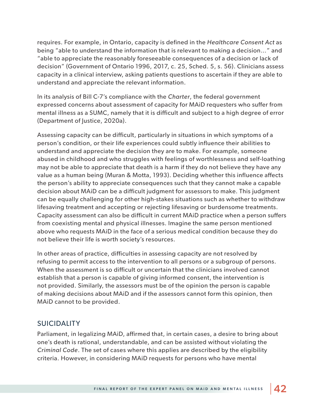requires. For example, in Ontario, capacity is defined in the *Healthcare Consent Act* as being "able to understand the information that is relevant to making a decision…" and "able to appreciate the reasonably foreseeable consequences of a decision or lack of decision" (Government of Ontario 1996, 2017, c. 25, Sched. 5, s. 56). Clinicians assess capacity in a clinical interview, asking patients questions to ascertain if they are able to understand and appreciate the relevant information.

In its analysis of Bill C-7's compliance with the *Charter*, the federal government expressed concerns about assessment of capacity for MAiD requesters who suffer from mental illness as a SUMC, namely that it is difficult and subject to a high degree of error (Department of Justice, 2020a).

Assessing capacity can be difficult, particularly in situations in which symptoms of a person's condition, or their life experiences could subtly influence their abilities to understand and appreciate the decision they are to make. For example, someone abused in childhood and who struggles with feelings of worthlessness and self-loathing may not be able to appreciate that death is a harm if they do not believe they have any value as a human being (Muran & Motta, 1993). Deciding whether this influence affects the person's ability to appreciate consequences such that they cannot make a capable decision about MAiD can be a difficult judgment for assessors to make. This judgment can be equally challenging for other high-stakes situations such as whether to withdraw lifesaving treatment and accepting or rejecting lifesaving or burdensome treatments. Capacity assessment can also be difficult in current MAiD practice when a person suffers from coexisting mental and physical illnesses. Imagine the same person mentioned above who requests MAiD in the face of a serious medical condition because they do not believe their life is worth society's resources.

In other areas of practice, difficulties in assessing capacity are not resolved by refusing to permit access to the intervention to all persons or a subgroup of persons. When the assessment is so difficult or uncertain that the clinicians involved cannot establish that a person is capable of giving informed consent, the intervention is not provided. Similarly, the assessors must be of the opinion the person is capable of making decisions about MAiD and if the assessors cannot form this opinion, then MAiD cannot to be provided.

### **SUICIDALITY**

Parliament, in legalizing MAiD, affirmed that, in certain cases, a desire to bring about one's death is rational, understandable, and can be assisted without violating the *Criminal Code*. The set of cases where this applies are described by the eligibility criteria. However, in considering MAiD requests for persons who have mental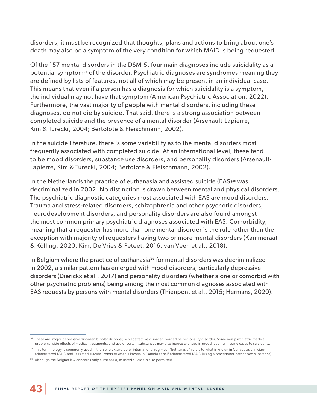disorders, it must be recognized that thoughts, plans and actions to bring about one's death may also be a symptom of the very condition for which MAiD is being requested.

Of the 157 mental disorders in the DSM-5, four main diagnoses include suicidality as a potential symptom24 of the disorder. Psychiatric diagnoses are syndromes meaning they are defined by lists of features, not all of which may be present in an individual case. This means that even if a person has a diagnosis for which suicidality is a symptom, the individual may not have that symptom (American Psychiatric Association, 2022). Furthermore, the vast majority of people with mental disorders, including these diagnoses, do not die by suicide. That said, there is a strong association between completed suicide and the presence of a mental disorder (Arsenault-Lapierre, Kim & Turecki, 2004; Bertolote & Fleischmann, 2002).

In the suicide literature, there is some variability as to the mental disorders most frequently associated with completed suicide. At an international level, these tend to be mood disorders, substance use disorders, and personality disorders (Arsenault-Lapierre, Kim & Turecki, 2004; Bertolote & Fleischmann, 2002).

In the Netherlands the practice of euthanasia and assisted suicide (EAS) $^{25}$  was decriminalized in 2002. No distinction is drawn between mental and physical disorders. The psychiatric diagnostic categories most associated with EAS are mood disorders. Trauma and stress-related disorders, schizophrenia and other psychotic disorders, neurodevelopment disorders, and personality disorders are also found amongst the most common primary psychiatric diagnoses associated with EAS. Comorbidity, meaning that a requester has more than one mental disorder is the rule rather than the exception with majority of requesters having two or more mental disorders (Kammeraat & Kölling, 2020; Kim, De Vries & Peteet, 2016; van Veen et al., 2018).

In Belgium where the practice of euthanasia<sup>26</sup> for mental disorders was decriminalized in 2002, a similar pattern has emerged with mood disorders, particularly depressive disorders (Dierickx et al., 2017) and personality disorders (whether alone or comorbid with other psychiatric problems) being among the most common diagnoses associated with EAS requests by persons with mental disorders (Thienpont et al., 2015; Hermans, 2020).

<sup>24</sup> These are: major depressive disorder, bipolar disorder, schizoaffective disorder, borderline personality disorder. Some non-psychiatric medical problems, side effects of medical treatments, and use of certain substances may also induce changes in mood leading in some cases to suicidality.

<sup>&</sup>lt;sup>25</sup> This terminology is commonly used in the Benelux and other international regimes. "Euthanasia" refers to what is known in Canada as clinicianadministered MAiD and "assisted suicide" refers to what is known in Canada as self-administered MAiD (using a practitioner-prescribed substance).

<sup>&</sup>lt;sup>26</sup> Although the Belgian law concerns only euthanasia, assisted suicide is also permitted.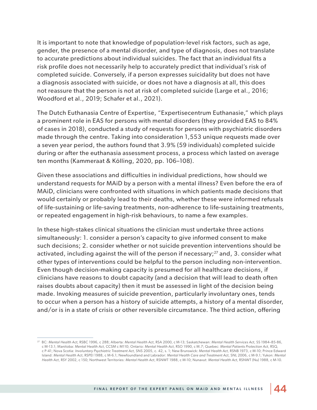It is important to note that knowledge of population-level risk factors, such as age, gender, the presence of a mental disorder, and type of diagnosis, does not translate to accurate predictions about individual suicides. The fact that an individual fits a risk profile does not necessarily help to accurately predict that individual's risk of completed suicide. Conversely, if a person expresses suicidality but does not have a diagnosis associated with suicide, or does not have a diagnosis at all, this does not reassure that the person is not at risk of completed suicide (Large et al., 2016; Woodford et al., 2019; Schafer et al., 2021).

The Dutch Euthanasia Centre of Expertise, "Expertisecentrum Euthanasie," which plays a prominent role in EAS for persons with mental disorders (they provided EAS to 84% of cases in 2018), conducted a study of requests for persons with psychiatric disorders made through the centre. Taking into consideration 1,553 unique requests made over a seven year period, the authors found that 3.9% (59 individuals) completed suicide during or after the euthanasia assessment process, a process which lasted on average ten months (Kammeraat & Kölling, 2020, pp. 106–108).

Given these associations and difficulties in individual predictions, how should we understand requests for MAiD by a person with a mental illness? Even before the era of MAiD, clinicians were confronted with situations in which patients made decisions that would certainly or probably lead to their deaths, whether these were informed refusals of life-sustaining or life-saving treatments, non-adherence to life-sustaining treatments, or repeated engagement in high-risk behaviours, to name a few examples.

In these high-stakes clinical situations the clinician must undertake three actions simultaneously: 1. consider a person's capacity to give informed consent to make such decisions; 2. consider whether or not suicide prevention interventions should be activated, including against the will of the person if necessary; $27$  and, 3. consider what other types of interventions could be helpful to the person including non-intervention. Even though decision-making capacity is presumed for all healthcare decisions, if clinicians have reasons to doubt capacity (and a decision that will lead to death often raises doubts about capacity) then it must be assessed in light of the decision being made. Invoking measures of suicide prevention, particularly involuntary ones, tends to occur when a person has a history of suicide attempts, a history of a mental disorder, and/or is in a state of crisis or other reversible circumstance. The third action, offering



<sup>27</sup> BC: *Mental Health Act,* RSBC 1996, c 288; Alberta: *Mental Health Act*, RSA 2000, c M-13; Saskatchewan: *Mental Health Services Act*, SS 1984–85-86, c M-13.1; Manitoba: *Mental Health Act*, CCSM c M110; Ontario: *Mental Health Act*, RSO 1990, c M.7; Quebec: *Mental Patients Protection Act*, RSQ, c P-41; Nova Scotia: *Involuntary Psychiatric Treatment Act*, SNS 2005, c. 42, s. 1; New Brunswick: *Mental Health Act*, RSNB 1973, c M-10; Prince Edward Island: *Mental Health Act*, RSPEI 1988, c M-6.1; Newfoundland and Labrador: *Mental Health Care and Treatment Act*, SNL 2006, c M-9.1; Yukon: *Mental Health Act*, RSY 2002, c 150; Northwest Territories: *Mental Health Act*, RSNWT 1988, c M-10; Nunavut: *Mental Health Act*, RSNWT (Nu) 1988, c M-10.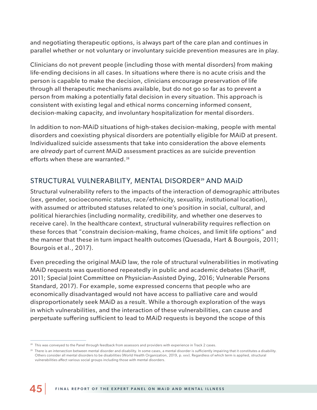and negotiating therapeutic options, is always part of the care plan and continues in parallel whether or not voluntary or involuntary suicide prevention measures are in play.

Clinicians do not prevent people (including those with mental disorders) from making life-ending decisions in all cases. In situations where there is no acute crisis and the person is capable to make the decision, clinicians encourage preservation of life through all therapeutic mechanisms available, but do not go so far as to prevent a person from making a potentially fatal decision in every situation. This approach is consistent with existing legal and ethical norms concerning informed consent, decision-making capacity, and involuntary hospitalization for mental disorders.

In addition to non-MAiD situations of high-stakes decision-making, people with mental disorders and coexisting physical disorders are potentially eligible for MAiD at present. Individualized suicide assessments that take into consideration the above elements are *already* part of current MAiD assessment practices as are suicide prevention efforts when these are warranted.<sup>28</sup>

### STRUCTURAL VULNERABILITY, MENTAL DISORDER<sup>29</sup> AND MAID

Structural vulnerability refers to the impacts of the interaction of demographic attributes (sex, gender, socioeconomic status, race/ethnicity, sexuality, institutional location), with assumed or attributed statuses related to one's position in social, cultural, and political hierarchies (including normality, credibility, and whether one deserves to receive care). In the healthcare context, structural vulnerability requires reflection on these forces that "constrain decision-making, frame choices, and limit life options" and the manner that these in turn impact health outcomes (Quesada, Hart & Bourgois, 2011; Bourgois et al., 2017).

Even preceding the original MAiD law, the role of structural vulnerabilities in motivating MAiD requests was questioned repeatedly in public and academic debates (Shariff, 2011; Special Joint Committee on Physician-Assisted Dying, 2016; Vulnerable Persons Standard, 2017). For example, some expressed concerns that people who are economically disadvantaged would not have access to palliative care and would disproportionately seek MAiD as a result. While a thorough exploration of the ways in which vulnerabilities, and the interaction of these vulnerabilities, can cause and perpetuate suffering sufficient to lead to MAiD requests is beyond the scope of this

 $^{28}$  This was conveyed to the Panel through feedback from assessors and providers with experience in Track 2 cases.

<sup>&</sup>lt;sup>29</sup> There is an intersection between mental disorder and disability. In some cases, a mental disorder is sufficiently impairing that it constitutes a disability. Others consider all mental disorders to be disabilities (World Health Organization, 2019, p. xxv). Regardless of which term is applied, structural vulnerabilities affect various social groups including those with mental disorders.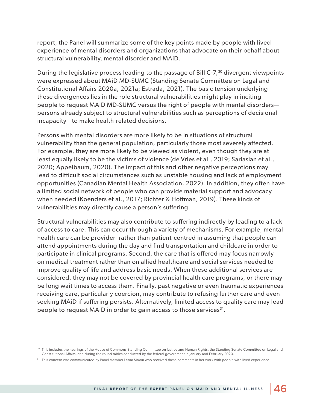report, the Panel will summarize some of the key points made by people with lived experience of mental disorders and organizations that advocate on their behalf about structural vulnerability, mental disorder and MAiD.

During the legislative process leading to the passage of Bill C-7,<sup>30</sup> divergent viewpoints were expressed about MAiD MD-SUMC (Standing Senate Committee on Legal and Constitutional Affairs 2020a, 2021a; Estrada, 2021). The basic tension underlying these divergences lies in the role structural vulnerabilities might play in inciting people to request MAiD MD-SUMC versus the right of people with mental disorders persons already subject to structural vulnerabilities such as perceptions of decisional incapacity—to make health-related decisions.

Persons with mental disorders are more likely to be in situations of structural vulnerability than the general population, particularly those most severely affected. For example, they are more likely to be viewed as violent, even though they are at least equally likely to be the victims of violence (de Vries et al., 2019; Sariaslan et al., 2020; Appelbaum, 2020). The impact of this and other negative perceptions may lead to difficult social circumstances such as unstable housing and lack of employment opportunities (Canadian Mental Health Association, 2022). In addition, they often have a limited social network of people who can provide material support and advocacy when needed (Koenders et al., 2017; Richter & Hoffman, 2019). These kinds of vulnerabilities may directly cause a person's suffering.

Structural vulnerabilities may also contribute to suffering indirectly by leading to a lack of access to care. This can occur through a variety of mechanisms. For example, mental health care can be provider- rather than patient-centred in assuming that people can attend appointments during the day and find transportation and childcare in order to participate in clinical programs. Second, the care that is offered may focus narrowly on medical treatment rather than on allied healthcare and social services needed to improve quality of life and address basic needs. When these additional services are considered, they may not be covered by provincial health care programs, or there may be long wait times to access them. Finally, past negative or even traumatic experiences receiving care, particularly coercion, may contribute to refusing further care and even seeking MAiD if suffering persists. Alternatively, limited access to quality care may lead people to request MAID in order to gain access to those services<sup>31</sup>.

<sup>30</sup> This includes the hearings of the House of Commons Standing Committee on Justice and Human Rights, the Standing Senate Committee on Legal and Constitutional Affairs, and during the round tables conducted by the federal government in January and February 2020.

<sup>&</sup>lt;sup>31</sup> This concern was communicated by Panel member Leora Simon who received these comments in her work with people with lived experience.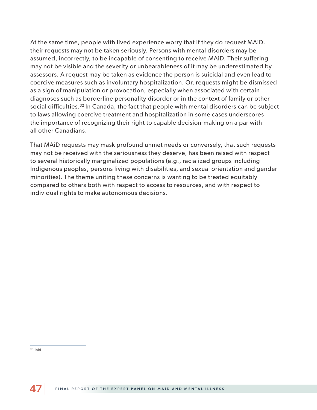At the same time, people with lived experience worry that if they do request MAiD, their requests may not be taken seriously. Persons with mental disorders may be assumed, incorrectly, to be incapable of consenting to receive MAiD. Their suffering may not be visible and the severity or unbearableness of it may be underestimated by assessors. A request may be taken as evidence the person is suicidal and even lead to coercive measures such as involuntary hospitalization. Or, requests might be dismissed as a sign of manipulation or provocation, especially when associated with certain diagnoses such as borderline personality disorder or in the context of family or other social difficulties.<sup>32</sup> In Canada, the fact that people with mental disorders can be subject to laws allowing coercive treatment and hospitalization in some cases underscores the importance of recognizing their right to capable decision-making on a par with all other Canadians.

That MAiD requests may mask profound unmet needs or conversely, that such requests may not be received with the seriousness they deserve, has been raised with respect to several historically marginalized populations (e.g., racialized groups including Indigenous peoples, persons living with disabilities, and sexual orientation and gender minorities). The theme uniting these concerns is wanting to be treated equitably compared to others both with respect to access to resources, and with respect to individual rights to make autonomous decisions.

 $32$  Ibid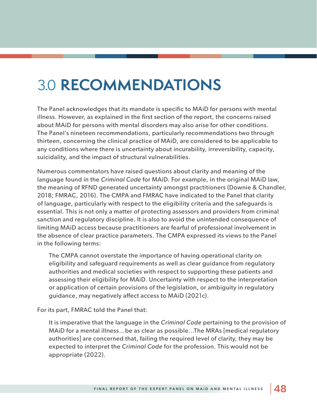# 3.0 **RECOMMENDATIONS**

The Panel acknowledges that its mandate is specific to MAiD for persons with mental illness. However, as explained in the first section of the report, the concerns raised about MAiD for persons with mental disorders may also arise for other conditions. The Panel's nineteen recommendations, particularly recommendations two through thirteen, concerning the clinical practice of MAiD, are considered to be applicable to any conditions where there is uncertainty about incurability, irreversibility, capacity, suicidality, and the impact of structural vulnerabilities.

Numerous commentators have raised questions about clarity and meaning of the language found in the *Criminal Code* for MAiD. For example, in the original MAiD law, the meaning of RFND generated uncertainty amongst practitioners (Downie & Chandler, 2018; FMRAC, 2016). The CMPA and FMRAC have indicated to the Panel that clarity of language, particularly with respect to the eligibility criteria and the safeguards is essential. This is not only a matter of protecting assessors and providers from criminal sanction and regulatory discipline. It is also to avoid the unintended consequence of limiting MAiD access because practitioners are fearful of professional involvement in the absence of clear practice parameters. The CMPA expressed its views to the Panel in the following terms:

The CMPA cannot overstate the importance of having operational clarity on eligibility and safeguard requirements as well as clear guidance from regulatory authorities and medical societies with respect to supporting these patients and assessing their eligibility for MAiD. Uncertainty with respect to the interpretation or application of certain provisions of the legislation, or ambiguity in regulatory guidance, may negatively affect access to MAiD (2021c).

For its part, FMRAC told the Panel that:

It is imperative that the language in the *Criminal Code* pertaining to the provision of MAiD for a mental illness…be as clear as possible…The MRAs [medical regulatory authorities] are concerned that, failing the required level of clarity, they may be expected to interpret the *Criminal Code* for the profession. This would not be appropriate (2022).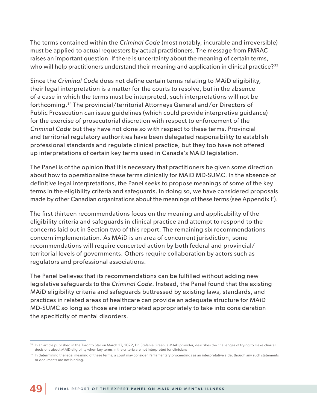The terms contained within the *Criminal Code* (most notably, incurable and irreversible) must be applied to actual requesters by actual practitioners. The message from FMRAC raises an important question. If there is uncertainty about the meaning of certain terms, who will help practitioners understand their meaning and application in clinical practice?<sup>33</sup>

Since the *Criminal Code* does not define certain terms relating to MAiD eligibility, their legal interpretation is a matter for the courts to resolve, but in the absence of a case in which the terms must be interpreted, such interpretations will not be forthcoming.34 The provincial/territorial Attorneys General and/or Directors of Public Prosecution can issue guidelines (which could provide interpretive guidance) for the exercise of prosecutorial discretion with respect to enforcement of the *Criminal Code* but they have not done so with respect to these terms. Provincial and territorial regulatory authorities have been delegated responsibility to establish professional standards and regulate clinical practice, but they too have not offered up interpretations of certain key terms used in Canada's MAiD legislation.

The Panel is of the opinion that it is necessary that practitioners be given some direction about how to operationalize these terms clinically for MAiD MD-SUMC. In the absence of definitive legal interpretations, the Panel seeks to propose meanings of some of the key terms in the eligibility criteria and safeguards. In doing so, we have considered proposals made by other Canadian organizations about the meanings of these terms (see Appendix E).

The first thirteen recommendations focus on the meaning and applicability of the eligibility criteria and safeguards in clinical practice and attempt to respond to the concerns laid out in Section two of this report. The remaining six recommendations concern implementation. As MAiD is an area of concurrent jurisdiction, some recommendations will require concerted action by both federal and provincial/ territorial levels of governments. Others require collaboration by actors such as regulators and professional associations.

The Panel believes that its recommendations can be fulfilled without adding new legislative safeguards to the *Criminal Code*. Instead, the Panel found that the existing MAiD eligibility criteria and safeguards buttressed by existing laws, standards, and practices in related areas of healthcare can provide an adequate structure for MAiD MD-SUMC so long as those are interpreted appropriately to take into consideration the specificity of mental disorders.

<sup>33</sup> In an article published in the Toronto Star on March 27, 2022, Dr. Stefanie Green, a MAiD provider, describes the challenges of trying to make clinical decisions about MAiD eligibility when key terms in the criteria are not interpreted for clinicians.

<sup>&</sup>lt;sup>34</sup> In determining the legal meaning of these terms, a court may consider Parliamentary proceedings as an interpretative aide, though any such statements or documents are not binding.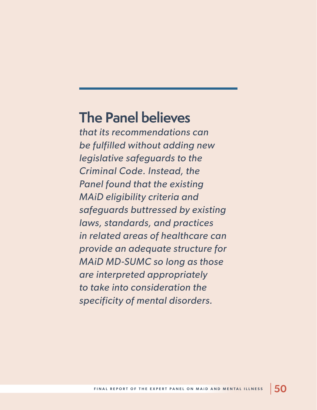## **The Panel believes**

*that its recommendations can be fulfilled without adding new legislative safeguards to the Criminal Code. Instead, the Panel found that the existing MAiD eligibility criteria and safeguards buttressed by existing laws, standards, and practices in related areas of healthcare can provide an adequate structure for MAiD MD-SUMC so long as those are interpreted appropriately to take into consideration the specificity of mental disorders.*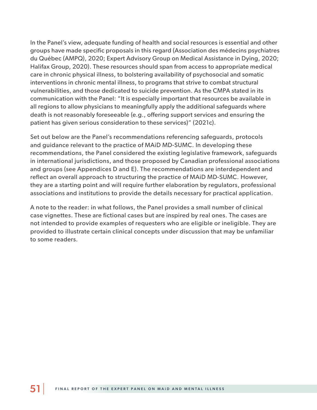In the Panel's view, adequate funding of health and social resources is essential and other groups have made specific proposals in this regard (Association des médecins psychiatres du Québec (AMPQ), 2020; Expert Advisory Group on Medical Assistance in Dying, 2020; Halifax Group, 2020). These resources should span from access to appropriate medical care in chronic physical illness, to bolstering availability of psychosocial and somatic interventions in chronic mental illness, to programs that strive to combat structural vulnerabilities, and those dedicated to suicide prevention. As the CMPA stated in its communication with the Panel: "It is especially important that resources be available in all regions to allow physicians to meaningfully apply the additional safeguards where death is not reasonably foreseeable (e.g., offering support services and ensuring the patient has given serious consideration to these services)" (2021c).

Set out below are the Panel's recommendations referencing safeguards, protocols and guidance relevant to the practice of MAiD MD-SUMC. In developing these recommendations, the Panel considered the existing legislative framework, safeguards in international jurisdictions, and those proposed by Canadian professional associations and groups (see Appendices D and E). The recommendations are interdependent and reflect an overall approach to structuring the practice of MAiD MD-SUMC. However, they are a starting point and will require further elaboration by regulators, professional associations and institutions to provide the details necessary for practical application.

A note to the reader: in what follows, the Panel provides a small number of clinical case vignettes. These are fictional cases but are inspired by real ones. The cases are not intended to provide examples of requesters who are eligible or ineligible. They are provided to illustrate certain clinical concepts under discussion that may be unfamiliar to some readers.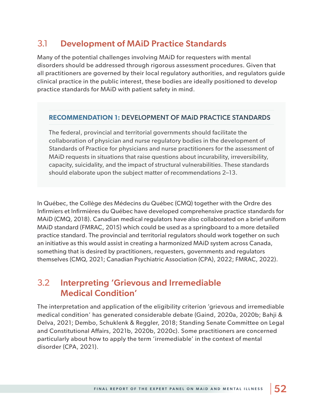## 3.1 Development of MAiD Practice Standards

Many of the potential challenges involving MAiD for requesters with mental disorders should be addressed through rigorous assessment procedures. Given that all practitioners are governed by their local regulatory authorities, and regulators guide clinical practice in the public interest, these bodies are ideally positioned to develop practice standards for MAiD with patient safety in mind.

### **RECOMMENDATION 1:** DEVELOPMENT OF MAiD PRACTICE STANDARDS

The federal, provincial and territorial governments should facilitate the collaboration of physician and nurse regulatory bodies in the development of Standards of Practice for physicians and nurse practitioners for the assessment of MAiD requests in situations that raise questions about incurability, irreversibility, capacity, suicidality, and the impact of structural vulnerabilities. These standards should elaborate upon the subject matter of recommendations 2–13.

In Québec, the Collège des Médecins du Québec (CMQ) together with the Ordre des Infirmiers et Infirmières du Québec have developed comprehensive practice standards for MAiD (CMQ, 2018). Canadian medical regulators have also collaborated on a brief uniform MAiD standard (FMRAC, 2015) which could be used as a springboard to a more detailed practice standard. The provincial and territorial regulators should work together on such an initiative as this would assist in creating a harmonized MAiD system across Canada, something that is desired by practitioners, requesters, governments and regulators themselves (CMQ, 2021; Canadian Psychiatric Association (CPA), 2022; FMRAC, 2022).

### 3.2 Interpreting 'Grievous and Irremediable Medical Condition'

The interpretation and application of the eligibility criterion 'grievous and irremediable medical condition' has generated considerable debate (Gaind, 2020a, 2020b; Bahji & Delva, 2021; Dembo, Schuklenk & Reggler, 2018; Standing Senate Committee on Legal and Constitutional Affairs, 2021b, 2020b, 2020c). Some practitioners are concerned particularly about how to apply the term 'irremediable' in the context of mental disorder (CPA, 2021).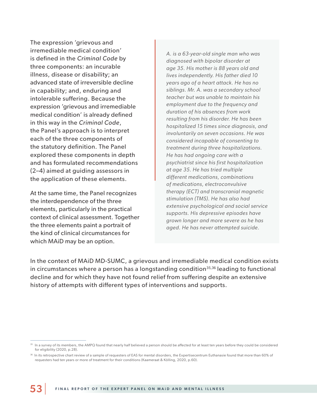The expression 'grievous and irremediable medical condition' is defined in the *Criminal Code* by three components: an incurable illness, disease or disability; an advanced state of irreversible decline in capability; and, enduring and intolerable suffering. Because the expression 'grievous and irremediable medical condition' is already defined in this way in the *Criminal Code*, the Panel's approach is to interpret each of the three components of the statutory definition. The Panel explored these components in depth and has formulated recommendations (2–4) aimed at guiding assessors in the application of these elements.

At the same time, the Panel recognizes the interdependence of the three elements, particularly in the practical context of clinical assessment. Together the three elements paint a portrait of the kind of clinical circumstances for which MAiD may be an option.

*A. is a 63-year-old single man who was diagnosed with bipolar disorder at age 35. His mother is 88 years old and lives independently. His father died 10 years ago of a heart attack. He has no siblings. Mr. A. was a secondary school teacher but was unable to maintain his employment due to the frequency and duration of his absences from work resulting from his disorder. He has been hospitalized 15 times since diagnosis, and involuntarily on seven occasions. He was considered incapable of consenting to treatment during three hospitalizations. He has had ongoing care with a psychiatrist since his first hospitalization at age 35. He has tried multiple different medications, combinations of medications, electroconvulsive therapy (ECT) and transcranial magnetic stimulation (TMS). He has also had extensive psychological and social service supports. His depressive episodes have grown longer and more severe as he has aged. He has never attempted suicide.* 

In the context of MAiD MD-SUMC, a grievous and irremediable medical condition exists in circumstances where a person has a longstanding condition $35,36$  leading to functional decline and for which they have not found relief from suffering despite an extensive history of attempts with different types of interventions and supports.

<sup>&</sup>lt;sup>35</sup> In a survey of its members, the AMPQ found that nearly half believed a person should be affected for at least ten years before they could be considered for eligibility (2020, p.28).

<sup>&</sup>lt;sup>36</sup> In its retrospective chart review of a sample of requesters of EAS for mental disorders, the Expertisecentrum Euthanasie found that more than 60% of requesters had ten years or more of treatment for their conditions (Kaameraat & Kölling, 2020, p.60).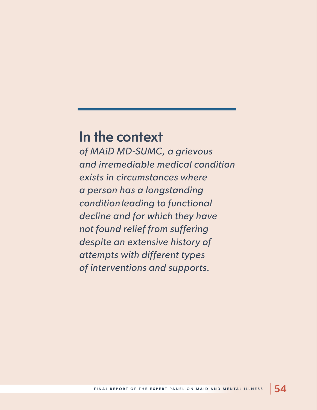## **In the context**

*of MAiD MD-SUMC, a grievous and irremediable medical condition exists in circumstances where a person has a longstanding condition leading to functional decline and for which they have not found relief from suffering despite an extensive history of attempts with different types of interventions and supports.*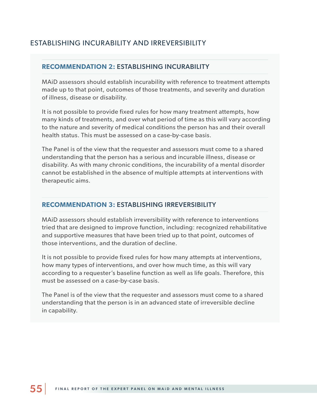### ESTABLISHING INCURABILITY AND IRREVERSIBILITY

#### **RECOMMENDATION 2:** ESTABLISHING INCURABILITY

MAiD assessors should establish incurability with reference to treatment attempts made up to that point, outcomes of those treatments, and severity and duration of illness, disease or disability.

It is not possible to provide fixed rules for how many treatment attempts, how many kinds of treatments, and over what period of time as this will vary according to the nature and severity of medical conditions the person has and their overall health status. This must be assessed on a case-by-case basis.

The Panel is of the view that the requester and assessors must come to a shared understanding that the person has a serious and incurable illness, disease or disability. As with many chronic conditions, the incurability of a mental disorder cannot be established in the absence of multiple attempts at interventions with therapeutic aims.

#### **RECOMMENDATION 3:** ESTABLISHING IRREVERSIBILITY

MAiD assessors should establish irreversibility with reference to interventions tried that are designed to improve function, including: recognized rehabilitative and supportive measures that have been tried up to that point, outcomes of those interventions, and the duration of decline.

It is not possible to provide fixed rules for how many attempts at interventions, how many types of interventions, and over how much time, as this will vary according to a requester's baseline function as well as life goals. Therefore, this must be assessed on a case-by-case basis.

The Panel is of the view that the requester and assessors must come to a shared understanding that the person is in an advanced state of irreversible decline in capability.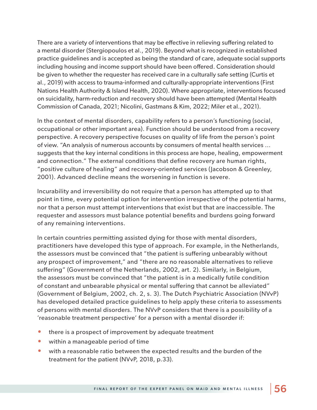There are a variety of interventions that may be effective in relieving suffering related to a mental disorder (Stergiopoulos et al., 2019). Beyond what is recognized in established practice guidelines and is accepted as being the standard of care, adequate social supports including housing and income support should have been offered. Consideration should be given to whether the requester has received care in a culturally safe setting (Curtis et al., 2019) with access to trauma-informed and culturally-appropriate interventions (First Nations Health Authority & Island Health, 2020). Where appropriate, interventions focused on suicidality, harm-reduction and recovery should have been attempted (Mental Health Commission of Canada, 2021; Nicolini, Gastmans & Kim, 2022; Miler et al., 2021).

In the context of mental disorders, capability refers to a person's functioning (social, occupational or other important area). Function should be understood from a recovery perspective. A recovery perspective focuses on quality of life from the person's point of view. "An analysis of numerous accounts by consumers of mental health services … suggests that the key internal conditions in this process are hope, healing, empowerment and connection." The external conditions that define recovery are human rights, "positive culture of healing" and recovery-oriented services (Jacobson & Greenley, 2001). Advanced decline means the worsening in function is severe.

Incurability and irreversibility do not require that a person has attempted up to that point in time, every potential option for intervention irrespective of the potential harms, nor that a person must attempt interventions that exist but that are inaccessible. The requester and assessors must balance potential benefits and burdens going forward of any remaining interventions.

In certain countries permitting assisted dying for those with mental disorders, practitioners have developed this type of approach. For example, in the Netherlands, the assessors must be convinced that "the patient is suffering unbearably without any prospect of improvement," and "there are no reasonable alternatives to relieve suffering" (Government of the Netherlands, 2002, art. 2). Similarly, in Belgium, the assessors must be convinced that "the patient is in a medically futile condition of constant and unbearable physical or mental suffering that cannot be alleviated" (Government of Belgium, 2002, ch. 2, s. 3). The Dutch Psychiatric Association (NVvP) has developed detailed practice guidelines to help apply these criteria to assessments of persons with mental disorders. The NVvP considers that there is a possibility of a 'reasonable treatment perspective' for a person with a mental disorder if:

- there is a prospect of improvement by adequate treatment
- within a manageable period of time
- with a reasonable ratio between the expected results and the burden of the treatment for the patient (NVvP, 2018, p.33).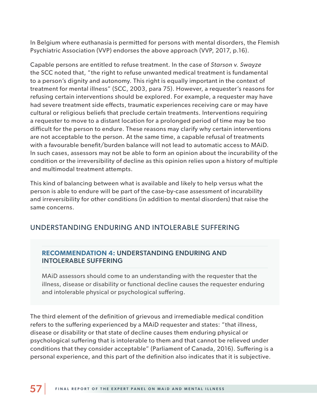In Belgium where euthanasia is permitted for persons with mental disorders, the Flemish Psychiatric Association (VVP) endorses the above approach (VVP, 2017, p.16).

Capable persons are entitled to refuse treatment. In the case of *Starson v. Swayze*  the SCC noted that, "the right to refuse unwanted medical treatment is fundamental to a person's dignity and autonomy. This right is equally important in the context of treatment for mental illness" (SCC, 2003, para 75). However, a requester's reasons for refusing certain interventions should be explored. For example, a requester may have had severe treatment side effects, traumatic experiences receiving care or may have cultural or religious beliefs that preclude certain treatments. Interventions requiring a requester to move to a distant location for a prolonged period of time may be too difficult for the person to endure. These reasons may clarify why certain interventions are not acceptable to the person. At the same time, a capable refusal of treatments with a favourable benefit/burden balance will not lead to automatic access to MAiD. In such cases, assessors may not be able to form an opinion about the incurability of the condition or the irreversibility of decline as this opinion relies upon a history of multiple and multimodal treatment attempts.

This kind of balancing between what is available and likely to help versus what the person is able to endure will be part of the case-by-case assessment of incurability and irreversibility for other conditions (in addition to mental disorders) that raise the same concerns.

### UNDERSTANDING ENDURING AND INTOLERABLE SUFFERING

### **RECOMMENDATION 4:** UNDERSTANDING ENDURING AND INTOLERABLE SUFFERING

MAiD assessors should come to an understanding with the requester that the illness, disease or disability or functional decline causes the requester enduring and intolerable physical or psychological suffering.

The third element of the definition of grievous and irremediable medical condition refers to the suffering experienced by a MAiD requester and states: "that illness, disease or disability or that state of decline causes them enduring physical or psychological suffering that is intolerable to them and that cannot be relieved under conditions that they consider acceptable" (Parliament of Canada, 2016). Suffering is a personal experience, and this part of the definition also indicates that it is subjective.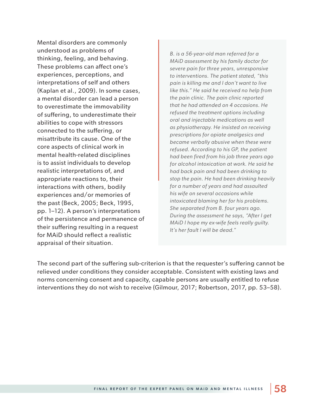Mental disorders are commonly understood as problems of thinking, feeling, and behaving. These problems can affect one's experiences, perceptions, and interpretations of self and others (Kaplan et al., 2009). In some cases, a mental disorder can lead a person to overestimate the immovability of suffering, to underestimate their abilities to cope with stressors connected to the suffering, or misattribute its cause. One of the core aspects of clinical work in mental health-related disciplines is to assist individuals to develop realistic interpretations of, and appropriate reactions to, their interactions with others, bodily experiences and/or memories of the past (Beck, 2005; Beck, 1995, pp. 1–12). A person's interpretations of the persistence and permanence of their suffering resulting in a request for MAiD should reflect a realistic appraisal of their situation.

*B. is a 56-year-old man referred for a MAiD assessment by his family doctor for severe pain for three years, unresponsive to interventions. The patient stated, "this pain is killing me and I don't want to live like this." He said he received no help from the pain clinic. The pain clinic reported that he had attended on 4 occasions. He refused the treatment options including oral and injectable medications as well as physiotherapy. He insisted on receiving prescriptions for opiate analgesics and became verbally abusive when these were refused. According to his GP, the patient had been fired from his job three years ago for alcohol intoxication at work. He said he had back pain and had been drinking to stop the pain. He had been drinking heavily for a number of years and had assaulted his wife on several occasions while intoxicated blaming her for his problems. She separated from B. four years ago. During the assessment he says, "After I get MAiD I hope my ex-wife feels really guilty. It's her fault I will be dead."*

The second part of the suffering sub-criterion is that the requester's suffering cannot be relieved under conditions they consider acceptable. Consistent with existing laws and norms concerning consent and capacity, capable persons are usually entitled to refuse interventions they do not wish to receive (Gilmour, 2017; Robertson, 2017, pp. 53–58).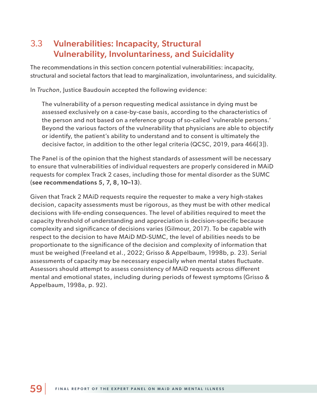## 3.3 Vulnerabilities: Incapacity, Structural Vulnerability, Involuntariness, and Suicidality

The recommendations in this section concern potential vulnerabilities: incapacity, structural and societal factors that lead to marginalization, involuntariness, and suicidality.

In *Truchon*, Justice Baudouin accepted the following evidence:

The vulnerability of a person requesting medical assistance in dying must be assessed exclusively on a case-by-case basis, according to the characteristics of the person and not based on a reference group of so-called 'vulnerable persons.' Beyond the various factors of the vulnerability that physicians are able to objectify or identify, the patient's ability to understand and to consent is ultimately the decisive factor, in addition to the other legal criteria (QCSC, 2019, para 466[3]).

The Panel is of the opinion that the highest standards of assessment will be necessary to ensure that vulnerabilities of individual requesters are properly considered in MAiD requests for complex Track 2 cases, including those for mental disorder as the SUMC (see recommendations 5, 7, 8, 10–13).

Given that Track 2 MAiD requests require the requester to make a very high-stakes decision, capacity assessments must be rigorous, as they must be with other medical decisions with life-ending consequences. The level of abilities required to meet the capacity threshold of understanding and appreciation is decision-specific because complexity and significance of decisions varies (Gilmour, 2017). To be capable with respect to the decision to have MAiD MD-SUMC, the level of abilities needs to be proportionate to the significance of the decision and complexity of information that must be weighed (Freeland et al., 2022; Grisso & Appelbaum, 1998b, p. 23). Serial assessments of capacity may be necessary especially when mental states fluctuate. Assessors should attempt to assess consistency of MAiD requests across different mental and emotional states, including during periods of fewest symptoms (Grisso & Appelbaum, 1998a, p. 92).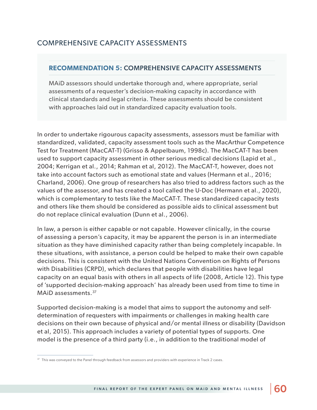### COMPREHENSIVE CAPACITY ASSESSMENTS

#### **RECOMMENDATION 5:** COMPREHENSIVE CAPACITY ASSESSMENTS

MAiD assessors should undertake thorough and, where appropriate, serial assessments of a requester's decision-making capacity in accordance with clinical standards and legal criteria. These assessments should be consistent with approaches laid out in standardized capacity evaluation tools.

In order to undertake rigourous capacity assessments, assessors must be familiar with standardized, validated, capacity assessment tools such as the MacArthur Competence Test for Treatment (MacCAT-T) (Grisso & Appelbaum, 1998c). The MacCAT-T has been used to support capacity assessment in other serious medical decisions (Lapid et al., 2004; Kerrigan et al., 2014; Rahman et al, 2012). The MacCAT-T, however, does not take into account factors such as emotional state and values (Hermann et al., 2016; Charland, 2006). One group of researchers has also tried to address factors such as the values of the assessor, and has created a tool called the U-Doc (Hermann et al., 2020), which is complementary to tests like the MacCAT-T. These standardized capacity tests and others like them should be considered as possible aids to clinical assessment but do not replace clinical evaluation (Dunn et al., 2006).

In law, a person is either capable or not capable. However clinically, in the course of assessing a person's capacity, it may be apparent the person is in an intermediate situation as they have diminished capacity rather than being completely incapable. In these situations, with assistance, a person could be helped to make their own capable decisions. This is consistent with the United Nations Convention on Rights of Persons with Disabilities (CRPD), which declares that people with disabilities have legal capacity on an equal basis with others in all aspects of life (2008, Article 12). This type of 'supported decision-making approach' has already been used from time to time in MAID assessments.<sup>37</sup>

Supported decision-making is a model that aims to support the autonomy and selfdetermination of requesters with impairments or challenges in making health care decisions on their own because of physical and/or mental illness or disability (Davidson et al, 2015). This approach includes a variety of potential types of supports. One model is the presence of a third party (i.e., in addition to the traditional model of

<sup>&</sup>lt;sup>37</sup> This was conveyed to the Panel through feedback from assessors and providers with experience in Track 2 cases.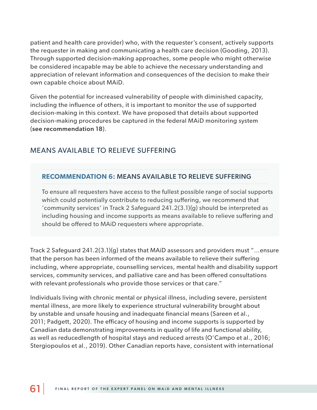patient and health care provider) who, with the requester's consent, actively supports the requester in making and communicating a health care decision (Gooding, 2013). Through supported decision-making approaches, some people who might otherwise be considered incapable may be able to achieve the necessary understanding and appreciation of relevant information and consequences of the decision to make their own capable choice about MAiD.

Given the potential for increased vulnerability of people with diminished capacity, including the influence of others, it is important to monitor the use of supported decision-making in this context. We have proposed that details about supported decision-making procedures be captured in the federal MAiD monitoring system (see recommendation 18).

### MEANS AVAILABLE TO RELIEVE SUFFERING

### **RECOMMENDATION 6:** MEANS AVAILABLE TO RELIEVE SUFFERING

To ensure all requesters have access to the fullest possible range of social supports which could potentially contribute to reducing suffering, we recommend that 'community services' in Track 2 Safeguard 241.2(3.1)(g) should be interpreted as including housing and income supports as means available to relieve suffering and should be offered to MAiD requesters where appropriate.

Track 2 Safeguard 241.2(3.1)(g) states that MAiD assessors and providers must "…ensure that the person has been informed of the means available to relieve their suffering including, where appropriate, counselling services, mental health and disability support services, community services, and palliative care and has been offered consultations with relevant professionals who provide those services or that care."

Individuals living with chronic mental or physical illness, including severe, persistent mental illness, are more likely to experience structural vulnerability brought about by unstable and unsafe housing and inadequate financial means (Sareen et al., 2011; Padgett, 2020). The efficacy of housing and income supports is supported by Canadian data demonstrating improvements in quality of life and functional ability, as well as reducedlength of hospital stays and reduced arrests (O'Campo et al., 2016; Stergiopoulos et al., 2019). Other Canadian reports have, consistent with international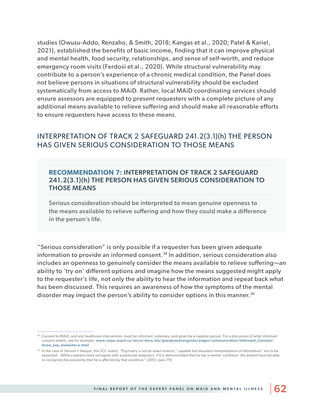studies (Owusu-Addo, Renzaho, & Smith, 2018; Kangas et al., 2020; Patel & Kariel, 2021), established the benefits of basic income, finding that it can improve physical and mental health, food security, relationships, and sense of self-worth, and reduce emergency room visits (Ferdosi et al., 2020). While structural vulnerability may contribute to a person's experience of a chronic medical condition, the Panel does not believe persons in situations of structural vulnerability should be excluded systematically from access to MAiD. Rather, local MAiD coordinating services should ensure assessors are equipped to present requesters with a complete picture of any additional means available to relieve suffering and should make all reasonable efforts to ensure requesters have access to these means.

### INTERPRETATION OF TRACK 2 SAFEGUARD 241.2(3.1)(h) THE PERSON HAS GIVEN SERIOUS CONSIDERATION TO THOSE MEANS

### **RECOMMENDATION 7:** INTERPRETATION OF TRACK 2 SAFEGUARD 241.2(3.1)(h) THE PERSON HAS GIVEN SERIOUS CONSIDERATION TO THOSE MEANS

Serious consideration should be interpreted to mean genuine openness to the means available to relieve suffering and how they could make a difference in the person's life.

"Serious consideration" is only possible if a requester has been given adequate information to provide an informed consent.<sup>38</sup> In addition, serious consideration also includes an openness to genuinely consider the means available to relieve suffering—an ability to 'try on' different options and imagine how the means suggested might apply to the requester's life, not only the ability to hear the information and repeat back what has been discussed. This requires an awareness of how the symptoms of the mental disorder may impact the person's ability to consider options in this manner.<sup>39</sup>

<sup>38</sup> Consent to MAiD, and any healthcare intervention, must be informed, voluntary, and given by a capable person. For a discussion of what informed consent entails, see for example: www.cmpa-acpm.ca/serve/docs/ela/goodpracticesguide/pages/communication/Informed\_Consent/ three\_key\_elements-e.html

<sup>&</sup>lt;sup>39</sup> In the case of *Starson v Swayze*, the SCC noted, "Psychiatry is not an exact science," capable but dissident interpretations of information" are to be expected…While a patient need not agree with a particular diagnosis, if it is demonstrated that he has a mental 'condition' the patient must be able to recognize the possibility that he is affected by that condition" (2003, para 79).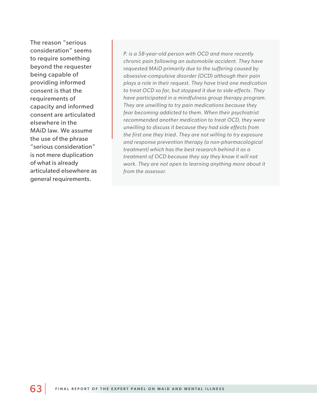The reason "serious consideration" seems to require something beyond the requester being capable of providing informed consent is that the requirements of capacity and informed consent are articulated elsewhere in the MAiD law. We assume the use of the phrase "serious consideration" is not mere duplication of what is already articulated elsewhere as general requirements.

*P. is a 58-year-old person with OCD and more recently chronic pain following an automobile accident. They have requested MAiD primarily due to the suffering caused by obsessive-compulsive disorder (OCD) although their pain plays a role in their request. They have tried one medication to treat OCD so far, but stopped it due to side effects. They have participated in a mindfulness group therapy program. They are unwilling to try pain medications because they fear becoming addicted to them. When their psychiatrist recommended another medication to treat OCD, they were unwilling to discuss it because they had side effects from the first one they tried. They are not willing to try exposure and response prevention therapy (a non-pharmacological treatment) which has the best research behind it as a treatment of OCD because they say they know it will not work. They are not open to learning anything more about it from the assessor.*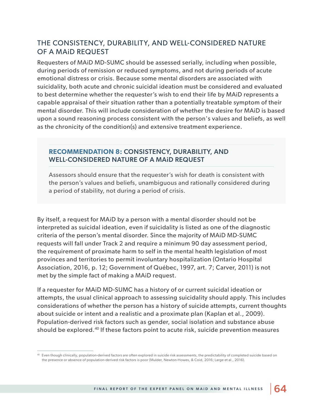### THE CONSISTENCY, DURABILITY, AND WELL-CONSIDERED NATURE OF A MAiD REQUEST

Requesters of MAiD MD-SUMC should be assessed serially, including when possible, during periods of remission or reduced symptoms, and not during periods of acute emotional distress or crisis. Because some mental disorders are associated with suicidality, both acute and chronic suicidal ideation must be considered and evaluated to best determine whether the requester's wish to end their life by MAiD represents a capable appraisal of their situation rather than a potentially treatable symptom of their mental disorder. This will include consideration of whether the desire for MAiD is based upon a sound reasoning process consistent with the person's values and beliefs, as well as the chronicity of the condition(s) and extensive treatment experience.

### **RECOMMENDATION 8:** CONSISTENCY, DURABILITY, AND WELL‑CONSIDERED NATURE OF A MAiD REQUEST

Assessors should ensure that the requester's wish for death is consistent with the person's values and beliefs, unambiguous and rationally considered during a period of stability, not during a period of crisis.

By itself, a request for MAiD by a person with a mental disorder should not be interpreted as suicidal ideation, even if suicidality is listed as one of the diagnostic criteria of the person's mental disorder. Since the majority of MAiD MD-SUMC requests will fall under Track 2 and require a minimum 90 day assessment period, the requirement of proximate harm to self in the mental health legislation of most provinces and territories to permit involuntary hospitalization (Ontario Hospital Association, 2016, p. 12; Government of Québec, 1997, art. 7; Carver, 2011) is not met by the simple fact of making a MAiD request.

If a requester for MAiD MD-SUMC has a history of or current suicidal ideation or attempts, the usual clinical approach to assessing suicidality should apply. This includes considerations of whether the person has a history of suicide attempts, current thoughts about suicide or intent and a realistic and a proximate plan (Kaplan et al., 2009). Population-derived risk factors such as gender, social isolation and substance abuse should be explored.<sup>40</sup> If these factors point to acute risk, suicide prevention measures

<sup>&</sup>lt;sup>40</sup> Even though clinically, population-derived factors are often explored in suicide risk assessments, the predictability of completed suicide based on the presence or absence of population-derived risk factors is poor (Mulder, Newton-Howes, & Coid, 2016; Large et al., 2016).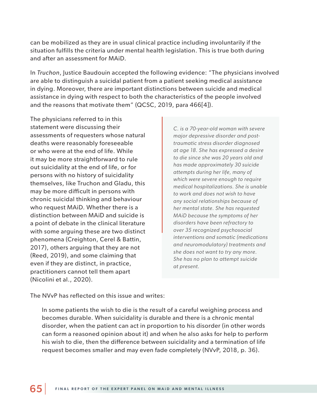can be mobilized as they are in usual clinical practice including involuntarily if the situation fulfills the criteria under mental health legislation. This is true both during and after an assessment for MAiD.

In *Truchon*, Justice Baudouin accepted the following evidence: "The physicians involved are able to distinguish a suicidal patient from a patient seeking medical assistance in dying. Moreover, there are important distinctions between suicide and medical assistance in dying with respect to both the characteristics of the people involved and the reasons that motivate them" (QCSC, 2019, para 466[4]).

The physicians referred to in this statement were discussing their assessments of requesters whose natural deaths were reasonably foreseeable or who were at the end of life. While it may be more straightforward to rule out suicidality at the end of life, or for persons with no history of suicidality themselves, like Truchon and Gladu, this may be more difficult in persons with chronic suicidal thinking and behaviour who request MAiD. Whether there is a distinction between MAiD and suicide is a point of debate in the clinical literature with some arguing these are two distinct phenomena (Creighton, Cerel & Battin, 2017), others arguing that they are not (Reed, 2019), and some claiming that even if they are distinct, in practice, practitioners cannot tell them apart (Nicolini et al., 2020).

*C. is a 70-year-old woman with severe major depressive disorder and posttraumatic stress disorder diagnosed at age 18. She has expressed a desire to die since she was 20 years old and has made approximately 30 suicide attempts during her life, many of which were severe enough to require medical hospitalizations. She is unable to work and does not wish to have any social relationships because of her mental state. She has requested MAiD because the symptoms of her disorders have been refractory to over 35 recognized psychosocial interventions and somatic (medications and neuromodulatory) treatments and she does not want to try any more. She has no plan to attempt suicide at present.*

The NVvP has reflected on this issue and writes:

In some patients the wish to die is the result of a careful weighing process and becomes durable. When suicidality is durable and there is a chronic mental disorder, when the patient can act in proportion to his disorder (in other words can form a reasoned opinion about it) and when he also asks for help to perform his wish to die, then the difference between suicidality and a termination of life request becomes smaller and may even fade completely (NVvP, 2018, p. 36).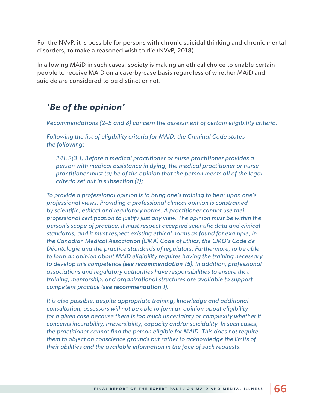For the NVvP, it is possible for persons with chronic suicidal thinking and chronic mental disorders, to make a reasoned wish to die (NVvP, 2018).

In allowing MAiD in such cases, society is making an ethical choice to enable certain people to receive MAiD on a case-by-case basis regardless of whether MAiD and suicide are considered to be distinct or not.

## *'Be of the opinion'*

*Recommendations (2–5 and 8) concern the assessment of certain eligibility criteria.*

*Following the list of eligibility criteria for MAiD, the Criminal Code states the following:*

*241.2(3.1) Before a medical practitioner or nurse practitioner provides a person with medical assistance in dying, the medical practitioner or nurse practitioner must (a) be of the opinion that the person meets all of the legal criteria set out in subsection (1);*

*To provide a professional opinion is to bring one's training to bear upon one's professional views. Providing a professional clinical opinion is constrained by scientific, ethical and regulatory norms. A practitioner cannot use their professional certification to justify just any view. The opinion must be within the person's scope of practice, it must respect accepted scientific data and clinical standards, and it must respect existing ethical norms as found for example, in the Canadian Medical Association (CMA) Code of Ethics, the CMQ's Code de Déontologie and the practice standards of regulators. Furthermore, to be able to form an opinion about MAiD eligibility requires having the training necessary to develop this competence (see recommendation 15). In addition, professional associations and regulatory authorities have responsibilities to ensure that training, mentorship, and organizational structures are available to support competent practice (see recommendation 1).*

*It is also possible, despite appropriate training, knowledge and additional consultation, assessors will not be able to form an opinion about eligibility*  for a given case because there is too much uncertainty or complexity whether it *concerns incurability, irreversibility, capacity and/or suicidality. In such cases, the practitioner cannot find the person eligible for MAiD. This does not require them to object on conscience grounds but rather to acknowledge the limits of their abilities and the available information in the face of such requests.*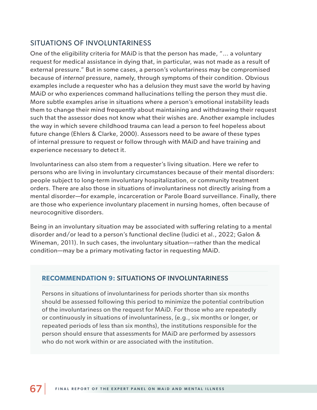### SITUATIONS OF INVOLUNTARINESS

One of the eligibility criteria for MAiD is that the person has made, "… a voluntary request for medical assistance in dying that, in particular, was not made as a result of external pressure." But in some cases, a person's voluntariness may be compromised because of *internal* pressure, namely, through symptoms of their condition. Obvious examples include a requester who has a delusion they must save the world by having MAiD or who experiences command hallucinations telling the person they must die. More subtle examples arise in situations where a person's emotional instability leads them to change their mind frequently about maintaining and withdrawing their request such that the assessor does not know what their wishes are. Another example includes the way in which severe childhood trauma can lead a person to feel hopeless about future change (Ehlers & Clarke, 2000). Assessors need to be aware of these types of internal pressure to request or follow through with MAiD and have training and experience necessary to detect it.

Involuntariness can also stem from a requester's living situation. Here we refer to persons who are living in involuntary circumstances because of their mental disorders: people subject to long-term involuntary hospitalization, or community treatment orders. There are also those in situations of involuntariness not directly arising from a mental disorder—for example, incarceration or Parole Board surveillance. Finally, there are those who experience involuntary placement in nursing homes, often because of neurocognitive disorders.

Being in an involuntary situation may be associated with suffering relating to a mental disorder and/or lead to a person's functional decline (Iudici et al., 2022; Galon & Wineman, 2011). In such cases, the involuntary situation—rather than the medical condition—may be a primary motivating factor in requesting MAiD.

### **RECOMMENDATION 9:** SITUATIONS OF INVOLUNTARINESS

Persons in situations of involuntariness for periods shorter than six months should be assessed following this period to minimize the potential contribution of the involuntariness on the request for MAiD. For those who are repeatedly or continuously in situations of involuntariness, (e.g., six months or longer, or repeated periods of less than six months), the institutions responsible for the person should ensure that assessments for MAiD are performed by assessors who do not work within or are associated with the institution.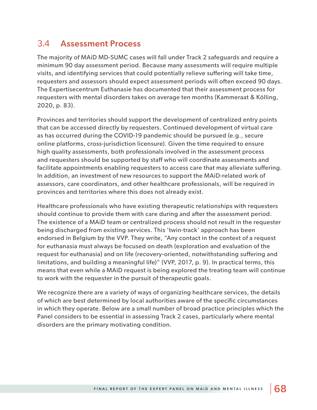# 3.4 Assessment Process

The majority of MAiD MD-SUMC cases will fall under Track 2 safeguards and require a minimum 90 day assessment period. Because many assessments will require multiple visits, and identifying services that could potentially relieve suffering will take time, requesters and assessors should expect assessment periods will often exceed 90 days. The Expertisecentrum Euthanasie has documented that their assessment process for requesters with mental disorders takes on average ten months (Kammeraat & Kölling, 2020, p. 83).

Provinces and territories should support the development of centralized entry points that can be accessed directly by requesters. Continued development of virtual care as has occurred during the COVID-19 pandemic should be pursued (e.g., secure online platforms, cross-jurisdiction licensure). Given the time required to ensure high quality assessments, both professionals involved in the assessment process and requesters should be supported by staff who will coordinate assessments and facilitate appointments enabling requesters to access care that may alleviate suffering. In addition, an investment of new resources to support the MAiD-related work of assessors, care coordinators, and other healthcare professionals, will be required in provinces and territories where this does not already exist.

Healthcare professionals who have existing therapeutic relationships with requesters should continue to provide them with care during and after the assessment period. The existence of a MAiD team or centralized process should not result in the requester being discharged from existing services. This 'twin-track' approach has been endorsed in Belgium by the VVP. They write, "Any contact in the context of a request for euthanasia must always be focused on death (exploration and evaluation of the request for euthanasia) and on life (recovery-oriented, notwithstanding suffering and limitations, and building a meaningful life)" (VVP, 2017, p. 9). In practical terms, this means that even while a MAiD request is being explored the treating team will continue to work with the requester in the pursuit of therapeutic goals.

We recognize there are a variety of ways of organizing healthcare services, the details of which are best determined by local authorities aware of the specific circumstances in which they operate. Below are a small number of broad practice principles which the Panel considers to be essential in assessing Track 2 cases, particularly where mental disorders are the primary motivating condition.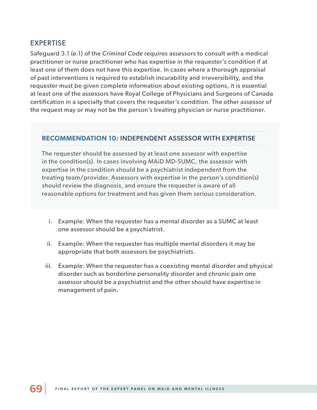### EXPERTISE

Safeguard 3.1 (e.1) of the *Criminal Code* requires assessors to consult with a medical practitioner or nurse practitioner who has expertise in the requester's condition if at least one of them does not have this expertise. In cases where a thorough appraisal of past interventions is required to establish incurability and irreversibility, and the requester must be given complete information about existing options, it is essential at least one of the assessors have Royal College of Physicians and Surgeons of Canada certification in a specialty that covers the requester's condition. The other assessor of the request may or may not be the person's treating physician or nurse practitioner.

### **RECOMMENDATION 10:** INDEPENDENT ASSESSOR WITH EXPERTISE

The requester should be assessed by at least one assessor with expertise in the condition(s). In cases involving MAiD MD-SUMC, the assessor with expertise in the condition should be a psychiatrist independent from the treating team/provider. Assessors with expertise in the person's condition(s) should review the diagnosis, and ensure the requester is aware of all reasonable options for treatment and has given them serious consideration.

- i. Example: When the requester has a mental disorder as a SUMC at least one assessor should be a psychiatrist.
- ii. Example: When the requester has multiple mental disorders it may be appropriate that both assessors be psychiatrists.
- iii. Example: When the requester has a coexisting mental disorder and physical disorder such as borderline personality disorder and chronic pain one assessor should be a psychiatrist and the other should have expertise in management of pain.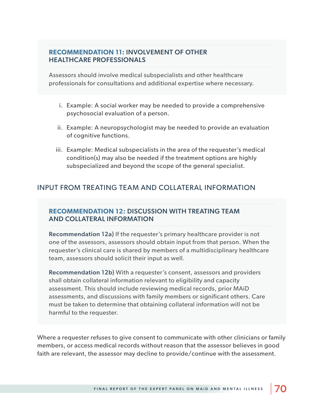### **RECOMMENDATION 11:** INVOLVEMENT OF OTHER HEALTHCARE PROFESSIONALS

Assessors should involve medical subspecialists and other healthcare professionals for consultations and additional expertise where necessary.

- i. Example: A social worker may be needed to provide a comprehensive psychosocial evaluation of a person.
- ii. Example: A neuropsychologist may be needed to provide an evaluation of cognitive functions.
- iii. Example: Medical subspecialists in the area of the requester's medical condition(s) may also be needed if the treatment options are highly subspecialized and beyond the scope of the general specialist.

### INPUT FROM TREATING TEAM AND COLLATERAL INFORMATION

### **RECOMMENDATION 12:** DISCUSSION WITH TREATING TEAM AND COLLATERAL INFORMATION

Recommendation 12a) If the requester's primary healthcare provider is not one of the assessors, assessors should obtain input from that person. When the requester's clinical care is shared by members of a multidisciplinary healthcare team, assessors should solicit their input as well.

Recommendation 12b) With a requester's consent, assessors and providers shall obtain collateral information relevant to eligibility and capacity assessment. This should include reviewing medical records, prior MAiD assessments, and discussions with family members or significant others. Care must be taken to determine that obtaining collateral information will not be harmful to the requester.

Where a requester refuses to give consent to communicate with other clinicians or family members, or access medical records without reason that the assessor believes in good faith are relevant, the assessor may decline to provide/continue with the assessment.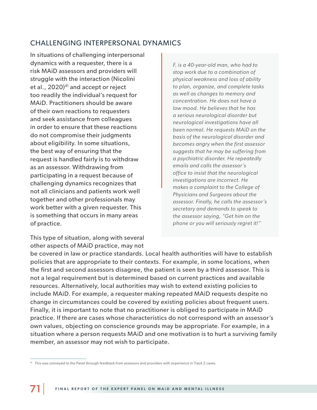### CHALLENGING INTERPERSONAL DYNAMICS

In situations of challenging interpersonal dynamics with a requester, there is a risk MAiD assessors and providers will struggle with the interaction (Nicolini et al.,  $2020$ <sup>41</sup> and accept or reject too readily the individual's request for MAiD. Practitioners should be aware of their own reactions to requesters and seek assistance from colleagues in order to ensure that these reactions do not compromise their judgments about eligibility. In some situations, the best way of ensuring that the request is handled fairly is to withdraw as an assessor. Withdrawing from participating in a request because of challenging dynamics recognizes that not all clinicians and patients work well together and other professionals may work better with a given requester. This is something that occurs in many areas of practice.

This type of situation, along with several other aspects of MAiD practice, may not

*F. is a 40-year-old man, who had to stop work due to a combination of physical weakness and loss of ability to plan, organize, and complete tasks as well as changes to memory and concentration. He does not have a low mood. He believes that he has a serious neurological disorder but neurological investigations have all been normal. He requests MAiD on the basis of the neurological disorder and becomes angry when the first assessor suggests that he may be suffering from a psychiatric disorder. He repeatedly emails and calls the assessor's office to insist that the neurological investigations are incorrect. He makes a complaint to the College of Physicians and Surgeons about the assessor. Finally, he calls the assessor's secretary and demands to speak to the assessor saying, "Get him on the phone or you will seriously regret it!"*

be covered in law or practice standards. Local health authorities will have to establish policies that are appropriate to their contexts. For example, in some locations, when the first and second assessors disagree, the patient is seen by a third assessor. This is not a legal requirement but is determined based on current practices and available resources. Alternatively, local authorities may wish to extend existing policies to include MAiD. For example, a requester making repeated MAiD requests despite no change in circumstances could be covered by existing policies about frequent users. Finally, it is important to note that no practitioner is obliged to participate in MAiD practice. If there are cases whose characteristics do not correspond with an assessor's own values, objecting on conscience grounds may be appropriate. For example, in a situation where a person requests MAiD and one motivation is to hurt a surviving family member, an assessor may not wish to participate.

<sup>41</sup> This was conveyed to the Panel through feedback from assessors and providers with experience in Track 2 cases.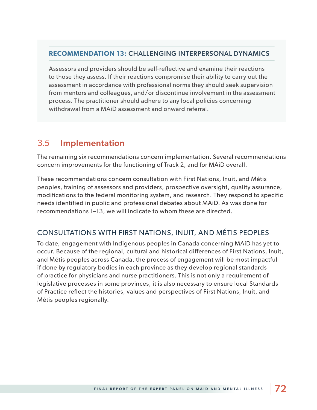### **RECOMMENDATION 13:** CHALLENGING INTERPERSONAL DYNAMICS

Assessors and providers should be self-reflective and examine their reactions to those they assess. If their reactions compromise their ability to carry out the assessment in accordance with professional norms they should seek supervision from mentors and colleagues, and/or discontinue involvement in the assessment process. The practitioner should adhere to any local policies concerning withdrawal from a MAiD assessment and onward referral.

# 3.5 Implementation

The remaining six recommendations concern implementation. Several recommendations concern improvements for the functioning of Track 2, and for MAiD overall.

These recommendations concern consultation with First Nations, Inuit, and Métis peoples, training of assessors and providers, prospective oversight, quality assurance, modifications to the federal monitoring system, and research. They respond to specific needs identified in public and professional debates about MAiD. As was done for recommendations 1–13, we will indicate to whom these are directed.

### CONSULTATIONS WITH FIRST NATIONS, INUIT, AND MÉTIS PEOPLES

To date, engagement with Indigenous peoples in Canada concerning MAiD has yet to occur. Because of the regional, cultural and historical differences of First Nations, Inuit, and Métis peoples across Canada, the process of engagement will be most impactful if done by regulatory bodies in each province as they develop regional standards of practice for physicians and nurse practitioners. This is not only a requirement of legislative processes in some provinces, it is also necessary to ensure local Standards of Practice reflect the histories, values and perspectives of First Nations, Inuit, and Métis peoples regionally.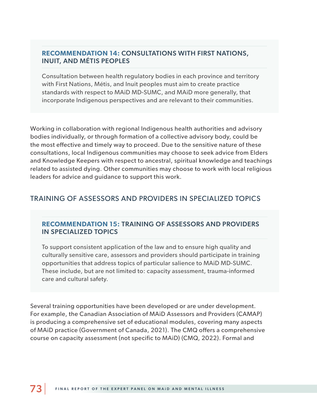### **RECOMMENDATION 14:** CONSULTATIONS WITH FIRST NATIONS, INUIT, AND MÉTIS PEOPLES

Consultation between health regulatory bodies in each province and territory with First Nations, Métis, and Inuit peoples must aim to create practice standards with respect to MAiD MD-SUMC, and MAiD more generally, that incorporate Indigenous perspectives and are relevant to their communities.

Working in collaboration with regional Indigenous health authorities and advisory bodies individually, or through formation of a collective advisory body, could be the most effective and timely way to proceed. Due to the sensitive nature of these consultations, local Indigenous communities may choose to seek advice from Elders and Knowledge Keepers with respect to ancestral, spiritual knowledge and teachings related to assisted dying. Other communities may choose to work with local religious leaders for advice and guidance to support this work.

### TRAINING OF ASSESSORS AND PROVIDERS IN SPECIALIZED TOPICS

### **RECOMMENDATION 15:** TRAINING OF ASSESSORS AND PROVIDERS IN SPECIALIZED TOPICS

To support consistent application of the law and to ensure high quality and culturally sensitive care, assessors and providers should participate in training opportunities that address topics of particular salience to MAiD MD-SUMC. These include, but are not limited to: capacity assessment, trauma-informed care and cultural safety.

Several training opportunities have been developed or are under development. For example, the Canadian Association of MAiD Assessors and Providers (CAMAP) is producing a comprehensive set of educational modules, covering many aspects of MAiD practice (Government of Canada, 2021). The CMQ offers a comprehensive course on capacity assessment (not specific to MAiD) (CMQ, 2022). Formal and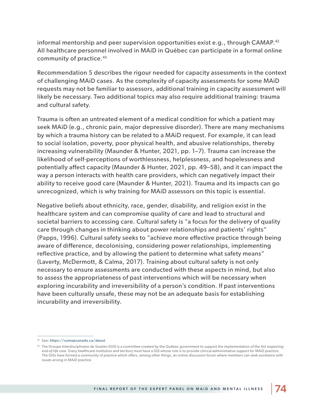informal mentorship and peer supervision opportunities exist e.g., through CAMAP.<sup>42</sup> All healthcare personnel involved in MAiD in Québec can participate in a formal online community of practice.43

Recommendation 5 describes the rigour needed for capacity assessments in the context of challenging MAiD cases. As the complexity of capacity assessments for some MAiD requests may not be familiar to assessors, additional training in capacity assessment will likely be necessary. Two additional topics may also require additional training: trauma and cultural safety.

Trauma is often an untreated element of a medical condition for which a patient may seek MAiD (e.g., chronic pain, major depressive disorder). There are many mechanisms by which a trauma history can be related to a MAiD request. For example, it can lead to social isolation, poverty, poor physical health, and abusive relationships, thereby increasing vulnerability (Maunder & Hunter, 2021, pp. 1–7). Trauma can increase the likelihood of self-perceptions of worthlessness, helplessness, and hopelessness and potentially affect capacity (Maunder & Hunter, 2021, pp. 49–58), and it can impact the way a person interacts with health care providers, which can negatively impact their ability to receive good care (Maunder & Hunter, 2021). Trauma and its impacts can go unrecognized, which is why training for MAiD assessors on this topic is essential.

Negative beliefs about ethnicity, race, gender, disability, and religion exist in the healthcare system and can compromise quality of care and lead to structural and societal barriers to accessing care. Cultural safety is "a focus for the delivery of quality care through changes in thinking about power relationships and patients' rights" (Papps, 1996). Cultural safety seeks to "achieve more effective practice through being aware of difference, decolonising, considering power relationships, implementing reflective practice, and by allowing the patient to determine what safety means" (Laverty, McDermott, & Calma, 2017). Training about cultural safety is not only necessary to ensure assessments are conducted with these aspects in mind, but also to assess the appropriateness of past interventions which will be necessary when exploring incurability and irreversibility of a person's condition. If past interventions have been culturally unsafe, these may not be an adequate basis for establishing incurability and irreversibility.

<sup>42</sup> See: [https://camapcanada.ca/about](https://camapcanada.ca/about/)

<sup>43</sup> The Groupe Interdisciplinaire de Soutien (GIS) is a committee created by the Québec government to support the implementation of the *Act respecting end-of-life care*. Every healthcare institution and territory must have a GIS whose role is to provide clinical-administrative support for MAiD practice. The GISs have formed a community of practice which offers, among other things, an online discussion forum where members can seek assistance with issues arising in MAiD practice.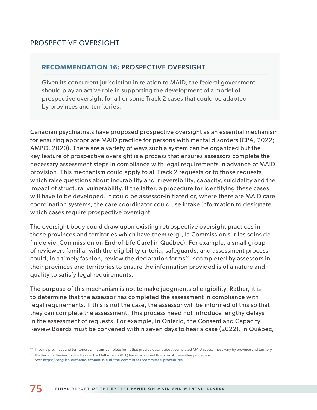### PROSPECTIVE OVERSIGHT

### **RECOMMENDATION 16:** PROSPECTIVE OVERSIGHT

Given its concurrent jurisdiction in relation to MAiD, the federal government should play an active role in supporting the development of a model of prospective oversight for all or some Track 2 cases that could be adapted by provinces and territories.

Canadian psychiatrists have proposed prospective oversight as an essential mechanism for ensuring appropriate MAiD practice for persons with mental disorders (CPA, 2022; AMPQ, 2020). There are a variety of ways such a system can be organized but the key feature of prospective oversight is a process that ensures assessors complete the necessary assessment steps in compliance with legal requirements in advance of MAiD provision. This mechanism could apply to all Track 2 requests or to those requests which raise questions about incurability and irreversibility, capacity, suicidality and the impact of structural vulnerability. If the latter, a procedure for identifying these cases will have to be developed. It could be assessor-initiated or, where there are MAiD care coordination systems, the care coordinator could use intake information to designate which cases require prospective oversight.

The oversight body could draw upon existing retrospective oversight practices in those provinces and territories which have them (e.g., la Commission sur les soins de fin de vie [Commission on End-of-Life Care] in Québec). For example, a small group of reviewers familiar with the eligibility criteria, safeguards, and assessment process could, in a timely fashion, review the declaration forms<sup>44,45</sup> completed by assessors in their provinces and territories to ensure the information provided is of a nature and quality to satisfy legal requirements.

The purpose of this mechanism is not to make judgments of eligibility. Rather, it is to determine that the assessor has completed the assessment in compliance with legal requirements. If this is not the case, the assessor will be informed of this so that they can complete the assessment. This process need not introduce lengthy delays in the assessment of requests. For example, in Ontario, the Consent and Capacity Review Boards must be convened within seven days to hear a case (2022). In Québec,

<sup>44</sup> In some provinces and territories, clinicians complete forms that provide details about completed MAiD cases. These vary by province and territory.

<sup>45</sup> The Regional Review Committees of the Netherlands (RTE) have developed this type of committee procedure. See: <https://english.euthanasiecommissie.nl/the-committees/committee-procedures>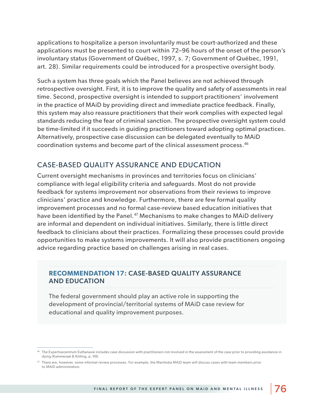applications to hospitalize a person involuntarily must be court-authorized and these applications must be presented to court within 72–96 hours of the onset of the person's involuntary status (Government of Québec, 1997, s. 7; Government of Québec, 1991, art. 28). Similar requirements could be introduced for a prospective oversight body.

Such a system has three goals which the Panel believes are not achieved through retrospective oversight. First, it is to improve the quality and safety of assessments in real time. Second, prospective oversight is intended to support practitioners' involvement in the practice of MAiD by providing direct and immediate practice feedback. Finally, this system may also reassure practitioners that their work complies with expected legal standards reducing the fear of criminal sanction. The prospective oversight system could be time-limited if it succeeds in guiding practitioners toward adopting optimal practices. Alternatively, prospective case discussion can be delegated eventually to MAiD coordination systems and become part of the clinical assessment process.46

### CASE-BASED QUALITY ASSURANCE AND EDUCATION

Current oversight mechanisms in provinces and territories focus on clinicians' compliance with legal eligibility criteria and safeguards. Most do not provide feedback for systems improvement nor observations from their reviews to improve clinicians' practice and knowledge. Furthermore, there are few formal quality improvement processes and no formal case-review based education initiatives that have been identified by the Panel.<sup>47</sup> Mechanisms to make changes to MAID delivery are informal and dependent on individual initiatives. Similarly, there is little direct feedback to clinicians about their practices. Formalizing these processes could provide opportunities to make systems improvements. It will also provide practitioners ongoing advice regarding practice based on challenges arising in real cases.

### **RECOMMENDATION 17:** CASE-BASED QUALITY ASSURANCE AND EDUCATION

The federal government should play an active role in supporting the development of provincial/territorial systems of MAiD case review for educational and quality improvement purposes.

<sup>&</sup>lt;sup>46</sup> The Expertisecentrum Euthanasie includes case discussion with practitioners not involved in the assessment of the case prior to providing assistance in dying (Kammeraat & Kölling, p. 99).

<sup>47</sup> There are, however, some informal review processes. For example, the Manitoba MAiD team will discuss cases with team members prior to MAiD administration.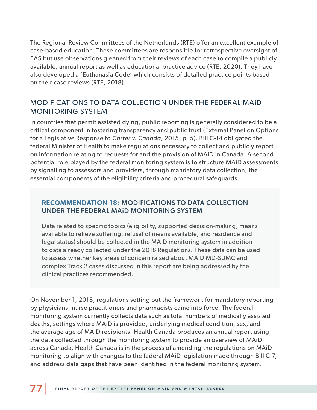The Regional Review Committees of the Netherlands (RTE) offer an excellent example of case-based education. These committees are responsible for retrospective oversight of EAS but use observations gleaned from their reviews of each case to compile a publicly available, annual report as well as educational practice advice (RTE, 2020). They have also developed a 'Euthanasia Code' which consists of detailed practice points based on their case reviews (RTE, 2018).

### MODIFICATIONS TO DATA COLLECTION UNDER THE FEDERAL MAiD MONITORING SYSTEM

In countries that permit assisted dying, public reporting is generally considered to be a critical component in fostering transparency and public trust (External Panel on Options for a Legislative Response to *Carter v. Canada,* 2015, p. 5). Bill C-14 obligated the federal Minister of Health to make regulations necessary to collect and publicly report on information relating to requests for and the provision of MAiD in Canada. A second potential role played by the federal monitoring system is to structure MAiD assessments by signalling to assessors and providers, through mandatory data collection, the essential components of the eligibility criteria and procedural safeguards.

### **RECOMMENDATION 18:** MODIFICATIONS TO DATA COLLECTION UNDER THE FEDERAL MAiD MONITORING SYSTEM

Data related to specific topics (eligibility, supported decision-making, means available to relieve suffering, refusal of means available, and residence and legal status) should be collected in the MAiD monitoring system in addition to data already collected under the 2018 Regulations. These data can be used to assess whether key areas of concern raised about MAiD MD-SUMC and complex Track 2 cases discussed in this report are being addressed by the clinical practices recommended.

On November 1, 2018, regulations setting out the framework for mandatory reporting by physicians, nurse practitioners and pharmacists came into force. The federal monitoring system currently collects data such as total numbers of medically assisted deaths, settings where MAiD is provided, underlying medical condition, sex, and the average age of MAiD recipients. Health Canada produces an annual report using the data collected through the monitoring system to provide an overview of MAiD across Canada. Health Canada is in the process of amending the regulations on MAiD monitoring to align with changes to the federal MAiD legislation made through Bill C-7, and address data gaps that have been identified in the federal monitoring system.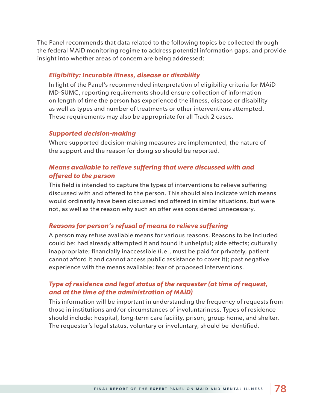The Panel recommends that data related to the following topics be collected through the federal MAiD monitoring regime to address potential information gaps, and provide insight into whether areas of concern are being addressed:

### *Eligibility: Incurable illness, disease or disability*

In light of the Panel's recommended interpretation of eligibility criteria for MAiD MD-SUMC, reporting requirements should ensure collection of information on length of time the person has experienced the illness, disease or disability as well as types and number of treatments or other interventions attempted. These requirements may also be appropriate for all Track 2 cases.

### *Supported decision-making*

Where supported decision-making measures are implemented, the nature of the support and the reason for doing so should be reported.

### *Means available to relieve suffering that were discussed with and offered to the person*

This field is intended to capture the types of interventions to relieve suffering discussed with and offered to the person. This should also indicate which means would ordinarily have been discussed and offered in similar situations, but were not, as well as the reason why such an offer was considered unnecessary.

### *Reasons for person's refusal of means to relieve suffering*

A person may refuse available means for various reasons. Reasons to be included could be: had already attempted it and found it unhelpful; side effects; culturally inappropriate; financially inaccessible (i.e., must be paid for privately, patient cannot afford it and cannot access public assistance to cover it); past negative experience with the means available; fear of proposed interventions.

### *Type of residence and legal status of the requester (at time of request, and at the time of the administration of MAiD)*

This information will be important in understanding the frequency of requests from those in institutions and/or circumstances of involuntariness. Types of residence should include: hospital, long-term care facility, prison, group home, and shelter. The requester's legal status, voluntary or involuntary, should be identified.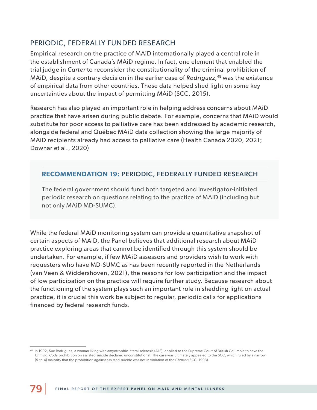### PERIODIC, FEDERALLY FUNDED RESEARCH

Empirical research on the practice of MAiD internationally played a central role in the establishment of Canada's MAiD regime. In fact, one element that enabled the trial judge in *Carter* to reconsider the constitutionality of the criminal prohibition of MAiD, despite a contrary decision in the earlier case of *Rodriguez,* 48 was the existence of empirical data from other countries. These data helped shed light on some key uncertainties about the impact of permitting MAiD (SCC, 2015).

Research has also played an important role in helping address concerns about MAiD practice that have arisen during public debate. For example, concerns that MAiD would substitute for poor access to palliative care has been addressed by academic research, alongside federal and Québec MAiD data collection showing the large majority of MAiD recipients already had access to palliative care (Health Canada 2020, 2021; Downar et al., 2020)

### **RECOMMENDATION 19:** PERIODIC, FEDERALLY FUNDED RESEARCH

The federal government should fund both targeted and investigator-initiated periodic research on questions relating to the practice of MAiD (including but not only MAiD MD-SUMC).

While the federal MAiD monitoring system can provide a quantitative snapshot of certain aspects of MAiD, the Panel believes that additional research about MAiD practice exploring areas that cannot be identified through this system should be undertaken. For example, if few MAiD assessors and providers wish to work with requesters who have MD-SUMC as has been recently reported in the Netherlands (van Veen & Widdershoven, 2021), the reasons for low participation and the impact of low participation on the practice will require further study. Because research about the functioning of the system plays such an important role in shedding light on actual practice, it is crucial this work be subject to regular, periodic calls for applications financed by federal research funds.

<sup>&</sup>lt;sup>48</sup> In 1992, Sue Rodriguez, a woman living with amyotrophic lateral sclerosis (ALS), applied to the Supreme Court of British Columbia to have the *Criminal Code* prohibition on assisted suicide declared unconstitutional. The case was ultimately appealed to the SCC, which ruled by a narrow (5-to-4) majority that the prohibition against assisted suicide was not in violation of the *Charter* (SCC, 1993).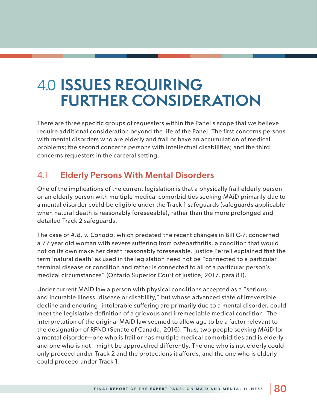# 4.0 **ISSUES REQUIRING FURTHER CONSIDERATION**

There are three specific groups of requesters within the Panel's scope that we believe require additional consideration beyond the life of the Panel. The first concerns persons with mental disorders who are elderly and frail or have an accumulation of medical problems; the second concerns persons with intellectual disabilities; and the third concerns requesters in the carceral setting.

# 4.1 Elderly Persons With Mental Disorders

One of the implications of the current legislation is that a physically frail elderly person or an elderly person with multiple medical comorbidities seeking MAiD primarily due to a mental disorder could be eligible under the Track 1 safeguards (safeguards applicable when natural death is reasonably foreseeable), rather than the more prolonged and detailed Track 2 safeguards.

The case of *A.B. v. Canada*, which predated the recent changes in Bill C-7, concerned a 77 year old woman with severe suffering from osteoarthritis, a condition that would not on its own make her death reasonably foreseeable. Justice Perrell explained that the term 'natural death' as used in the legislation need not be "connected to a particular terminal disease or condition and rather is connected to all of a particular person's medical circumstances" (Ontario Superior Court of Justice, 2017, para 81).

Under current MAiD law a person with physical conditions accepted as a "serious and incurable illness, disease or disability," but whose advanced state of irreversible decline and enduring, intolerable suffering are primarily due to a mental disorder, could meet the legislative definition of a grievous and irremediable medical condition. The interpretation of the original MAiD law seemed to allow age to be a factor relevant to the designation of RFND (Senate of Canada, 2016). Thus, two people seeking MAiD for a mental disorder—one who is frail or has multiple medical comorbidities and is elderly, and one who is not—might be approached differently. The one who is not elderly could only proceed under Track 2 and the protections it affords, and the one who is elderly could proceed under Track 1.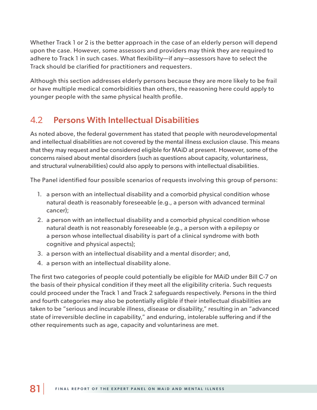Whether Track 1 or 2 is the better approach in the case of an elderly person will depend upon the case. However, some assessors and providers may think they are required to adhere to Track 1 in such cases. What flexibility—if any—assessors have to select the Track should be clarified for practitioners and requesters.

Although this section addresses elderly persons because they are more likely to be frail or have multiple medical comorbidities than others, the reasoning here could apply to younger people with the same physical health profile.

# 4.2 Persons With Intellectual Disabilities

As noted above, the federal government has stated that people with neurodevelopmental and intellectual disabilities are not covered by the mental illness exclusion clause. This means that they may request and be considered eligible for MAiD at present. However, some of the concerns raised about mental disorders (such as questions about capacity, voluntariness, and structural vulnerabilities) could also apply to persons with intellectual disabilities.

The Panel identified four possible scenarios of requests involving this group of persons:

- 1. a person with an intellectual disability and a comorbid physical condition whose natural death is reasonably foreseeable (e.g., a person with advanced terminal cancer);
- 2. a person with an intellectual disability and a comorbid physical condition whose natural death is not reasonably foreseeable (e.g., a person with a epilepsy or a person whose intellectual disability is part of a clinical syndrome with both cognitive and physical aspects);
- 3. a person with an intellectual disability and a mental disorder; and,
- 4. a person with an intellectual disability alone.

The first two categories of people could potentially be eligible for MAiD under Bill C-7 on the basis of their physical condition if they meet all the eligibility criteria. Such requests could proceed under the Track 1 and Track 2 safeguards respectively. Persons in the third and fourth categories may also be potentially eligible if their intellectual disabilities are taken to be "serious and incurable illness, disease or disability," resulting in an "advanced state of irreversible decline in capability," and enduring, intolerable suffering and if the other requirements such as age, capacity and voluntariness are met.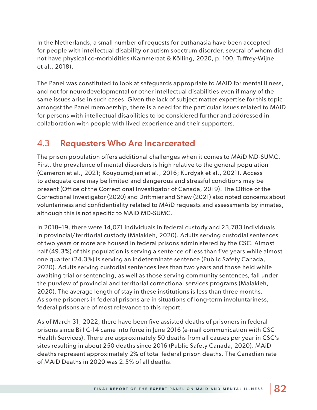In the Netherlands, a small number of requests for euthanasia have been accepted for people with intellectual disability or autism spectrum disorder, several of whom did not have physical co-morbidities (Kammeraat & Kölling, 2020, p. 100; Tuffrey-Wijne et al., 2018).

The Panel was constituted to look at safeguards appropriate to MAiD for mental illness, and not for neurodevelopmental or other intellectual disabilities even if many of the same issues arise in such cases. Given the lack of subject matter expertise for this topic amongst the Panel membership, there is a need for the particular issues related to MAiD for persons with intellectual disabilities to be considered further and addressed in collaboration with people with lived experience and their supporters.

# 4.3 Requesters Who Are Incarcerated

The prison population offers additional challenges when it comes to MAiD MD-SUMC. First, the prevalence of mental disorders is high relative to the general population (Cameron et al., 2021; Kouyoumdjian et al., 2016; Kurdyak et al., 2021). Access to adequate care may be limited and dangerous and stressful conditions may be present (Office of the Correctional Investigator of Canada, 2019). The Office of the Correctional Investigator (2020) and Driftmier and Shaw (2021) also noted concerns about voluntariness and confidentiality related to MAiD requests and assessments by inmates, although this is not specific to MAiD MD-SUMC.

In 2018–19, there were 14,071 individuals in federal custody and 23,783 individuals in provincial/territorial custody (Malakieh, 2020). Adults serving custodial sentences of two years or more are housed in federal prisons administered by the CSC. Almost half (49.3%) of this population is serving a sentence of less than five years while almost one quarter (24.3%) is serving an indeterminate sentence (Public Safety Canada, 2020). Adults serving custodial sentences less than two years and those held while awaiting trial or sentencing, as well as those serving community sentences, fall under the purview of provincial and territorial correctional services programs (Malakieh, 2020). The average length of stay in these institutions is less than three months. As some prisoners in federal prisons are in situations of long-term involuntariness, federal prisons are of most relevance to this report.

As of March 31, 2022, there have been five assisted deaths of prisoners in federal prisons since Bill C-14 came into force in June 2016 (e-mail communication with CSC Health Services). There are approximately 50 deaths from all causes per year in CSC's sites resulting in about 250 deaths since 2016 (Public Safety Canada, 2020). MAiD deaths represent approximately 2% of total federal prison deaths. The Canadian rate of MAiD Deaths in 2020 was 2.5% of all deaths.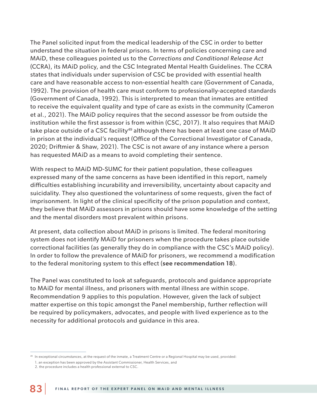The Panel solicited input from the medical leadership of the CSC in order to better understand the situation in federal prisons. In terms of policies concerning care and MAiD, these colleagues pointed us to the *Corrections and Conditional Release Act* (CCRA), its MAiD policy, and the CSC Integrated Mental Health Guidelines. The CCRA states that individuals under supervision of CSC be provided with essential health care and have reasonable access to non-essential health care (Government of Canada, 1992). The provision of health care must conform to professionally-accepted standards (Government of Canada, 1992). This is interpreted to mean that inmates are entitled to receive the equivalent quality and type of care as exists in the community (Cameron et al., 2021). The MAiD policy requires that the second assessor be from outside the institution while the first assessor is from within (CSC, 2017). It also requires that MAiD take place outside of a CSC facility<sup>49</sup> although there has been at least one case of MAiD in prison at the individual's request (Office of the Correctional Investigator of Canada, 2020; Driftmier & Shaw, 2021). The CSC is not aware of any instance where a person has requested MAiD as a means to avoid completing their sentence.

With respect to MAiD MD-SUMC for their patient population, these colleagues expressed many of the same concerns as have been identified in this report, namely difficulties establishing incurability and irreversibility, uncertainty about capacity and suicidality. They also questioned the voluntariness of some requests, given the fact of imprisonment. In light of the clinical specificity of the prison population and context, they believe that MAiD assessors in prisons should have some knowledge of the setting and the mental disorders most prevalent within prisons.

At present, data collection about MAiD in prisons is limited. The federal monitoring system does not identify MAiD for prisoners when the procedure takes place outside correctional facilities (as generally they do in compliance with the CSC's MAiD policy). In order to follow the prevalence of MAiD for prisoners, we recommend a modification to the federal monitoring system to this effect (see recommendation 18).

The Panel was constituted to look at safeguards, protocols and guidance appropriate to MAiD for mental illness, and prisoners with mental illness are within scope. Recommendation 9 applies to this population. However, given the lack of subject matter expertise on this topic amongst the Panel membership, further reflection will be required by policymakers, advocates, and people with lived experience as to the necessity for additional protocols and guidance in this area.

<sup>&</sup>lt;sup>49</sup> In exceptional circumstances, at the request of the inmate, a Treatment Centre or a Regional Hospital may be used, provided:

 <sup>1.</sup> an exception has been approved by the Assistant Commissioner, Health Services, and

<sup>2.</sup> the procedure includes a health professional external to CSC.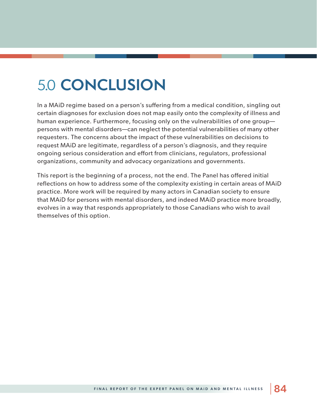# 5.0 **CONCLUSION**

In a MAiD regime based on a person's suffering from a medical condition, singling out certain diagnoses for exclusion does not map easily onto the complexity of illness and human experience. Furthermore, focusing only on the vulnerabilities of one group persons with mental disorders—can neglect the potential vulnerabilities of many other requesters. The concerns about the impact of these vulnerabilities on decisions to request MAiD are legitimate, regardless of a person's diagnosis, and they require ongoing serious consideration and effort from clinicians, regulators, professional organizations, community and advocacy organizations and governments.

This report is the beginning of a process, not the end. The Panel has offered initial reflections on how to address some of the complexity existing in certain areas of MAiD practice. More work will be required by many actors in Canadian society to ensure that MAiD for persons with mental disorders, and indeed MAiD practice more broadly, evolves in a way that responds appropriately to those Canadians who wish to avail themselves of this option.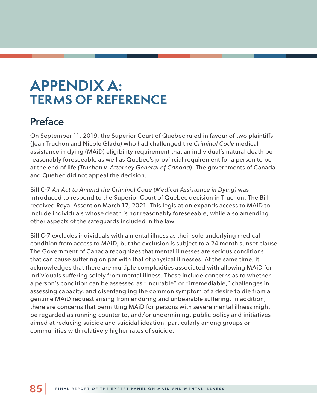# **APPENDIX A: TERMS OF REFERENCE**

# **Preface**

On September 11, 2019, the Superior Court of Quebec ruled in favour of two plaintiffs (Jean Truchon and Nicole Gladu) who had challenged the *Criminal Code* medical assistance in dying (MAiD) eligibility requirement that an individual's natural death be reasonably foreseeable as well as Quebec's provincial requirement for a person to be at the end of life *(Truchon v. Attorney General of Canada*). The governments of Canada and Quebec did not appeal the decision.

Bill C-7 *An Act to Amend the Criminal Code (Medical Assistance in Dying)* was introduced to respond to the Superior Court of Quebec decision in Truchon. The Bill received Royal Assent on March 17, 2021. This legislation expands access to MAiD to include individuals whose death is not reasonably foreseeable, while also amending other aspects of the safeguards included in the law.

Bill C-7 excludes individuals with a mental illness as their sole underlying medical condition from access to MAiD, but the exclusion is subject to a 24 month sunset clause. The Government of Canada recognizes that mental illnesses are serious conditions that can cause suffering on par with that of physical illnesses. At the same time, it acknowledges that there are multiple complexities associated with allowing MAiD for individuals suffering solely from mental illness. These include concerns as to whether a person's condition can be assessed as "incurable" or "irremediable," challenges in assessing capacity, and disentangling the common symptom of a desire to die from a genuine MAiD request arising from enduring and unbearable suffering. In addition, there are concerns that permitting MAiD for persons with severe mental illness might be regarded as running counter to, and/or undermining, public policy and initiatives aimed at reducing suicide and suicidal ideation, particularly among groups or communities with relatively higher rates of suicide.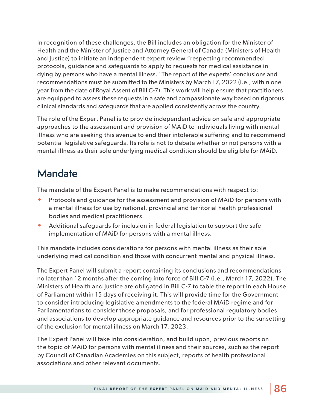In recognition of these challenges, the Bill includes an obligation for the Minister of Health and the Minister of Justice and Attorney General of Canada (Ministers of Health and Justice) to initiate an independent expert review "respecting recommended protocols, guidance and safeguards to apply to requests for medical assistance in dying by persons who have a mental illness." The report of the experts' conclusions and recommendations must be submitted to the Ministers by March 17, 2022 (i.e., within one year from the date of Royal Assent of Bill C-7). This work will help ensure that practitioners are equipped to assess these requests in a safe and compassionate way based on rigorous clinical standards and safeguards that are applied consistently across the country.

The role of the Expert Panel is to provide independent advice on safe and appropriate approaches to the assessment and provision of MAiD to individuals living with mental illness who are seeking this avenue to end their intolerable suffering and to recommend potential legislative safeguards. Its role is not to debate whether or not persons with a mental illness as their sole underlying medical condition should be eligible for MAiD.

# **Mandate**

The mandate of the Expert Panel is to make recommendations with respect to:

- Protocols and guidance for the assessment and provision of MAiD for persons with a mental illness for use by national, provincial and territorial health professional bodies and medical practitioners.
- Additional safeguards for inclusion in federal legislation to support the safe implementation of MAiD for persons with a mental illness.

This mandate includes considerations for persons with mental illness as their sole underlying medical condition and those with concurrent mental and physical illness.

The Expert Panel will submit a report containing its conclusions and recommendations no later than 12 months after the coming into force of Bill C-7 (i.e., March 17, 2022). The Ministers of Health and Justice are obligated in Bill C-7 to table the report in each House of Parliament within 15 days of receiving it. This will provide time for the Government to consider introducing legislative amendments to the federal MAiD regime and for Parliamentarians to consider those proposals, and for professional regulatory bodies and associations to develop appropriate guidance and resources prior to the sunsetting of the exclusion for mental illness on March 17, 2023.

The Expert Panel will take into consideration, and build upon, previous reports on the topic of MAiD for persons with mental illness and their sources, such as the report by Council of Canadian Academies on this subject, reports of health professional associations and other relevant documents.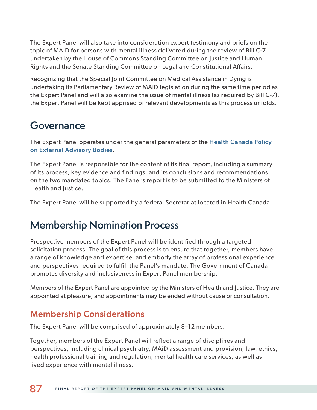The Expert Panel will also take into consideration expert testimony and briefs on the topic of MAiD for persons with mental illness delivered during the review of Bill C-7 undertaken by the House of Commons Standing Committee on Justice and Human Rights and the Senate Standing Committee on Legal and Constitutional Affairs.

Recognizing that the Special Joint Committee on Medical Assistance in Dying is undertaking its Parliamentary Review of MAiD legislation during the same time period as the Expert Panel and will also examine the issue of mental illness (as required by Bill C-7), the Expert Panel will be kept apprised of relevant developments as this process unfolds.

# **Governance**

The Expert Panel operates under the general parameters of the [Health Canada Policy](https://www.canada.ca/en/health-canada/corporate/about-health-canada/public-engagement/resource-centre/policy-external-advisory-bodies-health-canada-2011.html)  [on External Advisory Bodies](https://www.canada.ca/en/health-canada/corporate/about-health-canada/public-engagement/resource-centre/policy-external-advisory-bodies-health-canada-2011.html).

The Expert Panel is responsible for the content of its final report, including a summary of its process, key evidence and findings, and its conclusions and recommendations on the two mandated topics. The Panel's report is to be submitted to the Ministers of Health and Justice.

The Expert Panel will be supported by a federal Secretariat located in Health Canada.

# **Membership Nomination Process**

Prospective members of the Expert Panel will be identified through a targeted solicitation process. The goal of this process is to ensure that together, members have a range of knowledge and expertise, and embody the array of professional experience and perspectives required to fulfill the Panel's mandate. The Government of Canada promotes diversity and inclusiveness in Expert Panel membership.

Members of the Expert Panel are appointed by the Ministers of Health and Justice. They are appointed at pleasure, and appointments may be ended without cause or consultation.

# Membership Considerations

The Expert Panel will be comprised of approximately 8–12 members.

Together, members of the Expert Panel will reflect a range of disciplines and perspectives, including clinical psychiatry, MAiD assessment and provision, law, ethics, health professional training and regulation, mental health care services, as well as lived experience with mental illness.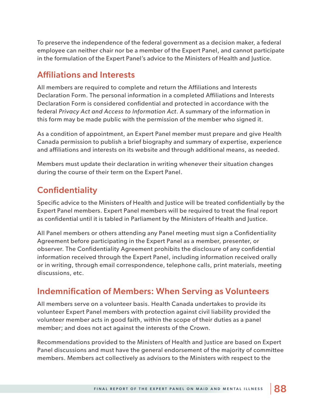To preserve the independence of the federal government as a decision maker, a federal employee can neither chair nor be a member of the Expert Panel, and cannot participate in the formulation of the Expert Panel's advice to the Ministers of Health and Justice.

### Affiliations and Interests

All members are required to complete and return the Affiliations and Interests Declaration Form. The personal information in a completed Affiliations and Interests Declaration Form is considered confidential and protected in accordance with the federal *Privacy Act and Access to Information Act*. A summary of the information in this form may be made public with the permission of the member who signed it.

As a condition of appointment, an Expert Panel member must prepare and give Health Canada permission to publish a brief biography and summary of expertise, experience and affiliations and interests on its website and through additional means, as needed.

Members must update their declaration in writing whenever their situation changes during the course of their term on the Expert Panel.

# **Confidentiality**

Specific advice to the Ministers of Health and Justice will be treated confidentially by the Expert Panel members. Expert Panel members will be required to treat the final report as confidential until it is tabled in Parliament by the Ministers of Health and Justice.

All Panel members or others attending any Panel meeting must sign a Confidentiality Agreement before participating in the Expert Panel as a member, presenter, or observer. The Confidentiality Agreement prohibits the disclosure of any confidential information received through the Expert Panel, including information received orally or in writing, through email correspondence, telephone calls, print materials, meeting discussions, etc.

## Indemnification of Members: When Serving as Volunteers

All members serve on a volunteer basis. Health Canada undertakes to provide its volunteer Expert Panel members with protection against civil liability provided the volunteer member acts in good faith, within the scope of their duties as a panel member; and does not act against the interests of the Crown.

Recommendations provided to the Ministers of Health and Justice are based on Expert Panel discussions and must have the general endorsement of the majority of committee members. Members act collectively as advisors to the Ministers with respect to the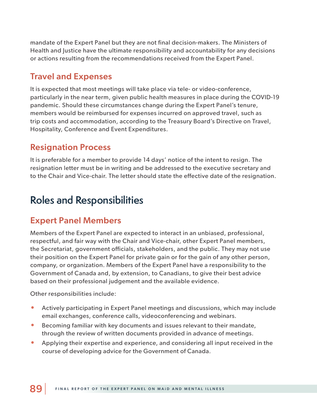mandate of the Expert Panel but they are not final decision-makers. The Ministers of Health and Justice have the ultimate responsibility and accountability for any decisions or actions resulting from the recommendations received from the Expert Panel.

### Travel and Expenses

It is expected that most meetings will take place via tele- or video-conference, particularly in the near term, given public health measures in place during the COVID-19 pandemic. Should these circumstances change during the Expert Panel's tenure, members would be reimbursed for expenses incurred on approved travel, such as trip costs and accommodation, according to the Treasury Board's Directive on Travel, Hospitality, Conference and Event Expenditures.

### Resignation Process

It is preferable for a member to provide 14 days' notice of the intent to resign. The resignation letter must be in writing and be addressed to the executive secretary and to the Chair and Vice-chair. The letter should state the effective date of the resignation.

# **Roles and Responsibilities**

# Expert Panel Members

Members of the Expert Panel are expected to interact in an unbiased, professional, respectful, and fair way with the Chair and Vice-chair, other Expert Panel members, the Secretariat, government officials, stakeholders, and the public. They may not use their position on the Expert Panel for private gain or for the gain of any other person, company, or organization. Members of the Expert Panel have a responsibility to the Government of Canada and, by extension, to Canadians, to give their best advice based on their professional judgement and the available evidence.

Other responsibilities include:

- Actively participating in Expert Panel meetings and discussions, which may include email exchanges, conference calls, videoconferencing and webinars.
- Becoming familiar with key documents and issues relevant to their mandate, through the review of written documents provided in advance of meetings.
- Applying their expertise and experience, and considering all input received in the course of developing advice for the Government of Canada.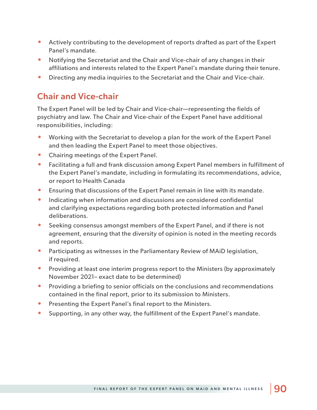- Actively contributing to the development of reports drafted as part of the Expert Panel's mandate.
- Notifying the Secretariat and the Chair and Vice-chair of any changes in their affiliations and interests related to the Expert Panel's mandate during their tenure.
- Directing any media inquiries to the Secretariat and the Chair and Vice-chair.

### Chair and Vice-chair

The Expert Panel will be led by Chair and Vice-chair—representing the fields of psychiatry and law. The Chair and Vice-chair of the Expert Panel have additional responsibilities, including:

- Working with the Secretariat to develop a plan for the work of the Expert Panel and then leading the Expert Panel to meet those objectives.
- Chairing meetings of the Expert Panel.
- Facilitating a full and frank discussion among Expert Panel members in fulfillment of the Expert Panel's mandate, including in formulating its recommendations, advice, or report to Health Canada
- Ensuring that discussions of the Expert Panel remain in line with its mandate.
- Indicating when information and discussions are considered confidential and clarifying expectations regarding both protected information and Panel deliberations.
- Seeking consensus amongst members of the Expert Panel, and if there is not agreement, ensuring that the diversity of opinion is noted in the meeting records and reports.
- Participating as witnesses in the Parliamentary Review of MAiD legislation, if required.
- Providing at least one interim progress report to the Ministers (by approximately November 2021– exact date to be determined)
- Providing a briefing to senior officials on the conclusions and recommendations contained in the final report, prior to its submission to Ministers.
- Presenting the Expert Panel's final report to the Ministers.
- Supporting, in any other way, the fulfillment of the Expert Panel's mandate.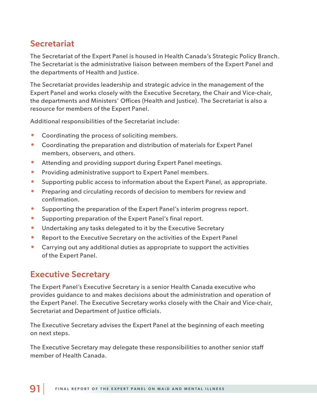# **Secretariat**

The Secretariat of the Expert Panel is housed in Health Canada's Strategic Policy Branch. The Secretariat is the administrative liaison between members of the Expert Panel and the departments of Health and Justice.

The Secretariat provides leadership and strategic advice in the management of the Expert Panel and works closely with the Executive Secretary, the Chair and Vice-chair, the departments and Ministers' Offices (Health and Justice). The Secretariat is also a resource for members of the Expert Panel.

Additional responsibilities of the Secretariat include:

- Coordinating the process of soliciting members.
- Coordinating the preparation and distribution of materials for Expert Panel members, observers, and others.
- Attending and providing support during Expert Panel meetings.
- Providing administrative support to Expert Panel members.
- Supporting public access to information about the Expert Panel, as appropriate.
- Preparing and circulating records of decision to members for review and confirmation.
- Supporting the preparation of the Expert Panel's interim progress report.
- Supporting preparation of the Expert Panel's final report.
- Undertaking any tasks delegated to it by the Executive Secretary
- Report to the Executive Secretary on the activities of the Expert Panel
- Carrying out any additional duties as appropriate to support the activities of the Expert Panel.

## Executive Secretary

The Expert Panel's Executive Secretary is a senior Health Canada executive who provides guidance to and makes decisions about the administration and operation of the Expert Panel. The Executive Secretary works closely with the Chair and Vice-chair, Secretariat and Department of Justice officials.

The Executive Secretary advises the Expert Panel at the beginning of each meeting on next steps.

The Executive Secretary may delegate these responsibilities to another senior staff member of Health Canada.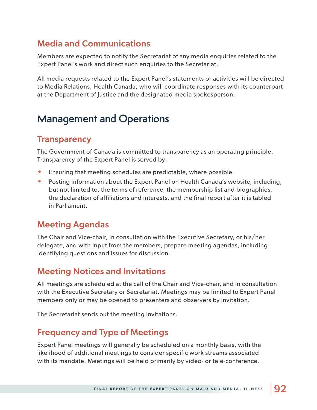# Media and Communications

Members are expected to notify the Secretariat of any media enquiries related to the Expert Panel's work and direct such enquiries to the Secretariat.

All media requests related to the Expert Panel's statements or activities will be directed to Media Relations, Health Canada, who will coordinate responses with its counterpart at the Department of Justice and the designated media spokesperson.

# **Management and Operations**

# **Transparency**

The Government of Canada is committed to transparency as an operating principle. Transparency of the Expert Panel is served by:

- Ensuring that meeting schedules are predictable, where possible.
- Posting information about the Expert Panel on Health Canada's website, including, but not limited to, the terms of reference, the membership list and biographies, the declaration of affiliations and interests, and the final report after it is tabled in Parliament.

# Meeting Agendas

The Chair and Vice-chair, in consultation with the Executive Secretary, or his/her delegate, and with input from the members, prepare meeting agendas, including identifying questions and issues for discussion.

# Meeting Notices and Invitations

All meetings are scheduled at the call of the Chair and Vice-chair, and in consultation with the Executive Secretary or Secretariat. Meetings may be limited to Expert Panel members only or may be opened to presenters and observers by invitation.

The Secretariat sends out the meeting invitations.

# Frequency and Type of Meetings

Expert Panel meetings will generally be scheduled on a monthly basis, with the likelihood of additional meetings to consider specific work streams associated with its mandate. Meetings will be held primarily by video- or tele-conference.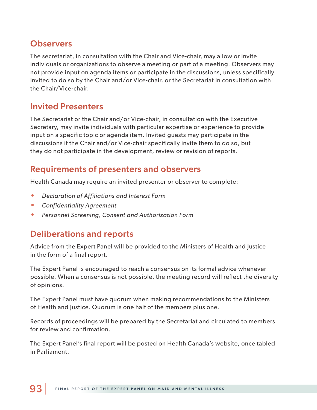### **Observers**

The secretariat, in consultation with the Chair and Vice-chair, may allow or invite individuals or organizations to observe a meeting or part of a meeting. Observers may not provide input on agenda items or participate in the discussions, unless specifically invited to do so by the Chair and/or Vice-chair, or the Secretariat in consultation with the Chair/Vice-chair.

# Invited Presenters

The Secretariat or the Chair and/or Vice-chair, in consultation with the Executive Secretary, may invite individuals with particular expertise or experience to provide input on a specific topic or agenda item. Invited guests may participate in the discussions if the Chair and/or Vice-chair specifically invite them to do so, but they do not participate in the development, review or revision of reports.

## Requirements of presenters and observers

Health Canada may require an invited presenter or observer to complete:

- *Declaration of Affiliations and Interest Form*
- *Confidentiality Agreement*
- *Personnel Screening, Consent and Authorization Form*

## Deliberations and reports

Advice from the Expert Panel will be provided to the Ministers of Health and Justice in the form of a final report.

The Expert Panel is encouraged to reach a consensus on its formal advice whenever possible. When a consensus is not possible, the meeting record will reflect the diversity of opinions.

The Expert Panel must have quorum when making recommendations to the Ministers of Health and Justice. Quorum is one half of the members plus one.

Records of proceedings will be prepared by the Secretariat and circulated to members for review and confirmation.

The Expert Panel's final report will be posted on Health Canada's website, once tabled in Parliament.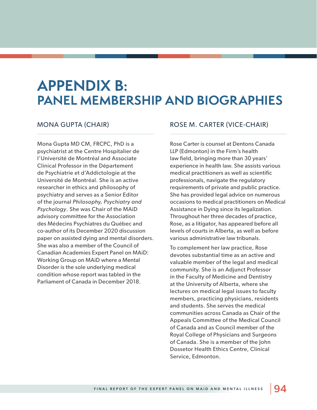# **APPENDIX B: PANEL MEMBERSHIP AND BIOGRAPHIES**

#### MONA GUPTA (CHAIR)

Mona Gupta MD CM, FRCPC, PhD is a psychiatrist at the Centre Hospitalier de l'Université de Montréal and Associate Clinical Professor in the Département de Psychiatrie et d'Addictologie at the Université de Montréal. She is an active researcher in ethics and philosophy of psychiatry and serves as a Senior Editor of the journal *Philosophy, Psychiatry and Psychology*. She was Chair of the MAiD advisory committee for the Association des Médecins Psychiatres du Québec and co-author of its December 2020 discussion paper on assisted dying and mental disorders. She was also a member of the Council of Canadian Academies Expert Panel on MAiD: Working Group on MAiD where a Mental Disorder is the sole underlying medical condition whose report was tabled in the Parliament of Canada in December 2018.

### ROSE M. CARTER (VICE-CHAIR)

Rose Carter is counsel at Dentons Canada LLP (Edmonton) in the Firm's health law field, bringing more than 30 years' experience in health law. She assists various medical practitioners as well as scientific professionals, navigate the regulatory requirements of private and public practice. She has provided legal advice on numerous occasions to medical practitioners on Medical Assistance in Dying since its legalization. Throughout her three decades of practice, Rose, as a litigator, has appeared before all levels of courts in Alberta, as well as before various administrative law tribunals.

To complement her law practice, Rose devotes substantial time as an active and valuable member of the legal and medical community. She is an Adjunct Professor in the Faculty of Medicine and Dentistry at the University of Alberta, where she lectures on medical legal issues to faculty members, practicing physicians, residents and students. She serves the medical communities across Canada as Chair of the Appeals Committee of the Medical Council of Canada and as Council member of the Royal College of Physicians and Surgeons of Canada. She is a member of the John Dossetor Health Ethics Centre, Clinical Service, Edmonton.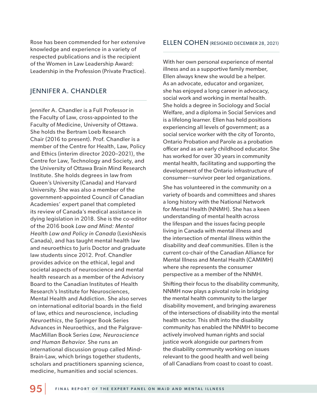Rose has been commended for her extensive knowledge and experience in a variety of respected publications and is the recipient of the Women in Law Leadership Award: Leadership in the Profession (Private Practice).

### JENNIFER A. CHANDLER

Jennifer A. Chandler is a Full Professor in the Faculty of Law, cross-appointed to the Faculty of Medicine, University of Ottawa. She holds the Bertram Loeb Research Chair (2016 to present). Prof. Chandler is a member of the Centre for Health, Law, Policy and Ethics (interim director 2020–2021), the Centre for Law, Technology and Society, and the University of Ottawa Brain Mind Research Institute. She holds degrees in law from Queen's University (Canada) and Harvard University. She was also a member of the government-appointed Council of Canadian Academies' expert panel that completed its review of Canada's medical assistance in dying legislation in 2018. She is the co-editor of the 2016 book *Law and Mind: Mental Health Law and Policy in Canada* (LexisNexis Canada), and has taught mental health law and neuroethics to Juris Doctor and graduate law students since 2012. Prof. Chandler provides advice on the ethical, legal and societal aspects of neuroscience and mental health research as a member of the Advisory Board to the Canadian Institutes of Health Research's Institute for Neurosciences, Mental Health and Addiction. She also serves on international editorial boards in the field of law, ethics and neuroscience, including *Neuroethics*, the Springer Book Series Advances in Neuroethics, and the Palgrave-MacMillan Book Series *Law, Neuroscience and Human Behavior.* She runs an international discussion group called Mind-Brain-Law, which brings together students, scholars and practitioners spanning science, medicine, humanities and social sciences.

#### ELLEN COHEN (RESIGNED DECEMBER 28, 2021)

With her own personal experience of mental illness and as a supportive family member, Ellen always knew she would be a helper. As an advocate, educator and organizer, she has enjoyed a long career in advocacy, social work and working in mental health. She holds a degree in Sociology and Social Welfare, and a diploma in Social Services and is a lifelong learner. Ellen has held positions experiencing all levels of government; as a social service worker with the city of Toronto, Ontario Probation and Parole as a probation officer and as an early childhood educator. She has worked for over 30 years in community mental health, facilitating and supporting the development of the Ontario infrastructure of consumer—survivor peer led organizations.

She has volunteered in the community on a variety of boards and committees and shares a long history with the National Network for Mental Health (NNMH). She has a keen understanding of mental health across the lifespan and the issues facing people living in Canada with mental illness and the intersection of mental illness within the disability and deaf communities. Ellen is the current co-chair of the Canadian Alliance for Mental Illness and Mental Health (CAMIMH) where she represents the consumer perspective as a member of the NNMH.

Shifting their focus to the disability community, NNMH now plays a pivotal role in bridging the mental health community to the larger disability movement, and bringing awareness of the intersections of disability into the mental health sector. This shift into the disability community has enabled the NNMH to become actively involved human rights and social justice work alongside our partners from the disability community working on issues relevant to the good health and well being of all Canadians from coast to coast to coast.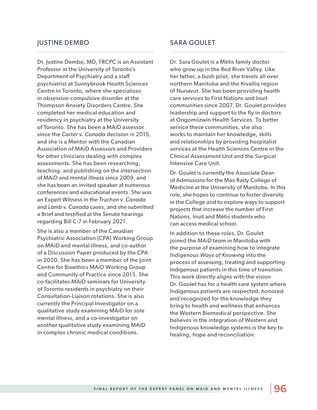### JUSTINE DEMBO

Dr. Justine Dembo, MD, FRCPC is an Assistant Professor in the University of Toronto's Department of Psychiatry and a staff psychiatrist at Sunnybrook Health Sciences Centre in Toronto, where she specializes in obsessive-compulsive disorder at the Thompson Anxiety Disorders Centre. She completed her medical education and residency in psychiatry at the University of Toronto. She has been a MAiD assessor since the *Carter v. Canada* decision in 2015, and she is a Mentor with the Canadian Association of MAiD Assessors and Providers for other clinicians dealing with complex assessments. She has been researching, teaching, and publishing on the intersection of MAiD and mental illness since 2009, and she has been an invited speaker at numerous conferences and educational events. She was an Expert Witness in the *Truchon v. Canada* and *Lamb v. Canada* cases, and she submitted a Brief and testified at the Senate hearings regarding Bill C-7 in February 2021.

She is also a member of the Canadian Psychiatric Association (CPA) Working Group on MAiD and mental illness, and co-author of a Discussion Paper produced by the CPA in 2020. She has been a member of the Joint Centre for Bioethics MAiD Working Group and Community of Practice since 2015. She co-facilitates MAiD seminars for University of Toronto residents in psychiatry on their Consultation-Liaison rotations. She is also currently the Principal Investigator on a qualitative study examining MAiD for sole mental illness, and a co-investigator on another qualitative study examining MAiD in complex chronic medical conditions.

#### SARA GOULET

Dr. Sara Goulet is a Métis family doctor who grew up in the Red River Valley. Like her father, a bush pilot, she travels all over northern Manitoba and the Kivalliq region of Nunavut. She has been providing health care services to First Nations and Inuit communities since 2007. Dr. Goulet provides leadership and support to the fly in doctors at Ongomiizwin Health Services. To better service these communities, she also works to maintain her knowledge, skills and relationships by providing hospitalist services at the Health Sciences Centre in the Clinical Assessment Unit and the Surgical Intensive Care Unit.

Dr. Goulet is currently the Associate Dean of Admissions for the Max Rady College of Medicine at the University of Manitoba. In this role, she hopes to continue to foster diversity in the College and to explore ways to support projects that increase the number of First Nations, Inuit and Métis students who can access medical school.

In addition to these roles, Dr. Goulet joined the *MAiD team* in Manitoba with the purpose of examining how to integrate *Indigenous Ways of Knowing* into the process of assessing, treating and supporting Indigenous patients in this time of transition. This work directly aligns with the vision Dr. Goulet has for a health care system where Indigenous patients are respected, honored and recognized for the knowledge they bring to health and wellness that enhances the Western Biomedical perspective. She believes in the integration of Western and Indigenous knowledge systems is the key to healing, hope and reconciliation.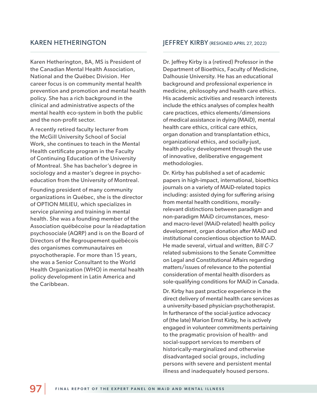### KAREN HETHERINGTON

Karen Hetherington, BA, MS is President of the Canadian Mental Health Association, National and the Québec Division. Her career focus is on community mental health prevention and promotion and mental health policy. She has a rich background in the clinical and administrative aspects of the mental health eco-system in both the public and the non-profit sector.

A recently retired faculty lecturer from the McGill University School of Social Work, she continues to teach in the Mental Health certificate program in the Faculty of Continuing Education of the University of Montreal. She has bachelor's degree in sociology and a master's degree in psychoeducation from the University of Montreal.

Founding president of many community organizations in Québec, she is the director of OPTION MILIEU, which specializes in service planning and training in mental health. She was a founding member of the Association québécoise pour la réadaptation psychosociale (AQRP) and is on the Board of Directors of the Regroupement québécois des organismes communautaires en psyochotherapie. For more than 15 years, she was a Senior Consultant to the World Health Organization (WHO) in mental health policy development in Latin America and the Caribbean.

#### JEFFREY KIRBY (RESIGNED APRIL 27, 2022)

Dr. Jeffrey Kirby is a (retired) Professor in the Department of Bioethics, Faculty of Medicine, Dalhousie University. He has an educational background and professional experience in medicine, philosophy and health care ethics. His academic activities and research interests include the ethics analyses of complex health care practices, ethics elements/dimensions of medical assistance in dying (MAiD), mental health care ethics, critical care ethics, organ donation and transplantation ethics, organizational ethics, and socially-just, health policy development through the use of innovative, deliberative engagement methodologies.

Dr. Kirby has published a set of academic papers in high-impact, international, bioethics journals on a variety of MAiD-related topics including: assisted dying for suffering arising from mental health conditions, morallyrelevant distinctions between paradigm and non-paradigm MAiD circumstances, mesoand macro-level (MAiD-related) health policy development, organ donation after MAiD and institutional conscientious objection to MAiD. He made several, virtual and written, *Bill C-7* related submissions to the Senate Committee on Legal and Constitutional Affairs regarding matters/issues of relevance to the potential consideration of mental health disorders as sole-qualifying conditions for MAiD in Canada.

Dr. Kirby has past practice experience in the direct delivery of mental health care services as a university-based physician-psychotherapist. In furtherance of the social-justice advocacy of (the late) Marion Ernst Kirby, he is actively engaged in volunteer commitments pertaining to the pragmatic provision of health- and social-support services to members of historically-marginalized and otherwise disadvantaged social groups, including persons with severe and persistent mental illness and inadequately housed persons.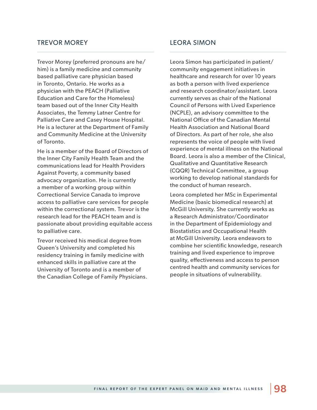#### TREVOR MOREY

Trevor Morey (preferred pronouns are he/ him) is a family medicine and community based palliative care physician based in Toronto, Ontario. He works as a physician with the PEACH (Palliative Education and Care for the Homeless) team based out of the Inner City Health Associates, the Temmy Latner Centre for Palliative Care and Casey House Hospital. He is a lecturer at the Department of Family and Community Medicine at the University of Toronto.

He is a member of the Board of Directors of the Inner City Family Health Team and the communications lead for Health Providers Against Poverty, a community based advocacy organization. He is currently a member of a working group within Correctional Service Canada to improve access to palliative care services for people within the correctional system. Trevor is the research lead for the PEACH team and is passionate about providing equitable access to palliative care.

Trevor received his medical degree from Queen's University and completed his residency training in family medicine with enhanced skills in palliative care at the University of Toronto and is a member of the Canadian College of Family Physicians.

#### LEORA SIMON

Leora Simon has participated in patient/ community engagement initiatives in healthcare and research for over 10 years as both a person with lived experience and research coordinator/assistant. Leora currently serves as chair of the National Council of Persons with Lived Experience (NCPLE), an advisory committee to the National Office of the Canadian Mental Health Association and National Board of Directors. As part of her role, she also represents the voice of people with lived experience of mental illness on the National Board. Leora is also a member of the Clinical, Qualitative and Quantitative Research (CQQR) Technical Committee, a group working to develop national standards for the conduct of human research.

Leora completed her MSc in Experimental Medicine (basic biomedical research) at McGill University. She currently works as a Research Administrator/Coordinator in the Department of Epidemiology and Biostatistics and Occupational Health at McGill University. Leora endeavors to combine her scientific knowledge, research training and lived experience to improve quality, effectiveness and access to person centred health and community services for people in situations of vulnerability.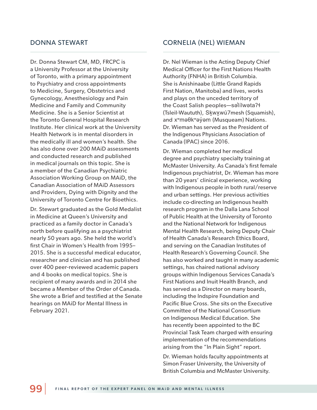#### DONNA STEWART

Dr. Donna Stewart CM, MD, FRCPC is a University Professor at the University of Toronto, with a primary appointment to Psychiatry and cross appointments to Medicine, Surgery, Obstetrics and Gynecology, Anesthesiology and Pain Medicine and Family and Community Medicine. She is a Senior Scientist at the Toronto General Hospital Research Institute. Her clinical work at the University Health Network is in mental disorders in the medically ill and women's health. She has also done over 200 MAiD assessments and conducted research and published in medical journals on this topic. She is a member of the Canadian Psychiatric Association Working Group on MAiD, the Canadian Association of MAiD Assessors and Providers, Dying with Dignity and the University of Toronto Centre for Bioethics.

Dr. Stewart graduated as the Gold Medalist in Medicine at Queen's University and practiced as a family doctor in Canada's north before qualifying as a psychiatrist nearly 50 years ago. She held the world's first Chair in Women's Health from 1995– 2015. She is a successful medical educator, researcher and clinician and has published over 400 peer-reviewed academic papers and 4 books on medical topics. She is recipient of many awards and in 2014 she became a Member of the Order of Canada. She wrote a Brief and testified at the Senate hearings on MAiD for Mental Illness in February 2021.

### CORNELIA (NEL) WIEMAN

Dr. Nel Wieman is the Acting Deputy Chief Medical Officer for the First Nations Health Authority (FNHA) in British Columbia. She is Anishinaabe (Little Grand Rapids First Nation, Manitoba) and lives, works and plays on the unceded territory of the Coast Salish peoples—səl̓ílwətaʔɬ (Tsleil-Waututh), Sḵwx̱wú7mesh (Squamish), and xʷməθkʷəy̓əm (Musqueam) Nations. Dr. Wieman has served as the President of the Indigenous Physicians Association of Canada (IPAC) since 2016.

Dr. Wieman completed her medical degree and psychiatry specialty training at McMaster University. As Canada's first female Indigenous psychiatrist, Dr. Wieman has more than 20 years' clinical experience, working with Indigenous people in both rural/reserve and urban settings. Her previous activities include co-directing an Indigenous health research program in the Dalla Lana School of Public Health at the University of Toronto and the National Network for Indigenous Mental Health Research, being Deputy Chair of Health Canada's Research Ethics Board, and serving on the Canadian Institutes of Health Research's Governing Council. She has also worked and taught in many academic settings, has chaired national advisory groups within Indigenous Services Canada's First Nations and Inuit Health Branch, and has served as a Director on many boards, including the Indspire Foundation and Pacific Blue Cross. She sits on the Executive Committee of the National Consortium on Indigenous Medical Education. She has recently been appointed to the BC Provincial Task Team charged with ensuring implementation of the recommendations arising from the "In Plain Sight" report.

Dr. Wieman holds faculty appointments at Simon Fraser University, the University of British Columbia and McMaster University.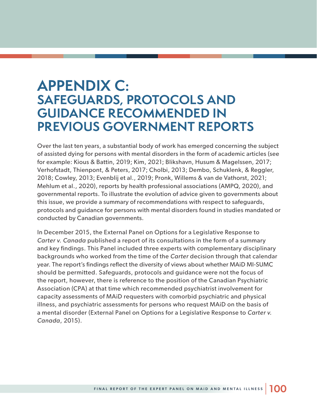# **APPENDIX C: SAFEGUARDS, PROTOCOLS AND GUIDANCE RECOMMENDED IN PREVIOUS GOVERNMENT REPORTS**

Over the last ten years, a substantial body of work has emerged concerning the subject of assisted dying for persons with mental disorders in the form of academic articles (see for example: Kious & Battin, 2019; Kim, 2021; Blikshavn, Husum & Magelssen, 2017; Verhofstadt, Thienpont, & Peters, 2017; Cholbi, 2013; Dembo, Schuklenk, & Reggler, 2018; Cowley, 2013; Evenblij et al., 2019; Pronk, Willems & van de Vathorst, 2021; Mehlum et al., 2020), reports by health professional associations (AMPQ, 2020), and governmental reports. To illustrate the evolution of advice given to governments about this issue, we provide a summary of recommendations with respect to safeguards, protocols and guidance for persons with mental disorders found in studies mandated or conducted by Canadian governments.

In December 2015, the External Panel on Options for a Legislative Response to *Carter v. Canada* published a report of its consultations in the form of a summary and key findings. This Panel included three experts with complementary disciplinary backgrounds who worked from the time of the *Carter* decision through that calendar year. The report's findings reflect the diversity of views about whether MAiD MI-SUMC should be permitted. Safeguards, protocols and guidance were not the focus of the report, however, there is reference to the position of the Canadian Psychiatric Association (CPA) at that time which recommended psychiatrist involvement for capacity assessments of MAiD requesters with comorbid psychiatric and physical illness, and psychiatric assessments for persons who request MAiD on the basis of a mental disorder (External Panel on Options for a Legislative Response to *Carter v. Canada*, 2015).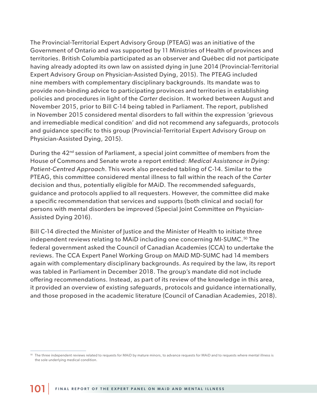The Provincial-Territorial Expert Advisory Group (PTEAG) was an initiative of the Government of Ontario and was supported by 11 Ministries of Health of provinces and territories. British Columbia participated as an observer and Québec did not participate having already adopted its own law on assisted dying in June 2014 (Provincial-Territorial Expert Advisory Group on Physician-Assisted Dying, 2015). The PTEAG included nine members with complementary disciplinary backgrounds. Its mandate was to provide non-binding advice to participating provinces and territories in establishing policies and procedures in light of the *Carter* decision. It worked between August and November 2015, prior to Bill C-14 being tabled in Parliament. The report, published in November 2015 considered mental disorders to fall within the expression 'grievous and irremediable medical condition' and did not recommend any safeguards, protocols and guidance specific to this group (Provincial-Territorial Expert Advisory Group on Physician-Assisted Dying, 2015).

During the  $42<sup>nd</sup>$  session of Parliament, a special joint committee of members from the House of Commons and Senate wrote a report entitled: *Medical Assistance in Dying: Patient-Centred Approach*. This work also preceded tabling of C-14. Similar to the PTEAG, this committee considered mental illness to fall within the reach of the *Carter* decision and thus, potentially eligible for MAiD. The recommended safeguards, guidance and protocols applied to all requesters. However, the committee did make a specific recommendation that services and supports (both clinical and social) for persons with mental disorders be improved (Special Joint Committee on Physician-Assisted Dying 2016).

Bill C-14 directed the Minister of Justice and the Minister of Health to initiate three independent reviews relating to MAID including one concerning MI-SUMC.<sup>50</sup> The federal government asked the Council of Canadian Academies (CCA) to undertake the reviews. The CCA Expert Panel Working Group on MAiD MD-SUMC had 14 members again with complementary disciplinary backgrounds. As required by the law, its report was tabled in Parliament in December 2018. The group's mandate did not include offering recommendations. Instead, as part of its review of the knowledge in this area, it provided an overview of existing safeguards, protocols and guidance internationally, and those proposed in the academic literature (Council of Canadian Academies, 2018).

<sup>50</sup> The three independent reviews related to requests for MAiD by mature minors, to advance requests for MAiD and to requests where mental illness is the sole underlying medical condition.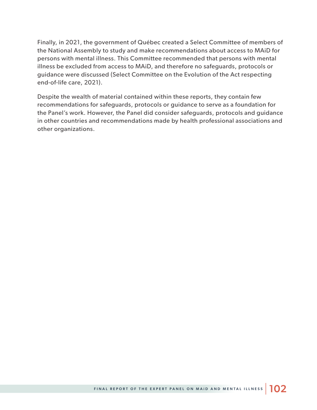Finally, in 2021, the government of Québec created a Select Committee of members of the National Assembly to study and make recommendations about access to MAiD for persons with mental illness. This Committee recommended that persons with mental illness be excluded from access to MAiD, and therefore no safeguards, protocols or guidance were discussed (Select Committee on the Evolution of the Act respecting end-of-life care, 2021).

Despite the wealth of material contained within these reports, they contain few recommendations for safeguards, protocols or guidance to serve as a foundation for the Panel's work. However, the Panel did consider safeguards, protocols and guidance in other countries and recommendations made by health professional associations and other organizations.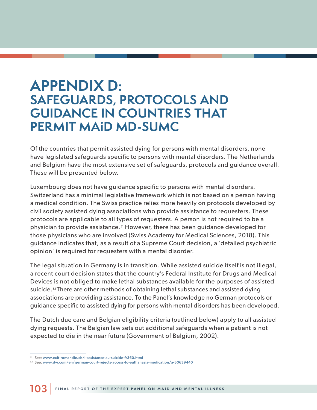## **APPENDIX D: SAFEGUARDS, PROTOCOLS AND GUIDANCE IN COUNTRIES THAT PERMIT MAiD MD-SUMC**

Of the countries that permit assisted dying for persons with mental disorders, none have legislated safeguards specific to persons with mental disorders. The Netherlands and Belgium have the most extensive set of safeguards, protocols and guidance overall. These will be presented below.

Luxembourg does not have guidance specific to persons with mental disorders. Switzerland has a minimal legislative framework which is not based on a person having a medical condition. The Swiss practice relies more heavily on protocols developed by civil society assisted dying associations who provide assistance to requesters. These protocols are applicable to all types of requesters. A person is not required to be a physician to provide assistance.51 However, there has been guidance developed for those physicians who are involved (Swiss Academy for Medical Sciences, 2018). This guidance indicates that, as a result of a Supreme Court decision, a 'detailed psychiatric opinion' is required for requesters with a mental disorder.

The legal situation in Germany is in transition. While assisted suicide itself is not illegal, a recent court decision states that the country's Federal Institute for Drugs and Medical Devices is not obliged to make lethal substances available for the purposes of assisted suicide.<sup>52</sup> There are other methods of obtaining lethal substances and assisted dying associations are providing assistance. To the Panel's knowledge no German protocols or guidance specific to assisted dying for persons with mental disorders has been developed.

The Dutch due care and Belgian eligibility criteria (outlined below) apply to all assisted dying requests. The Belgian law sets out additional safeguards when a patient is not expected to die in the near future (Government of Belgium, 2002).

<sup>51</sup> See: [www.exit-romandie.ch/l-assistance-au-suicide-fr360.html](https://www.exit-romandie.ch/l-assistance-au-suicide-fr360.html)

<sup>52</sup> See: [www.dw.com/en/german-court-rejects-access-to-euthanasia-medication/a-60639440](https://www.dw.com/en/german-court-rejects-access-to-euthanasia-medication/a-60639440)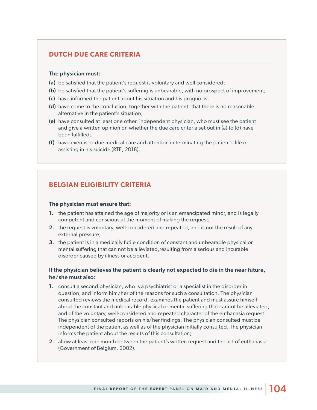#### **DUTCH DUE CARE CRITERIA**

#### The physician must:

- (a) be satisfied that the patient's request is voluntary and well considered;
- (b) be satisfied that the patient's suffering is unbearable, with no prospect of improvement;
- (c) have informed the patient about his situation and his prognosis;
- (d) have come to the conclusion, together with the patient, that there is no reasonable alternative in the patient's situation;
- (e) have consulted at least one other, independent physician, who must see the patient and give a written opinion on whether the due care criteria set out in (a) to (d) have been fulfilled;
- (f) have exercised due medical care and attention in terminating the patient's life or assisting in his suicide (RTE, 2018).

#### **BELGIAN ELIGIBILITY CRITERIA**

#### The physician must ensure that:

- 1. the patient has attained the age of majority or is an emancipated minor, and is legally competent and conscious at the moment of making the request;
- 2. the request is voluntary, well-considered and repeated, and is not the result of any external pressure;
- 3. the patient is in a medically futile condition of constant and unbearable physical or mental suffering that can not be alleviated,resulting from a serious and incurable disorder caused by illness or accident.

#### If the physician believes the patient is clearly not expected to die in the near future, he/she must also:

- 1. consult a second physician, who is a psychiatrist or a specialist in the disorder in question, and inform him/her of the reasons for such a consultation. The physician consulted reviews the medical record, examines the patient and must assure himself about the constant and unbearable physical or mental suffering that cannot be alleviated, and of the voluntary, well-considered and repeated character of the euthanasia request. The physician consulted reports on his/her findings. The physician consulted must be independent of the patient as well as of the physician initially consulted. The physician informs the patient about the results of this consultation;
- 2. allow at least one month between the patient's written request and the act of euthanasia (Government of Belgium, 2002).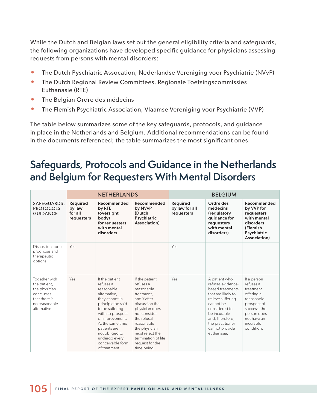While the Dutch and Belgian laws set out the general eligibility criteria and safeguards, the following organizations have developed specific guidance for physicians assessing requests from persons with mental disorders:

- The Dutch Pyschiatric Assocation, Nederlandse Vereniging voor Psychiatrie (NVvP)
- The Dutch Regional Review Committees, Regionale Toetsingscommissies Euthanasie (RTE)
- The Belgian Ordre des médecins
- The Flemish Psychiatric Association, Vlaamse Vereniging voor Psychiatrie (VVP)

The table below summarizes some of the key safeguards, protocols, and guidance in place in the Netherlands and Belgium. Additional recommendations can be found in the documents referenced; the table summarizes the most significant ones.

### **Safeguards, Protocols and Guidance in the Netherlands and Belgium for Requesters With Mental Disorders**

|                                                                                                              | <b>NETHERLANDS</b>                                 |                                                                                                                                                                                                                                                                         |                                                                                                                                                                                                                                                        | <b>BELGIUM</b>                                  |                                                                                                                                                                                                                         |                                                                                                                                                           |
|--------------------------------------------------------------------------------------------------------------|----------------------------------------------------|-------------------------------------------------------------------------------------------------------------------------------------------------------------------------------------------------------------------------------------------------------------------------|--------------------------------------------------------------------------------------------------------------------------------------------------------------------------------------------------------------------------------------------------------|-------------------------------------------------|-------------------------------------------------------------------------------------------------------------------------------------------------------------------------------------------------------------------------|-----------------------------------------------------------------------------------------------------------------------------------------------------------|
| SAFEGUARDS,<br><b>PROTOCOLS</b><br><b>GUIDANCE</b>                                                           | <b>Required</b><br>by law<br>for all<br>requesters | Recommended<br>by RTE<br>(oversight<br>body)<br>for requesters<br>with mental<br>disorders                                                                                                                                                                              | Recommended<br>by NVvP<br>(Dutch<br>Psychiatric<br>Association)                                                                                                                                                                                        | <b>Required</b><br>by law for all<br>requesters | Ordre des<br>médecins<br>(regulatory<br>quidance for<br>requesters<br>with mental<br>disorders)                                                                                                                         | Recommended<br>by VVP for<br>requesters<br>with mental<br>disorders<br>(Flemish<br>Psychiatric<br>Association)                                            |
| Discussion about<br>prognosis and<br>therapeutic<br>options                                                  | Yes                                                |                                                                                                                                                                                                                                                                         |                                                                                                                                                                                                                                                        | Yes                                             |                                                                                                                                                                                                                         |                                                                                                                                                           |
| Together with<br>the patient,<br>the physician<br>concludes<br>that there is<br>no reasonable<br>alternative | Yes                                                | If the patient<br>refuses a<br>reasonable<br>alternative,<br>they cannot in<br>principle be said<br>to be suffering<br>with no prospect<br>of improvement.<br>At the same time,<br>patients are<br>not obliged to<br>undergo every<br>conceivable form<br>of treatment. | If the patient<br>refuses a<br>reasonable<br>treatment,<br>and if after<br>discussion the<br>physician does<br>not consider<br>the refusal<br>reasonable,<br>the physician<br>must reject the<br>termination of life<br>request for the<br>time being. | Yes                                             | A patient who<br>refuses evidence-<br>based treatments<br>that are likely to<br>relieve suffering<br>cannot be<br>considered to<br>be incurable<br>and, therefore,<br>the practitioner<br>cannot provide<br>euthanasia. | If a person<br>refuses a<br>treatment<br>offering a<br>reasonable<br>prospect of<br>success, the<br>person does<br>not have an<br>incurable<br>condition. |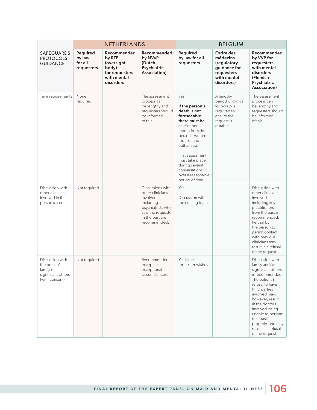|                                                                                      | <b>NETHERLANDS</b>                                 |                                                                                            |                                                                                                                                            | <b>BELGIUM</b>                                                                                                                                                                                                                                                               |                                                                                                        |                                                                                                                                                                                                                                                                                                           |
|--------------------------------------------------------------------------------------|----------------------------------------------------|--------------------------------------------------------------------------------------------|--------------------------------------------------------------------------------------------------------------------------------------------|------------------------------------------------------------------------------------------------------------------------------------------------------------------------------------------------------------------------------------------------------------------------------|--------------------------------------------------------------------------------------------------------|-----------------------------------------------------------------------------------------------------------------------------------------------------------------------------------------------------------------------------------------------------------------------------------------------------------|
| SAFEGUARDS,<br><b>PROTOCOLS</b><br><b>GUIDANCE</b>                                   | <b>Required</b><br>by law<br>for all<br>requesters | Recommended<br>by RTE<br>(oversight<br>body)<br>for requesters<br>with mental<br>disorders | Recommended<br>by NVvP<br>(Dutch<br>Psychiatric<br>Association)                                                                            | Required<br>by law for all<br>requesters                                                                                                                                                                                                                                     | Ordre des<br>médecins<br>(regulatory<br>guidance for<br>requesters<br>with mental<br>disorders)        | Recommended<br>by VVP for<br>requesters<br>with mental<br>disorders<br>(Flemish<br>Psychiatric<br>Association)                                                                                                                                                                                            |
| Time requirements                                                                    | None<br>required                                   |                                                                                            | The assessment<br>process can<br>be lengthy and<br>requesters should<br>be informed<br>of this.                                            | Yes<br>If the person's<br>death is not<br>foreseeable<br>there must be<br>at least one<br>month from the<br>person's written<br>request and<br>euthanasia.<br>First assessment<br>must take place<br>during several<br>conversations<br>over a reasonable<br>period of time. | A lengthy<br>period of clinical<br>follow-up is<br>required to<br>ensure the<br>request is<br>durable. | The assessment<br>process can<br>be lengthy and<br>requesters should<br>be informed<br>of this.                                                                                                                                                                                                           |
| Discussion with<br>other clinicians<br>involved in the<br>person's care              | Not required                                       |                                                                                            | Discussions with<br>other clinicians<br>involved<br>including<br>psychiatrists who<br>saw the requester<br>in the past are<br>recommended. | Yes<br>Discussion with<br>the nursing team.                                                                                                                                                                                                                                  |                                                                                                        | Discussion with<br>other clinicians<br>involved<br>including key<br>practitioners<br>from the past is<br>recommended.<br>Refusal by<br>the person to<br>permit contact<br>with previous<br>clinicians may<br>result in a refusal<br>of the request.                                                       |
| Discussion with<br>the person's<br>family or<br>significant others<br>(with consent) | Not required                                       |                                                                                            | Recommended<br>except in<br>exceptional<br>circumstances.                                                                                  | Yes if the<br>requester wishes.                                                                                                                                                                                                                                              |                                                                                                        | Discussion with<br>family and/or<br>significant others<br>is recommended.<br>The patient's<br>refusal to have<br>third parties<br>involved may,<br>however, result<br>in the doctors<br>involved being<br>unable to perform<br>their tasks<br>properly, and may<br>result in a refusal<br>of the request. |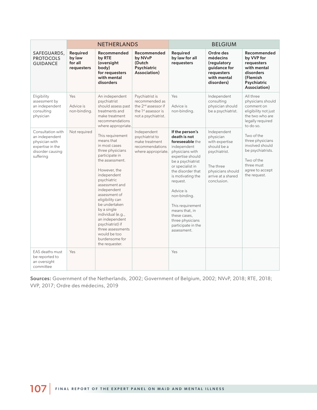|                                                                                                            | <b>NETHERLANDS</b>                                 |                                                                                                                                                                                                                                                                                                                                                                                                 |                                                                                                                                | <b>BELGIUM</b>                                                                                                                                                                                                                                                                                                                                      |                                                                                                                                                   |                                                                                                                                       |
|------------------------------------------------------------------------------------------------------------|----------------------------------------------------|-------------------------------------------------------------------------------------------------------------------------------------------------------------------------------------------------------------------------------------------------------------------------------------------------------------------------------------------------------------------------------------------------|--------------------------------------------------------------------------------------------------------------------------------|-----------------------------------------------------------------------------------------------------------------------------------------------------------------------------------------------------------------------------------------------------------------------------------------------------------------------------------------------------|---------------------------------------------------------------------------------------------------------------------------------------------------|---------------------------------------------------------------------------------------------------------------------------------------|
| SAFEGUARDS,<br><b>PROTOCOLS</b><br><b>GUIDANCE</b>                                                         | <b>Required</b><br>by law<br>for all<br>requesters | Recommended<br>by RTE<br>(oversight<br>body)<br>for requesters<br>with mental<br>disorders                                                                                                                                                                                                                                                                                                      | Recommended<br>by NVvP<br>(Dutch<br>Psychiatric<br>Association)                                                                | Required<br>by law for all<br>requesters                                                                                                                                                                                                                                                                                                            | Ordre des<br>médecins<br>(regulatory<br>guidance for<br>requesters<br>with mental<br>disorders)                                                   | Recommended<br>by VVP for<br>requesters<br>with mental<br>disorders<br>(Flemish<br>Psychiatric<br>Association)                        |
| Eligibility<br>assessment by<br>an independent<br>consulting<br>physician                                  | Yes<br>Advice is<br>non-binding.                   | An independent<br>psychiatrist<br>should assess past<br>treatments and<br>make treatment<br>recommendations<br>where appropriate.                                                                                                                                                                                                                                                               | Psychiatrist is<br>recommended as<br>the 2 <sup>nd</sup> assessor if<br>the 1 <sup>st</sup> assessor is<br>not a psychiatrist. | Yes<br>Advice is<br>non-binding.                                                                                                                                                                                                                                                                                                                    | Independent<br>consulting<br>physician should<br>be a psychiatrist.                                                                               | All three<br>physicians should<br>comment on<br>eligibility not just<br>the two who are<br>legally required<br>to do so.              |
| Consultation with<br>an independent<br>physician with<br>expertise in the<br>disorder causing<br>suffering | Not required                                       | This requirement<br>means that<br>in most cases<br>three physicians<br>participate in<br>the assessment.<br>However, the<br>independent<br>psychiatric<br>assessment and<br>independent<br>assessment of<br>eligibility can<br>be undertaken<br>by a single<br>individual (e.g.,<br>an independent<br>psychiatrist) if<br>three assessments<br>would be too<br>burdensome for<br>the requester. | Independent<br>psychiatrist to<br>make treatment<br>recommendations<br>where appropriate.                                      | If the person's<br>death is not<br>foreseeable the<br>independent<br>physicians with<br>expertise should<br>be a psychiatrist<br>or specialist in<br>the disorder that<br>is motivating the<br>request.<br>Advice is<br>non-binding.<br>This requirement<br>means that, in<br>these cases,<br>three physicians<br>participate in the<br>assessment. | Independent<br>physician<br>with expertise<br>should be a<br>psychiatrist.<br>The three<br>physicians should<br>arrive at a shared<br>conclusion. | Two of the<br>three physicians<br>involved should<br>be psychiatrists.<br>Two of the<br>three must<br>agree to accept<br>the request. |
| EAS deaths must<br>be reported to<br>an oversight<br>committee                                             | Yes                                                |                                                                                                                                                                                                                                                                                                                                                                                                 |                                                                                                                                | Yes                                                                                                                                                                                                                                                                                                                                                 |                                                                                                                                                   |                                                                                                                                       |

Sources: Government of the Netherlands, 2002; Government of Belgium, 2002; NVvP, 2018; RTE, 2018; VVP, 2017; Ordre des médecins, 2019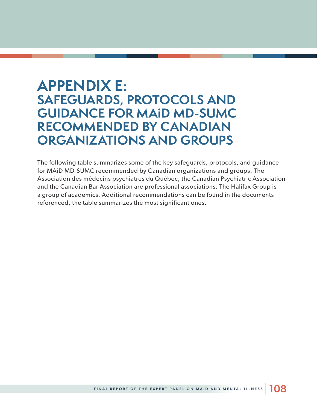### **APPENDIX E: SAFEGUARDS, PROTOCOLS AND GUIDANCE FOR MAiD MD-SUMC RECOMMENDED BY CANADIAN ORGANIZATIONS AND GROUPS**

The following table summarizes some of the key safeguards, protocols, and guidance for MAiD MD-SUMC recommended by Canadian organizations and groups. The Association des médecins psychiatres du Québec, the Canadian Psychiatric Association and the Canadian Bar Association are professional associations. The Halifax Group is a group of academics. Additional recommendations can be found in the documents referenced, the table summarizes the most significant ones.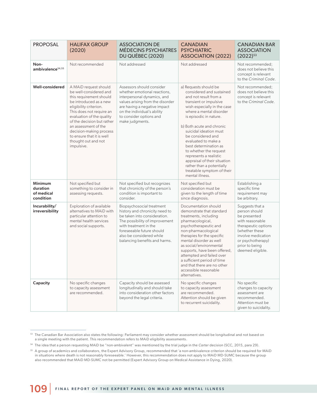| <b>PROPOSAL</b>                                       | <b>HALIFAX GROUP</b><br>(2020)                                                                                                                                                                                                                                                                                                             | <b>ASSOCIATION DE</b><br><b>MÉDECINS PSYCHIATRES</b><br>DU QUÉBEC (2020)                                                                                                                                                                         | <b>CANADIAN</b><br><b>PSYCHIATRIC</b><br><b>ASSOCIATION (2022)</b>                                                                                                                                                                                                                                                                                                                                                                                                                     | <b>CANADIAN BAR</b><br><b>ASSOCIATION</b><br>$(2022)^{53}$                                                                                                                                    |
|-------------------------------------------------------|--------------------------------------------------------------------------------------------------------------------------------------------------------------------------------------------------------------------------------------------------------------------------------------------------------------------------------------------|--------------------------------------------------------------------------------------------------------------------------------------------------------------------------------------------------------------------------------------------------|----------------------------------------------------------------------------------------------------------------------------------------------------------------------------------------------------------------------------------------------------------------------------------------------------------------------------------------------------------------------------------------------------------------------------------------------------------------------------------------|-----------------------------------------------------------------------------------------------------------------------------------------------------------------------------------------------|
| Non-<br>ambivalence <sup>54,55</sup>                  | Not recommended                                                                                                                                                                                                                                                                                                                            | Not addressed                                                                                                                                                                                                                                    | Not addressed                                                                                                                                                                                                                                                                                                                                                                                                                                                                          | Not recommended;<br>does not believe this<br>concept is relevant<br>to the Criminal Code.                                                                                                     |
| <b>Well-considered</b>                                | A MAID request should<br>be well-considered and<br>this requirement should<br>be introduced as a new<br>eligibility criterion.<br>This does not require an<br>evaluation of the quality<br>of the decision but rather<br>an assessment of the<br>decision-making process<br>to ensure that it is well<br>thought out and not<br>impulsive. | Assessors should consider<br>whether emotional reactions,<br>interpersonal dynamics, and<br>values arising from the disorder<br>are having a negative impact<br>on the individual's ability<br>to consider options and<br>make judgments.        | a) Requests should be<br>considered and sustained<br>and not result from a<br>transient or impulsive<br>wish especially in the case<br>where a mental disorder<br>is episodic in nature.<br>b) Both acute and chronic<br>suicidal ideation must<br>be considered and<br>evaluated to make a<br>best determination as<br>to whether the request<br>represents a realistic<br>appraisal of their situation<br>rather than a potentially<br>treatable symptom of their<br>mental illness. | Not recommended;<br>does not believe this<br>concept is relevant<br>to the Criminal Code.                                                                                                     |
| <b>Minimum</b><br>duration<br>of medical<br>condition | Not specified but<br>something to consider in<br>assessing requests.                                                                                                                                                                                                                                                                       | Not specified but recognizes<br>that chronicity of the person's<br>condition is important to<br>consider.                                                                                                                                        | Not specified but<br>consideration must be<br>given to the length of time<br>since diagnosis.                                                                                                                                                                                                                                                                                                                                                                                          | Establishing a<br>specific time<br>requirement may<br>be arbitrary.                                                                                                                           |
| Incurability/<br>irreversibility                      | Exploration of available<br>alternatives to MAiD with<br>particular attention to<br>mental health services<br>and social supports.                                                                                                                                                                                                         | Biopsychosocial treatment<br>history and chronicity need to<br>be taken into consideration.<br>The possibility of improvement<br>with treatment in the<br>foreseeable future should<br>also be considered while<br>balancing benefits and harms. | Documentation should<br>demonstrate that standard<br>treatments, including<br>pharmacological,<br>psychotherapeutic and<br>non-pharmacological<br>therapies for the specific<br>mental disorder as well<br>as social/environmental<br>supports, have been offered,<br>attempted and failed over<br>a sufficient period of time<br>and that there are no other<br>accessible reasonable<br>alternatives.                                                                                | Suggests that a<br>person should<br>be presented<br>with reasonable<br>therapeutic options<br>(whether these<br>involve medication<br>or psychotherapy)<br>prior to being<br>deemed eligible. |
| Capacity                                              | No specific changes<br>to capacity assessment<br>are recommended.                                                                                                                                                                                                                                                                          | Capacity should be assessed<br>longitudinally and should take<br>into consideration other factors<br>beyond the legal criteria.                                                                                                                  | No specific changes<br>to capacity assessment<br>are recommended.<br>Attention should be given<br>to recurrent suicidality.                                                                                                                                                                                                                                                                                                                                                            | No specific<br>changes to capacity<br>assessment are<br>recommended.<br>Attention must be<br>given to suicidality.                                                                            |

<sup>53</sup> The Canadian Bar Association also states the following: Parliament may consider whether assessment should be longitudinal and not based on a single meeting with the patient. This recommendation refers to MAiD eligibility assessments.

<sup>54</sup> The idea that a person requesting MAiD be "non-ambivalent" was mentioned by the trial judge in the *Carter* decision (SCC, 2015, para 29).

<sup>55</sup> A group of academics and collaborators, the Expert Advisory Group, recommended that 'a non-ambivalence criterion should be required for MAiD in situations where death is not reasonably foreseeable.' However, this recommendation does not apply to MAiD MD-SUMC because the group also recommended that MAiD MD-SUMC not be permitted (Expert Advisory Group on Medical Assistance in Dying, 2020).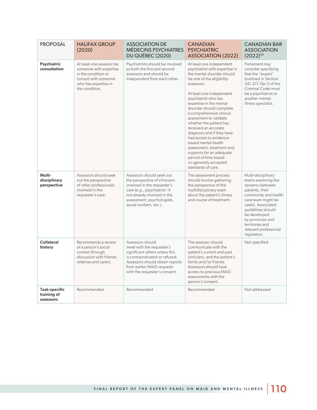| <b>PROPOSAL</b>                                  | <b>HALIFAX GROUP</b><br>(2020)                                                                                                              | <b>ASSOCIATION DE</b><br><b>MÉDECINS PSYCHIATRES</b><br>DU QUÉBEC (2020)                                                                                                                                            | <b>CANADIAN</b><br><b>PSYCHIATRIC</b><br><b>ASSOCIATION (2022)</b>                                                                                                                                                                                                                                                                                                                                                                                                                                                                                                      | <b>CANADIAN BAR</b><br><b>ASSOCIATION</b><br>$(2022)^{53}$                                                                                                                                                                                                              |
|--------------------------------------------------|---------------------------------------------------------------------------------------------------------------------------------------------|---------------------------------------------------------------------------------------------------------------------------------------------------------------------------------------------------------------------|-------------------------------------------------------------------------------------------------------------------------------------------------------------------------------------------------------------------------------------------------------------------------------------------------------------------------------------------------------------------------------------------------------------------------------------------------------------------------------------------------------------------------------------------------------------------------|-------------------------------------------------------------------------------------------------------------------------------------------------------------------------------------------------------------------------------------------------------------------------|
| Psychiatric<br>consultation                      | At least one assessor be<br>someone with expertise<br>in the condition or<br>consult with someone<br>who has expertise in<br>the condition. | Psychiatrists should be involved<br>as both the first and second<br>assessors and should be<br>independent from each other.                                                                                         | At least one independent<br>psychiatrist with expertise in<br>the mental disorder should<br>be one of the eligibility<br>assessors.<br>At least one independent<br>psychiatrist who has<br>expertise in the mental<br>disorder should complete<br>a comprehensive clinical<br>assessment to validate<br>whether the patient has<br>received an accurate<br>diagnosis and if they have<br>had access to evidence-<br>based mental health<br>assessment, treatment and<br>supports for an adequate<br>period of time based<br>on generally accepted<br>standards of care. | Parliament may<br>consider specifying<br>that the "expert"<br>(outlined in Section<br>241.2(3.1)(e.1) of the<br>Criminal Code) must<br>be a psychiatrist or<br>another mental<br>illness specialist.                                                                    |
| Multi-<br>disciplinary<br>perspective            | Assessors should seek<br>out the perspective<br>of other professionals<br>involved in the<br>requester's care.                              | Assessors should seek out<br>the perspective of clinicians<br>involved in the requester's<br>care (e.g., psychiatrist-if<br>not already involved in the<br>assessment, psychologists,<br>social workers, etc.).     | The assessment process<br>should involve gathering<br>the perspective of the<br>multidisciplinary team<br>about the patient's illness<br>and course of treatment.                                                                                                                                                                                                                                                                                                                                                                                                       | Multi-disciplinary<br>teams exploring the<br>dynamic between<br>patients, their<br>community and health<br>care team might be<br>useful. Associated<br>quidelines should<br>be developed<br>by provinces and<br>territories and<br>relevant professional<br>regulators. |
| <b>Collateral</b><br>history                     | Recommends a review<br>of a person's social<br>context through<br>discussion with friends,<br>relatives and carers.                         | Assessors should<br>meet with the requester's<br>significant others unless this<br>is contraindicated or refused.<br>Assessors should obtain reports<br>from earlier MAiD requests<br>with the requester's consent. | The assessor should<br>communicate with the<br>patient's current and past<br>clinicians, and the patient's<br>family and/or friends.<br>Assessors should have<br>access to previous MAiD<br>assessments with the<br>person's consent.                                                                                                                                                                                                                                                                                                                                   | Not specified                                                                                                                                                                                                                                                           |
| <b>Task-specific</b><br>training of<br>assessors | Recommended                                                                                                                                 | Recommended                                                                                                                                                                                                         | Recommended                                                                                                                                                                                                                                                                                                                                                                                                                                                                                                                                                             | Not addressed                                                                                                                                                                                                                                                           |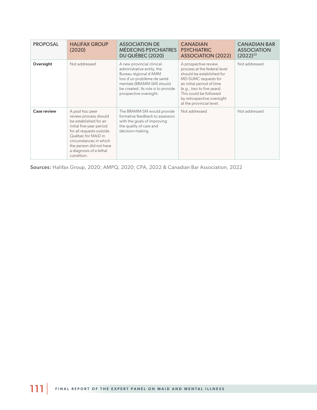| <b>PROPOSAL</b>    | <b>HALIFAX GROUP</b><br>(2020)                                                                                                                                                                                                                | <b>ASSOCIATION DE</b><br><b>MÉDECINS PSYCHIATRES</b><br>DU QUÉBEC (2020)                                                                                                                                      | <b>CANADIAN</b><br><b>PSYCHIATRIC</b><br><b>ASSOCIATION (2022)</b>                                                                                                                                                                                       | <b>CANADIAN BAR</b><br><b>ASSOCIATION</b><br>$(2022)^{53}$ |
|--------------------|-----------------------------------------------------------------------------------------------------------------------------------------------------------------------------------------------------------------------------------------------|---------------------------------------------------------------------------------------------------------------------------------------------------------------------------------------------------------------|----------------------------------------------------------------------------------------------------------------------------------------------------------------------------------------------------------------------------------------------------------|------------------------------------------------------------|
| Oversight          | Not addressed                                                                                                                                                                                                                                 | A new provincial clinical-<br>administrative entity, the<br>Bureau régional d'AMM<br>lors d'un problème de santé<br>mentale (BRAMM-SM) should<br>be created. Its role is to provide<br>prospective oversight. | A prospective review<br>process at the federal level<br>should be established for<br>MD-SUMC requests for<br>an initial period of time<br>(e.g., two to five years).<br>This could be followed<br>by retrospective oversight<br>at the provincial level. | Not addressed                                              |
| <b>Case review</b> | A post hoc peer<br>review process should<br>be established for an<br>initial five-year period<br>for all requests outside<br>Québec for MAiD in<br>circumstances in which<br>the person did not have<br>a diagnosis of a lethal<br>condition. | The BRAMM-SM would provide<br>formative feedback to assessors<br>with the goals of improving<br>the quality of care and<br>decision-making.                                                                   | Not addressed                                                                                                                                                                                                                                            | Not addressed                                              |

Sources: Halifax Group, 2020; AMPQ, 2020; CPA, 2022 & Canadian Bar Association, 2022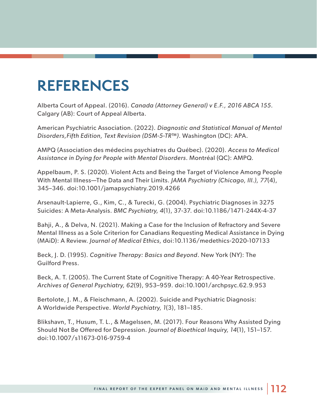# **REFERENCES**

Alberta Court of Appeal. (2016). *Canada (Attorney General) v E.F., 2016 ABCA 155*. Calgary (AB): Court of Appeal Alberta.

American Psychiatric Association. (2022). *Diagnostic and Statistical Manual of Mental Disorders,Fifth Edition, Text Revision (DSM-5-TR™)*. Washington (DC): APA.

AMPQ (Association des médecins psychiatres du Québec). (2020). *Access to Medical Assistance in Dying for People with Mental Disorders*. Montréal (QC): AMPQ.

Appelbaum, P. S. (2020). Violent Acts and Being the Target of Violence Among People With Mental Illness—The Data and Their Limits. *JAMA Psychiatry (Chicago, Ill.), 77*(4), 345–346. doi:10.1001/jamapsychiatry.2019.4266

Arsenault-Lapierre, G., Kim, C., & Turecki, G. (2004). Psychiatric Diagnoses in 3275 Suicides: A Meta-Analysis. *BMC Psychiatry, 4*(1), 37-37. doi:10.1186/1471-244X-4-37

Bahji, A., & Delva, N. (2021). Making a Case for the Inclusion of Refractory and Severe Mental Illness as a Sole Criterion for Canadians Requesting Medical Assistance in Dying (MAiD): A Review. *Journal of Medical Ethics,* doi:10.1136/medethics-2020-107133

Beck, J. D. (1995). *Cognitive Therapy: Basics and Beyond*. New York (NY): The Guilford Press.

Beck, A. T. (2005). The Current State of Cognitive Therapy: A 40-Year Retrospective. *Archives of General Psychiatry, 62*(9), 953–959. doi:10.1001/archpsyc.62.9.953

Bertolote, J. M., & Fleischmann, A. (2002). Suicide and Psychiatric Diagnosis: A Worldwide Perspective. *World Psychiatry, 1*(3), 181–185.

Blikshavn, T., Husum, T. L., & Magelssen, M. (2017). Four Reasons Why Assisted Dying Should Not Be Offered for Depression. *Journal of Bioethical Inquiry, 14*(1), 151–157. doi:10.1007/s11673-016-9759-4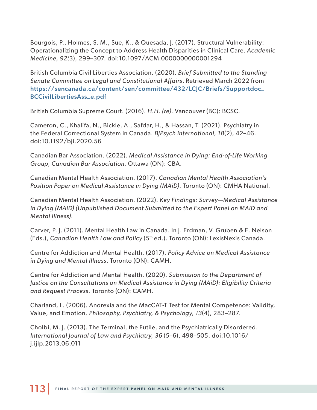Bourgois, P., Holmes, S. M., Sue, K., & Quesada, J. (2017). Structural Vulnerability: Operationalizing the Concept to Address Health Disparities in Clinical Care. *Academic Medicine, 92(*3), 299–307. doi:10.1097/ACM.0000000000001294

British Columbia Civil Liberties Association. (2020). *Brief Submitted to the Standing Senate Committee on Legal and Constitutional Affairs*. Retrieved March 2022 from [https://sencanada.ca/content/sen/committee/432/LCJC/Briefs/Supportdoc\\_](https://sencanada.ca/content/sen/committee/432/LCJC/Briefs/Supportdoc_BCCivilLibertiesAss_e.pdf) [BCCivilLibertiesAss\\_e.pdf](https://sencanada.ca/content/sen/committee/432/LCJC/Briefs/Supportdoc_BCCivilLibertiesAss_e.pdf)

British Columbia Supreme Court. (2016). *H.H. (re).* Vancouver (BC): BCSC.

Cameron, C., Khalifa, N., Bickle, A., Safdar, H., & Hassan, T. (2021). Psychiatry in the Federal Correctional System in Canada. *BJPsych International, 18*(2), 42–46. doi:10.1192/bji.2020.56

Canadian Bar Association. (2022). *Medical Assistance in Dying: End-of-Life Working Group, Canadian Bar Association.* Ottawa (ON): CBA.

Canadian Mental Health Association. (2017). *Canadian Mental Health Association's Position Paper on Medical Assistance in Dying (MAiD).* Toronto (ON): CMHA National.

Canadian Mental Health Association. (2022). *Key Findings: Survey—Medical Assistance in Dying (MAiD) (Unpublished Document Submitted to the Expert Panel on MAiD and Mental Illness).*

Carver, P. J. (2011). Mental Health Law in Canada. In J. Erdman, V. Gruben & E. Nelson (Eds.), *Canadian Health Law and Policy* (5<sup>th</sup> ed.). Toronto (ON): LexisNexis Canada.

Centre for Addiction and Mental Health. (2017). *Policy Advice on Medical Assistance in Dying and Mental Illness*. Toronto (ON): CAMH.

Centre for Addiction and Mental Health. (2020). *Submission to the Department of Justice on the Consultations on Medical Assistance in Dying (MAiD): Eligibility Criteria and Request Process*. Toronto (ON): CAMH.

Charland, L. (2006). Anorexia and the MacCAT-T Test for Mental Competence: Validity, Value, and Emotion. *Philosophy, Psychiatry, & Psychology, 13*(4), 283–287.

Cholbi, M. J. (2013). The Terminal, the Futile, and the Psychiatrically Disordered. *International Journal of Law and Psychiatry, 36* (5–6), 498–505. doi:10.1016/ j.ijlp.2013.06.011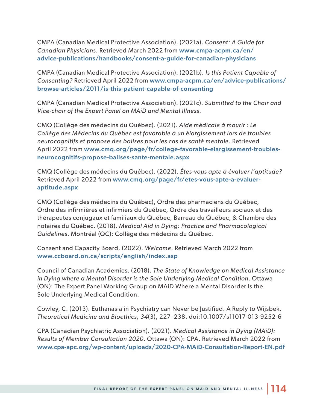CMPA (Canadian Medical Protective Association). (2021a). *Consent: A Guide for Canadian Physicians*. Retrieved March 2022 from [www.cmpa-acpm.ca/en/](https://www.cmpa-acpm.ca/en/advice-publications/handbooks/consent-a-guide-for-canadian-physicians) [advice-publications/handbooks/consent-a-guide-for-canadian-physicians](https://www.cmpa-acpm.ca/en/advice-publications/handbooks/consent-a-guide-for-canadian-physicians)

CMPA (Canadian Medical Protective Association). (2021b). *Is this Patient Capable of Consenting?* Retrieved April 2022 from [www.cmpa-acpm.ca/en/advice-publications/](https://www.cmpa-acpm.ca/en/advice-publications/browse-articles/2011/is-this-patient-capable-of-consenting) [browse-articles/2011/is-this-patient-capable-of-consenting](https://www.cmpa-acpm.ca/en/advice-publications/browse-articles/2011/is-this-patient-capable-of-consenting)

CMPA (Canadian Medical Protective Association). (2021c). *Submitted to the Chair and Vice-chair of the Expert Panel on MAiD and Mental Illness.*

CMQ (Collège des médecins du Québec). (2021). *Aide médicale à mourir : Le Collège des Médecins du Québec est favorable à un élargissement lors de troubles neurocognitifs et propose des balises pour les cas de santé mentale*. Retrieved April 2022 from [www.cmq.org/page/fr/college-favorable-elargissement-troubles](http://www.cmq.org/page/fr/college-favorable-elargissement-troubles-neurocognitifs-propose-balises-sante-mentale.aspx)[neurocognitifs-propose-balises-sante-mentale.aspx](http://www.cmq.org/page/fr/college-favorable-elargissement-troubles-neurocognitifs-propose-balises-sante-mentale.aspx)

CMQ (Collège des médecins du Québec). (2022). *Êtes-vous apte à évaluer l'aptitude?*  Retrieved April 2022 from [www.cmq.org/page/fr/etes-vous-apte-a-evaluer](http://www.cmq.org/page/fr/etes-vous-apte-a-evaluer-aptitude.aspx)[aptitude.aspx](http://www.cmq.org/page/fr/etes-vous-apte-a-evaluer-aptitude.aspx)

CMQ (Collège des médecins du Québec), Ordre des pharmaciens du Québec, Ordre des infirmières et infirmiers du Québec, Ordre des travailleurs sociaux et des thérapeutes conjugaux et familiaux du Québec, Barreau du Québec, & Chambre des notaires du Québec. (2018). *Medical Aid in Dying: Practice and Pharmacological Guidelines*. Montréal (QC): Collège des médecins du Québec.

Consent and Capacity Board. (2022). *Welcome*. Retrieved March 2022 from [www.ccboard.on.ca/scripts/english/index.asp](http://www.ccboard.on.ca/scripts/english/index.asp)

Council of Canadian Academies. (2018). *The State of Knowledge on Medical Assistance in Dying where a Mental Disorder is the Sole Underlying Medical Condition*. Ottawa (ON): The Expert Panel Working Group on MAiD Where a Mental Disorder Is the Sole Underlying Medical Condition.

Cowley, C. (2013). Euthanasia in Psychiatry can Never be Justified. A Reply to Wijsbek. *Theoretical Medicine and Bioethics, 34*(3), 227–238. doi:10.1007/s11017-013-9252-6

CPA (Canadian Psychiatric Association). (2021). *Medical Assistance in Dying (MAiD): Results of Member Consultation 2020*. Ottawa (ON): CPA. Retrieved March 2022 from [www.cpa-apc.org/wp-content/uploads/2020-CPA-MAiD-Consultation-Report-EN.pdf](https://www.cpa-apc.org/wp-content/uploads/2020-CPA-MAiD-Consultation-Report-EN.pdf)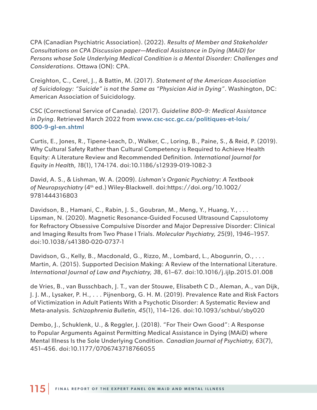CPA (Canadian Psychiatric Association). (2022). *Results of Member and Stakeholder Consultations on CPA Discussion paper—Medical Assistance in Dying (MAiD) for Persons whose Sole Underlying Medical Condition is a Mental Disorder: Challenges and Considerations*. Ottawa (ON): CPA.

Creighton, C., Cerel, J., & Battin, M. (2017). *Statement of the American Association of Suicidology: "Suicide" is not the Same as "Physician Aid in Dying"*. Washington, DC: American Association of Suicidology.

CSC (Correctional Service of Canada). (2017). *Guideline 800–9: Medical Assistance in Dying*. Retrieved March 2022 from [www.csc-scc.gc.ca/politiques-et-lois/](https://www.csc-scc.gc.ca/politiques-et-lois/800-9-gl-en.shtml \) [800-9-gl-en.shtml](https://www.csc-scc.gc.ca/politiques-et-lois/800-9-gl-en.shtml \)

Curtis, E., Jones, R., Tipene-Leach, D., Walker, C., Loring, B., Paine, S., & Reid, P. (2019). Why Cultural Safety Rather than Cultural Competency is Required to Achieve Health Equity: A Literature Review and Recommended Definition*. International Journal for Equity in Health, 1*8(1), 174-174. doi:10.1186/s12939-019-1082-3

David, A. S., & Lishman, W. A. (2009). *Lishman's Organic Psychiatry: A Textbook of Neuropsychiatry* (4th ed.) Wiley-Blackwell. doi:https://doi.org/10.1002/ 9781444316803

Davidson, B., Hamani, C., Rabin, J. S., Goubran, M., Meng, Y., Huang, Y., ... Lipsman, N. (2020). Magnetic Resonance-Guided Focused Ultrasound Capsulotomy for Refractory Obsessive Compulsive Disorder and Major Depressive Disorder: Clinical and Imaging Results from Two Phase I Trials*. Molecular Psychiatry, 2*5(9), 1946–1957. doi:10.1038/s41380-020-0737-1

Davidson, G., Kelly, B., Macdonald, G., Rizzo, M., Lombard, L., Abogunrin, O., ... Martin, A. (2015). Supported Decision Making: A Review of the International Literature*. International Journal of Law and Psychiatry, 3*8, 61–67. doi:10.1016/j.ijlp.2015.01.008

de Vries, B., van Busschbach, J. T., van der Stouwe, Elisabeth C D., Aleman, A., van Dijk, J. J. M., Lysaker, P. H., . . . Pijnenborg, G. H. M. (2019). Prevalence Rate and Risk Factors of Victimization in Adult Patients With a Psychotic Disorder: A Systematic Review and Meta-analysis*. Schizophrenia Bulletin, 4*5(1), 114–126. doi:10.1093/schbul/sby020

Dembo, J., Schuklenk, U., & Reggler, J. (2018). "For Their Own Good": A Response to Popular Arguments Against Permitting Medical Assistance in Dying (MAiD) where Mental Illness Is the Sole Underlying Condition*. Canadian Journal of Psychiatry, 6*3(7), 451–456. doi:10.1177/0706743718766055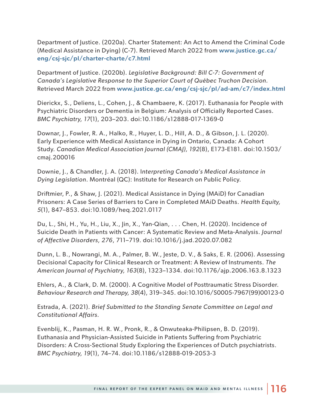Department of Justice. (2020a). Charter Statement: An Act to Amend the Criminal Code (Medical Assistance in Dying) (C-7). Retrieved March 2022 from [www.justice.gc.ca/](https://www.justice.gc.ca/eng/csj-sjc/pl/charter-charte/c7.html) [eng/csj-sjc/pl/charter-charte/c7.html](https://www.justice.gc.ca/eng/csj-sjc/pl/charter-charte/c7.html)

Department of Justice. (2020b). *Legislative Background: Bill C-7: Government of Canada's Legislative Response to the Superior Court of Québec Truchon Decision.*  Retrieved March 2022 from [www.justice.gc.ca/eng/csj-sjc/pl/ad-am/c7/index.html](https://www.justice.gc.ca/eng/csj-sjc/pl/ad-am/c7/index.html)

Dierickx, S., Deliens, L., Cohen, J., & Chambaere, K. (2017). Euthanasia for People with Psychiatric Disorders or Dementia in Belgium: Analysis of Officially Reported Cases. *BMC Psychiatry, 17*(1), 203–203. doi:10.1186/s12888-017-1369-0

Downar, J., Fowler, R. A., Halko, R., Huyer, L. D., Hill, A. D., & Gibson, J. L. (2020). Early Experience with Medical Assistance in Dying in Ontario, Canada: A Cohort Study. *Canadian Medical Association Journal (CMAJ), 192*(8), E173-E181. doi:10.1503/ cmaj.200016

Downie, J., & Chandler, J. A. (2018). I*nterpreting Canada's Medical Assistance in Dying Legislation*. Montréal (QC): Institute for Research on Public Policy.

Driftmier, P., & Shaw, J. (2021). Medical Assistance in Dying (MAiD) for Canadian Prisoners: A Case Series of Barriers to Care in Completed MAiD Deaths. *Health Equity, 5*(1), 847–853. doi:10.1089/heq.2021.0117

Du, L., Shi, H., Yu, H., Liu, X., Jin, X., Yan-Qian, . . . Chen, H. (2020). Incidence of Suicide Death in Patients with Cancer: A Systematic Review and Meta-Analysis. *Journal of Affective Disorders, 276*, 711–719. doi:10.1016/j.jad.2020.07.082

Dunn, L. B., Nowrangi, M. A., Palmer, B. W., Jeste, D. V., & Saks, E. R. (2006). Assessing Decisional Capacity for Clinical Research or Treatment: A Review of Instruments. *The American Journal of Psychiatry, 163*(8), 1323–1334. doi:10.1176/ajp.2006.163.8.1323

Ehlers, A., & Clark, D. M. (2000). A Cognitive Model of Posttraumatic Stress Disorder. *Behaviour Research and Therapy, 38*(4), 319–345. doi:10.1016/S0005-7967(99)00123-0

Estrada, A. (2021). *Brief Submitted to the Standing Senate Committee on Legal and Constitutional Affairs.*

Evenblij, K., Pasman, H. R. W., Pronk, R., & Onwuteaka-Philipsen, B. D. (2019). Euthanasia and Physician-Assisted Suicide in Patients Suffering from Psychiatric Disorders: A Cross-Sectional Study Exploring the Experiences of Dutch psychiatrists. *BMC Psychiatry, 19*(1), 74–74. doi:10.1186/s12888-019-2053-3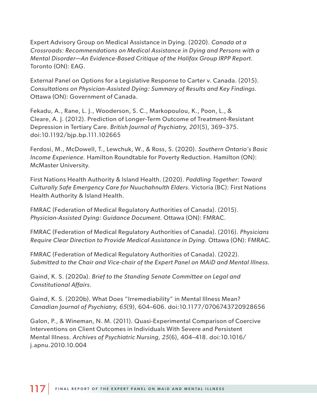Expert Advisory Group on Medical Assistance in Dying. (2020). *Canada at a Crossroads: Recommendations on Medical Assistance in Dying and Persons with a Mental Disorder—An Evidence-Based Critique of the Halifax Group IRPP Report.* Toronto (ON): EAG.

External Panel on Options for a Legislative Response to Carter v. Canada. (2015). *Consultations on Physician-Assisted Dying: Summary of Results and Key Findings.* Ottawa (ON): Government of Canada.

Fekadu, A., Rane, L. J., Wooderson, S. C., Markopoulou, K., Poon, L., & Cleare, A. J. (2012). Prediction of Longer-Term Outcome of Treatment-Resistant Depression in Tertiary Care. *British Journal of Psychiatry, 201*(5), 369–375. doi:10.1192/bjp.bp.111.102665

Ferdosi, M., McDowell, T., Lewchuk, W., & Ross, S. (2020). *Southern Ontario's Basic Income Experience.* Hamilton Roundtable for Poverty Reduction. Hamilton (ON): McMaster University.

First Nations Health Authority & Island Health. (2020). *Paddling Together: Toward Culturally Safe Emergency Care for Nuuchahnulth Elders.* Victoria (BC): First Nations Health Authority & Island Health.

FMRAC (Federation of Medical Regulatory Authorities of Canada). (2015). *Physician-Assisted Dying: Guidance Document.* Ottawa (ON): FMRAC.

FMRAC (Federation of Medical Regulatory Authorities of Canada). (2016). *Physicians Require Clear Direction to Provide Medical Assistance in Dying.* Ottawa (ON): FMRAC.

FMRAC (Federation of Medical Regulatory Authorities of Canada). (2022). *Submitted to the Chair and Vice-chair of the Expert Panel on MAiD and Mental Illness.*

Gaind, K. S. (2020a). *Brief to the Standing Senate Committee on Legal and Constitutional Affairs.*

Gaind, K. S. (2020b). What Does "Irremediability" in Mental Illness Mean? *Canadian Journal of Psychiatry, 65*(9), 604–606. doi:10.1177/0706743720928656

Galon, P., & Wineman, N. M. (2011). Quasi-Experimental Comparison of Coercive Interventions on Client Outcomes in Individuals With Severe and Persistent Mental Illness. *Archives of Psychiatric Nursing, 25*(6), 404–418. doi:10.1016/ j.apnu.2010.10.004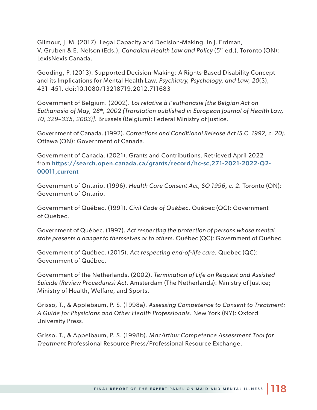Gilmour, J. M. (2017). Legal Capacity and Decision-Making. In J. Erdman, V. Gruben & E. Nelson (Eds.), *Canadian Health Law and Policy* (5<sup>th</sup> ed.). Toronto (ON): LexisNexis Canada.

Gooding, P. (2013). Supported Decision-Making: A Rights-Based Disability Concept and its Implications for Mental Health Law. *Psychiatry, Psychology, and Law, 20*(3), 431–451. doi:10.1080/13218719.2012.711683

Government of Belgium. (2002). *Loi relative à l'euthanasie [the Belgian Act on Euthanasia of May, 28th, 2002 (Translation published in European Journal of Health Law, 10, 329–335, 2003)].* Brussels (Belgium): Federal Ministry of Justice.

Government of Canada. (1992). *Corrections and Conditional Release Act (S.C. 1992, c. 20).* Ottawa (ON): Government of Canada.

Government of Canada. (2021). Grants and Contributions. Retrieved April 2022 from [https://search.open.canada.ca/grants/record/hc-sc,271-2021-2022-Q2-](https://search.open.canada.ca/grants/record/hc-sc,271-2021-2022-Q2-00011,current) [00011,current](https://search.open.canada.ca/grants/record/hc-sc,271-2021-2022-Q2-00011,current)

Government of Ontario. (1996). *Health Care Consent Act, SO 1996, c. 2.* Toronto (ON): Government of Ontario.

Government of Québec. (1991). *Civil Code of Québec*. Québec (QC): Government of Québec.

Government of Québec. (1997). *Act respecting the protection of persons whose mental state presents a danger to themselves or to others.* Québec (QC): Government of Québec.

Government of Québec. (2015). *Act respecting end-of-life care.* Québec (QC): Government of Québec.

Government of the Netherlands. (2002). *Termination of Life on Request and Assisted Suicide (Review Procedures) Act.* Amsterdam (The Netherlands): Ministry of Justice; Ministry of Health, Welfare, and Sports.

Grisso, T., & Applebaum, P. S. (1998a). *Assessing Competence to Consent to Treatment: A Guide for Physicians and Other Health Professionals*. New York (NY): Oxford University Press.

Grisso, T., & Appelbaum, P. S. (1998b). *MacArthur Competence Assessment Tool for Treatment* Professional Resource Press/Professional Resource Exchange.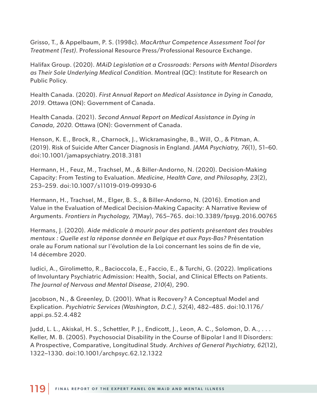Grisso, T., & Appelbaum, P. S. (1998c). *MacArthur Competence Assessment Tool for Treatment (Test)*. Professional Resource Press/Professional Resource Exchange.

Halifax Group. (2020). *MAiD Legislation at a Crossroads: Persons with Mental Disorders as Their Sole Underlying Medical Condition.* Montreal (QC): Institute for Research on Public Policy.

Health Canada. (2020). *First Annual Report on Medical Assistance in Dying in Canada, 2019.* Ottawa (ON): Government of Canada.

Health Canada. (2021). *Second Annual Report on Medical Assistance in Dying in Canada, 2020.* Ottawa (ON): Government of Canada.

Henson, K. E., Brock, R., Charnock, J., Wickramasinghe, B., Will, O., & Pitman, A. (2019). Risk of Suicide After Cancer Diagnosis in England. *JAMA Psychiatry, 76*(1), 51–60. doi:10.1001/jamapsychiatry.2018.3181

Hermann, H., Feuz, M., Trachsel, M., & Biller-Andorno, N. (2020). Decision-Making Capacity: From Testing to Evaluation. *Medicine, Health Care, and Philosophy, 23*(2), 253–259. doi:10.1007/s11019-019-09930-6

Hermann, H., Trachsel, M., Elger, B. S., & Biller-Andorno, N. (2016). Emotion and Value in the Evaluation of Medical Decision-Making Capacity: A Narrative Review of Arguments. *Frontiers in Psychology, 7*(May), 765–765. doi:10.3389/fpsyg.2016.00765

Hermans, J. (2020). *Aide médicale à mourir pour des patients présentant des troubles mentaux : Quelle est la réponse donnée en Belgique et aux Pays-Bas?* Présentation orale au Forum national sur l'évolution de la Loi concernant les soins de fin de vie, 14 décembre 2020.

Iudici, A., Girolimetto, R., Bacioccola, E., Faccio, E., & Turchi, G. (2022). Implications of Involuntary Psychiatric Admission: Health, Social, and Clinical Effects on Patients. *The Journal of Nervous and Mental Disease, 210*(4), 290.

Jacobson, N., & Greenley, D. (2001). What is Recovery? A Conceptual Model and Explication. *Psychiatric Services (Washington, D.C.), 52*(4), 482–485. doi:10.1176/ appi.ps.52.4.482

Judd, L. L., Akiskal, H. S., Schettler, P. J., Endicott, J., Leon, A. C., Solomon, D. A., . . . Keller, M. B. (2005). Psychosocial Disability in the Course of Bipolar I and II Disorders: A Prospective, Comparative, Longitudinal Study. *Archives of General Psychiatry, 62*(12), 1322–1330. doi:10.1001/archpsyc.62.12.1322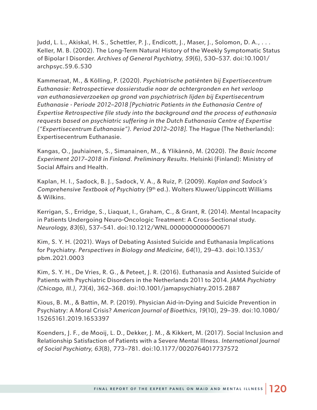Judd, L. L., Akiskal, H. S., Schettler, P. J., Endicott, J., Maser, J., Solomon, D. A., . . . Keller, M. B. (2002). The Long-Term Natural History of the Weekly Symptomatic Status of Bipolar I Disorder. *Archives of General Psychiatry, 59*(6), 530–537. doi:10.1001/ archpsyc.59.6.530

Kammeraat, M., & Kölling, P. (2020). *Psychiatrische patiënten bij Expertisecentrum Euthanasie: Retrospectieve dossierstudie naar de achtergronden en het verloop van euthanasieverzoeken op grond van psychiatrisch lijden bij Expertisecentrum Euthanasie - Periode 2012–2018 [Pychiatric Patients in the Euthanasia Centre of Expertise Retrospective file study into the background and the process of euthanasia requests based on psychiatric suffering in the Dutch Euthanasia Centre of Expertise ("Expertisecentrum Euthanasie"). Period 2012–2018].* The Hague (The Netherlands): Expertisecentrum Euthanasie.

Kangas, O., Jauhiainen, S., Simanainen, M., & Ylikännö, M. (2020). *The Basic Income Experiment 2017–2018 in Finland. Preliminary Results*. Helsinki (Finland): Ministry of Social Affairs and Health.

Kaplan, H. I., Sadock, B. J., Sadock, V. A., & Ruiz, P. (2009). *Kaplan and Sadock's Comprehensive Textbook of Psychiatry* (9th ed.). Wolters Kluwer/Lippincott Williams & Wilkins.

Kerrigan, S., Erridge, S., Liaquat, I., Graham, C., & Grant, R. (2014). Mental Incapacity in Patients Undergoing Neuro-Oncologic Treatment: A Cross-Sectional study. *Neurology, 83*(6), 537–541. doi:10.1212/WNL.0000000000000671

Kim, S. Y. H. (2021). Ways of Debating Assisted Suicide and Euthanasia Implications for Psychiatry. *Perspectives in Biology and Medicine, 64*(1), 29–43. doi:10.1353/ pbm.2021.0003

Kim, S. Y. H., De Vries, R. G., & Peteet, J. R. (2016). Euthanasia and Assisted Suicide of Patients with Psychiatric Disorders in the Netherlands 2011 to 2014. *JAMA Psychiatry (Chicago, Ill.), 73*(4), 362–368. doi:10.1001/jamapsychiatry.2015.2887

Kious, B. M., & Battin, M. P. (2019). Physician Aid-in-Dying and Suicide Prevention in Psychiatry: A Moral Crisis? *American Journal of Bioethics, 19*(10), 29–39. doi:10.1080/ 15265161.2019.1653397

Koenders, J. F., de Mooij, L. D., Dekker, J. M., & Kikkert, M. (2017). Social Inclusion and Relationship Satisfaction of Patients with a Severe Mental Illness. *International Journal of Social Psychiatry, 63*(8), 773–781. doi:10.1177/0020764017737572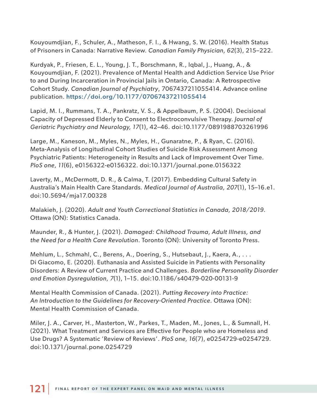Kouyoumdjian, F., Schuler, A., Matheson, F. I., & Hwang, S. W. (2016). Health Status of Prisoners in Canada: Narrative Review. *Canadian Family Physician, 62*(3), 215–222.

Kurdyak, P., Friesen, E. L., Young, J. T., Borschmann, R., Iqbal, J., Huang, A., & Kouyoumdjian, F. (2021). Prevalence of Mental Health and Addiction Service Use Prior to and During Incarceration in Provincial Jails in Ontario, Canada: A Retrospective Cohort Study. *Canadian Journal of Psychiatry*, 7067437211055414. Advance online publication. <https://doi.org/10.1177/07067437211055414>

Lapid, M. I., Rummans, T. A., Pankratz, V. S., & Appelbaum, P. S. (2004). Decisional Capacity of Depressed Elderly to Consent to Electroconvulsive Therapy. *Journal of Geriatric Psychiatry and Neurology, 17*(1), 42–46. doi:10.1177/0891988703261996

Large, M., Kaneson, M., Myles, N., Myles, H., Gunaratne, P., & Ryan, C. (2016). Meta-Analysis of Longitudinal Cohort Studies of Suicide Risk Assessment Among Psychiatric Patients: Heterogeneity in Results and Lack of Improvement Over Time. *PloS one, 11*(6), e0156322-e0156322. doi:10.1371/journal.pone.0156322

Laverty, M., McDermott, D. R., & Calma, T. (2017). Embedding Cultural Safety in Australia's Main Health Care Standards*. Medical Journal of Australia, 207*(1), 15–16.e1. doi:10.5694/mja17.00328

Malakieh, J. (2020). *Adult and Youth Correctional Statistics in Canada, 2018/2019.*  Ottawa (ON): Statistics Canada.

Maunder, R., & Hunter, J. (2021). *Damaged: Childhood Trauma, Adult Illness, and the Need for a Health Care Revolution*. Toronto (ON): University of Toronto Press.

Mehlum, L., Schmahl, C., Berens, A., Doering, S., Hutsebaut, J., Kaera, A., . . . Di Giacomo, E. (2020). Euthanasia and Assisted Suicide in Patients with Personality Disorders: A Review of Current Practice and Challenges. *Borderline Personality Disorder and Emotion Dysregulation, 7*(1), 1–15. doi:10.1186/s40479-020-00131-9

Mental Health Commission of Canada. (2021). *Putting Recovery into Practice: An Introduction to the Guidelines for Recovery-Oriented Practice.* Ottawa (ON): Mental Health Commission of Canada.

Miler, J. A., Carver, H., Masterton, W., Parkes, T., Maden, M., Jones, L., & Sumnall, H. (2021). What Treatment and Services are Effective for People who are Homeless and Use Drugs? A Systematic 'Review of Reviews'. *PloS one, 16*(7), e0254729-e0254729. doi:10.1371/journal.pone.0254729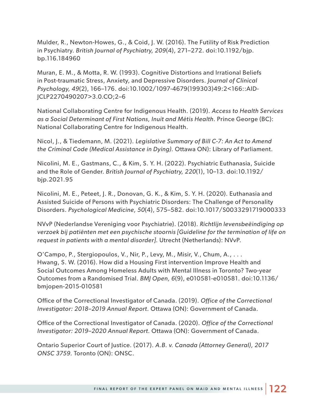Mulder, R., Newton-Howes, G., & Coid, J. W. (2016). The Futility of Risk Prediction in Psychiatry. *British Journal of Psychiatry, 209*(4), 271–272. doi:10.1192/bjp. bp.116.184960

Muran, E. M., & Motta, R. W. (1993). Cognitive Distortions and Irrational Beliefs in Post-traumatic Stress, Anxiety, and Depressive Disorders. *Journal of Clinical Psychology, 49*(2), 166–176. doi:10.1002/1097-4679(199303)49:2<166::AID-JCLP2270490207>3.0.CO;2–6

National Collaborating Centre for Indigenous Health. (2019). *Access to Health Services as a Social Determinant of First Nations, Inuit and Métis Health*. Prince George (BC): National Collaborating Centre for Indigenous Health.

Nicol, J., & Tiedemann, M. (2021). *Legislative Summary of Bill C-7: An Act to Amend the Criminal Code (Medical Assistance in Dying).* Ottawa ON): Library of Parliament.

Nicolini, M. E., Gastmans, C., & Kim, S. Y. H. (2022). Psychiatric Euthanasia, Suicide and the Role of Gender. *British Journal of Psychiatry, 220*(1), 10–13. doi:10.1192/ bjp.2021.95

Nicolini, M. E., Peteet, J. R., Donovan, G. K., & Kim, S. Y. H. (2020). Euthanasia and Assisted Suicide of Persons with Psychiatric Disorders: The Challenge of Personality Disorders. *Psychological Medicine, 50*(4), 575–582. doi:10.1017/S0033291719000333

NVvP (Nederlandse Vereniging voor Psychiatrie). (2018). *Richtlijn levensbeëindiging op verzoek bij patiënten met een psychische stoornis [Guideline for the termination of life on request in patients with a mental disorder]*. Utrecht (Netherlands): NVvP.

O'Campo, P., Stergiopoulos, V., Nir, P., Levy, M., Misir, V., Chum, A., . . . Hwang, S. W. (2016). How did a Housing First intervention Improve Health and Social Outcomes Among Homeless Adults with Mental Illness in Toronto? Two-year Outcomes from a Randomised Trial. *BMJ Open, 6*(9), e010581-e010581. doi:10.1136/ bmjopen-2015-010581

Office of the Correctional Investigator of Canada. (2019). *Office of the Correctional Investigator: 2018–2019 Annual Report.* Ottawa (ON): Government of Canada.

Office of the Correctional Investigator of Canada. (2020). *Office of the Correctional Investigator: 2019–2020 Annual Report.* Ottawa (ON): Government of Canada.

Ontario Superior Court of Justice. (2017). *A.B. v. Canada (Attorney General), 2017 ONSC 3759.* Toronto (ON): ONSC.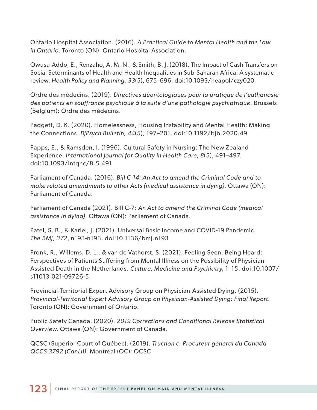Ontario Hospital Association. (2016). *A Practical Guide to Mental Health and the Law in Ontario.* Toronto (ON): Ontario Hospital Association.

Owusu-Addo, E., Renzaho, A. M. N., & Smith, B. J. (2018). The Impact of Cash Transfers on Social Seterminants of Health and Health Inequalities in Sub-Saharan Africa: A systematic review. *Health Policy and Planning, 33*(5), 675–696. doi:10.1093/heapol/czy020

Ordre des médecins. (2019). *Directives déontologiques pour la pratique de l'euthanasie des patients en souffrance psychique à la suite d'une pathologie psychiatrique*. Brussels (Belgium): Ordre des médecins.

Padgett, D. K. (2020). Homelessness, Housing Instability and Mental Health: Making the Connections. *BJPsych Bulletin, 44*(5), 197–201. doi:10.1192/bjb.2020.49

Papps, E., & Ramsden, I. (1996). Cultural Safety in Nursing: The New Zealand Experience. *International Journal for Quality in Health Care, 8*(5), 491–497. doi:10.1093/intqhc/8.5.491

Parliament of Canada. (2016). *Bill C-14: An Act to amend the Criminal Code and to make related amendments to other Acts (medical assistance in dying).* Ottawa (ON): Parliament of Canada.

Parliament of Canada (2021). Bill C-7: *An Act to amend the Criminal Code (medical assistance in dying)*. Ottawa (ON): Parliament of Canada.

Patel, S. B., & Kariel, J. (2021). Universal Basic Income and COVID-19 Pandemic. *The BMJ, 372*, n193-n193. doi:10.1136/bmj.n193

Pronk, R., Willems, D. L., & van de Vathorst, S. (2021). Feeling Seen, Being Heard: Perspectives of Patients Suffering from Mental Illness on the Possibility of Physician-Assisted Death in the Netherlands. *Culture, Medicine and Psychiatry,* 1–15. doi:10.1007/ s11013-021-09726-5

Provincial-Territorial Expert Advisory Group on Physician-Assisted Dying. (2015). *Provincial-Territorial Expert Advisory Group on Physician-Assisted Dying: Final Report.* Toronto (ON): Government of Ontario.

Public Safety Canada. (2020). *2019 Corrections and Conditional Release Statistical Overview.* Ottawa (ON): Government of Canada.

QCSC (Superior Court of Québec). (2019). *Truchon c. Procureur general du Canada QCCS 3792 (CanLII)*. Montréal (QC): QCSC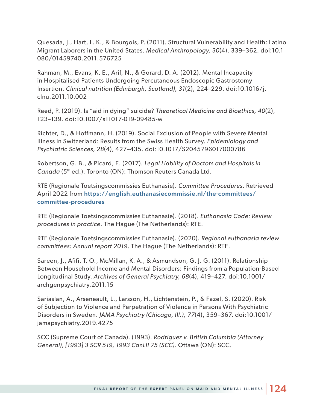Quesada, J., Hart, L. K., & Bourgois, P. (2011). Structural Vulnerability and Health: Latino Migrant Laborers in the United States. *Medical Anthropology, 30*(4), 339–362. doi:10.1 080/01459740.2011.576725

Rahman, M., Evans, K. E., Arif, N., & Gorard, D. A. (2012). Mental Incapacity in Hospitalised Patients Undergoing Percutaneous Endoscopic Gastrostomy Insertion. *Clinical nutrition (Edinburgh, Scotland), 31*(2), 224–229. doi:10.1016/j. clnu.2011.10.002

Reed, P. (2019). Is "aid in dying" suicide? *Theoretical Medicine and Bioethics, 40*(2), 123–139. doi:10.1007/s11017-019-09485-w

Richter, D., & Hoffmann, H. (2019). Social Exclusion of People with Severe Mental Illness in Switzerland: Results from the Swiss Health Survey. *Epidemiology and Psychiatric Sciences, 28*(4), 427–435. doi:10.1017/S2045796017000786

Robertson, G. B., & Picard, E. (2017). *Legal Liability of Doctors and Hospitals in*  Canada (5<sup>th</sup> ed.). Toronto (ON): Thomson Reuters Canada Ltd.

RTE (Regionale Toetsingscommissies Euthanasie). *Committee Procedures.* Retrieved April 2022 from [https://english.euthanasiecommissie.nl/the-committees/](https://english.euthanasiecommissie.nl/the-committees/committee-procedures) [committee-procedures](https://english.euthanasiecommissie.nl/the-committees/committee-procedures)

RTE (Regionale Toetsingscommissies Euthanasie). (2018). *Euthanasia Code: Review procedures in practice*. The Hague (The Netherlands): RTE.

RTE (Regionale Toetsingscommissies Euthanasie). (2020). *Regional euthanasia review committees: Annual report 2019*. The Hague (The Netherlands): RTE.

Sareen, J., Afifi, T. O., McMillan, K. A., & Asmundson, G. J. G. (2011). Relationship Between Household Income and Mental Disorders: Findings from a Population-Based Longitudinal Study. *Archives of General Psychiatry, 68*(4), 419–427. doi:10.1001/ archgenpsychiatry.2011.15

Sariaslan, A., Arseneault, L., Larsson, H., Lichtenstein, P., & Fazel, S. (2020). Risk of Subjection to Violence and Perpetration of Violence in Persons With Psychiatric Disorders in Sweden. *JAMA Psychiatry (Chicago, Ill.), 77*(4), 359–367. doi:10.1001/ jamapsychiatry.2019.4275

SCC (Supreme Court of Canada). (1993). *Rodriguez v. British Columbia (Attorney General), [1993] 3 SCR 519, 1993 CanLII 75 (SCC).* Ottawa (ON): SCC.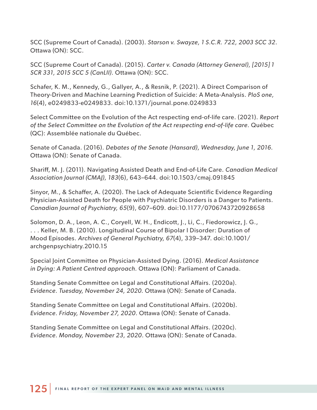SCC (Supreme Court of Canada). (2003). *Starson v. Swayze, 1 S.C.R. 722, 2003 SCC 32*. Ottawa (ON): SCC.

SCC (Supreme Court of Canada). (2015). *Carter v. Canada (Attorney General), [2015] 1 SCR 331, 2015 SCC 5 (CanLII).* Ottawa (ON): SCC.

Schafer, K. M., Kennedy, G., Gallyer, A., & Resnik, P. (2021). A Direct Comparison of Theory-Driven and Machine Learning Prediction of Suicide: A Meta-Analysis. *PloS one, 16*(4), e0249833-e0249833. doi:10.1371/journal.pone.0249833

Select Committee on the Evolution of the Act respecting end-of-life care. (2021). *Report of the Select Committee on the Evolution of the Act respecting end-of-life care.* Québec (QC): Assemblée nationale du Québec.

Senate of Canada. (2016). *Debates of the Senate (Hansard), Wednesday, June 1, 2016.* Ottawa (ON): Senate of Canada.

Shariff, M. J. (2011). Navigating Assisted Death and End-of-Life Care. *Canadian Medical Association Journal (CMAJ), 183*(6), 643–644. doi:10.1503/cmaj.091845

Sinyor, M., & Schaffer, A. (2020). The Lack of Adequate Scientific Evidence Regarding Physician-Assisted Death for People with Psychiatric Disorders is a Danger to Patients. *Canadian Journal of Psychiatry, 65*(9), 607–609. doi:10.1177/0706743720928658

Solomon, D. A., Leon, A. C., Coryell, W. H., Endicott, J., Li, C., Fiedorowicz, J. G., . . . Keller, M. B. (2010). Longitudinal Course of Bipolar I Disorder: Duration of Mood Episodes. *Archives of General Psychiatry, 67*(4), 339–347. doi:10.1001/ archgenpsychiatry.2010.15

Special Joint Committee on Physician-Assisted Dying. (2016). *Medical Assistance in Dying: A Patient Centred approach.* Ottawa (ON): Parliament of Canada.

Standing Senate Committee on Legal and Constitutional Affairs. (2020a). *Evidence. Tuesday, November 24, 2020.* Ottawa (ON): Senate of Canada.

Standing Senate Committee on Legal and Constitutional Affairs. (2020b). *Evidence. Friday, November 27, 2020*. Ottawa (ON): Senate of Canada.

Standing Senate Committee on Legal and Constitutional Affairs. (2020c). *Evidence. Monday, November 23, 2020*. Ottawa (ON): Senate of Canada.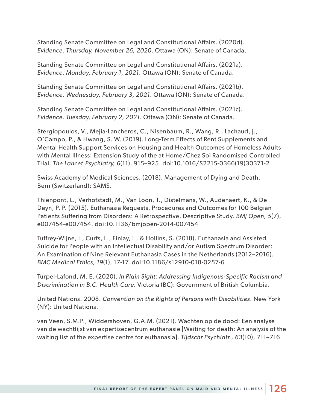Standing Senate Committee on Legal and Constitutional Affairs. (2020d). *Evidence. Thursday, November 26, 2020*. Ottawa (ON): Senate of Canada.

Standing Senate Committee on Legal and Constitutional Affairs. (2021a). *Evidence. Monday, February 1, 2021*. Ottawa (ON): Senate of Canada.

Standing Senate Committee on Legal and Constitutional Affairs. (2021b). *Evidence. Wednesday, February 3, 2021*. Ottawa (ON): Senate of Canada.

Standing Senate Committee on Legal and Constitutional Affairs. (2021c). *Evidence. Tuesday, February 2, 2021*. Ottawa (ON): Senate of Canada.

Stergiopoulos, V., Mejia-Lancheros, C., Nisenbaum, R., Wang, R., Lachaud, J., O'Campo, P., & Hwang, S. W. (2019). Long-Term Effects of Rent Supplements and Mental Health Support Services on Housing and Health Outcomes of Homeless Adults with Mental Illness: Extension Study of the at Home/Chez Soi Randomised Controlled Trial. *The Lancet.Psychiatry, 6*(11), 915–925. doi:10.1016/S2215-0366(19)30371-2

Swiss Academy of Medical Sciences. (2018). Management of Dying and Death. Bern (Switzerland): SAMS.

Thienpont, L., Verhofstadt, M., Van Loon, T., Distelmans, W., Audenaert, K., & De Deyn, P. P. (2015). Euthanasia Requests, Procedures and Outcomes for 100 Belgian Patients Suffering from Disorders: A Retrospective, Descriptive Study. *BMJ Open, 5*(7), e007454-e007454. doi:10.1136/bmjopen-2014-007454

Tuffrey-Wijne, I., Curfs, L., Finlay, I., & Hollins, S. (2018). Euthanasia and Assisted Suicide for People with an Intellectual Disability and/or Autism Spectrum Disorder: An Examination of Nine Relevant Euthanasia Cases in the Netherlands (2012–2016). *BMC Medical Ethics, 19*(1), 17-17. doi:10.1186/s12910-018-0257-6

Turpel-Lafond, M. E. (2020). *In Plain Sight: Addressing Indigenous-Specific Racism and Discrimination in B.C. Health Care.* Victoria (BC): Government of British Columbia.

United Nations. 2008. *Convention on the Rights of Persons with Disabilities*. New York (NY): United Nations.

van Veen, S.M.P., Widdershoven, G.A.M. (2021). Wachten op de dood: Een analyse van de wachtlijst van expertisecentrum euthanasie [Waiting for death: An analysis of the waiting list of the expertise centre for euthanasia]. *Tijdschr Psychiatr., 63*(10), 711–716.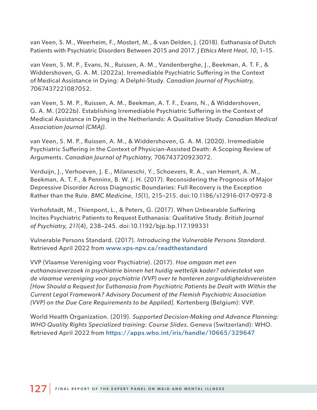van Veen, S. M., Weerheim, F., Mostert, M., & van Delden, J. (2018). Euthanasia of Dutch Patients with Psychiatric Disorders Between 2015 and 2017. *J Ethics Ment Heal, 10*, 1–15.

van Veen, S. M. P., Evans, N., Ruissen, A. M., Vandenberghe, J., Beekman, A. T. F., & Widdershoven, G. A. M. (2022a). Irremediable Psychiatric Suffering in the Context of Medical Assistance in Dying: A Delphi-Study. *Canadian Journal of Psychiatry,*  7067437221087052.

van Veen, S. M. P., Ruissen, A. M., Beekman, A. T. F., Evans, N., & Widdershoven, G. A. M. (2022b). Establishing Irremediable Psychiatric Suffering in the Context of Medical Assistance in Dying in the Netherlands: A Qualitative Study. *Canadian Medical Association Journal (CMAJ).*

van Veen, S. M. P., Ruissen, A. M., & Widdershoven, G. A. M. (2020). Irremediable Psychiatric Suffering in the Context of Physician-Assisted Death: A Scoping Review of Arguments. *Canadian Journal of Psychiatry,* 706743720923072.

Verduijn, J., Verhoeven, J. E., Milaneschi, Y., Schoevers, R. A., van Hemert, A. M., Beekman, A. T. F., & Penninx, B. W. J. H. (2017). Reconsidering the Prognosis of Major Depressive Disorder Across Diagnostic Boundaries: Full Recovery is the Exception Rather than the Rule. *BMC Medicine, 15*(1), 215–215. doi:10.1186/s12916-017-0972-8

Verhofstadt, M., Thienpont, L., & Peters, G. (2017). When Unbearable Suffering Incites Psychiatric Patients to Request Euthanasia: Qualitative Study. *British Journal of Psychiatry, 211*(4), 238–245. doi:10.1192/bjp.bp.117.199331

Vulnerable Persons Standard. (2017). *Introducing the Vulnerable Persons Standard.*  Retrieved April 2022 from [www.vps-npv.ca/readthestandard](http://www.vps-npv.ca/readthestandard/)

VVP (Vlaamse Vereniging voor Psychiatrie). (2017). *Hoe omgaan met een euthanasieverzoek in psychiatrie binnen het huidig wettelijk kader? adviestekst van de vlaamse vereniging voor psychiatrie (VVP) over te hanteren zorgvuldigheidsvereisten [How Should a Request for Euthanasia from Psychiatric Patients be Dealt with Within the Current Legal Framework? Advisory Document of the Flemish Psychiatric Association (VVP) on the Due Care Requirements to be Applied]*. Kortenberg (Belgium): VVP.

World Health Organization. (2019). *Supported Decision-Making and Advance Planning: WHO Quality Rights Specialized training: Course Slides.* Geneva (Switzerland): WHO. Retrieved April 2022 from <https://apps.who.int/iris/handle/10665/329647>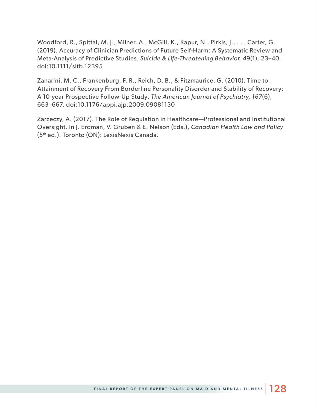Woodford, R., Spittal, M. J., Milner, A., McGill, K., Kapur, N., Pirkis, J., . . . Carter, G. (2019). Accuracy of Clinician Predictions of Future Self-Harm: A Systematic Review and Meta-Analysis of Predictive Studies*. Suicide & Life-Threatening Behavior, 4*9(1), 23–40. doi:10.1111/sltb.12395

Zanarini, M. C., Frankenburg, F. R., Reich, D. B., & Fitzmaurice, G. (2010). Time to Attainment of Recovery From Borderline Personality Disorder and Stability of Recovery: A 10-year Prospective Follow-Up Study*. The American Journal of Psychiatry, 167*(6), 663–667. doi:10.1176/appi.ajp.2009.09081130

Zarzeczy, A. (2017). The Role of Regulation in Healthcare—Professional and Institutional Oversight. In J. Erdman, V. Gruben & E. Nelson (Eds.), *Canadian Health Law and Policy*  (5th ed.). Toronto (ON): LexisNexis Canada.